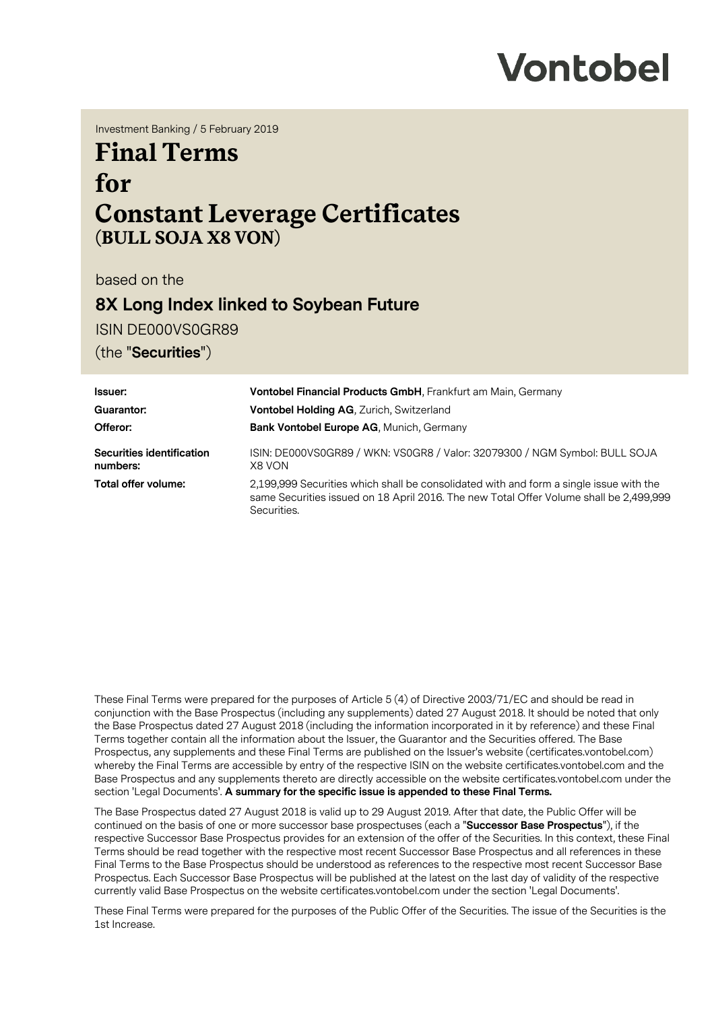

Investment Banking / 5 February 2019

# **Final Terms for Constant Leverage Certificates (BULL SOJA X8 VON)**

based on the

## **8X Long Index linked to Soybean Future**

ISIN DE000VS0GR89

(the "**Securities**")

| Issuer:                                                       | <b>Vontobel Financial Products GmbH, Frankfurt am Main, Germany</b>                                                                                                                             |  |
|---------------------------------------------------------------|-------------------------------------------------------------------------------------------------------------------------------------------------------------------------------------------------|--|
| <b>Vontobel Holding AG, Zurich, Switzerland</b><br>Guarantor: |                                                                                                                                                                                                 |  |
| Offeror:                                                      | <b>Bank Vontobel Europe AG, Munich, Germany</b>                                                                                                                                                 |  |
| Securities identification<br>numbers:                         | ISIN: DE000VS0GR89 / WKN: VS0GR8 / Valor: 32079300 / NGM Symbol: BULL SOJA<br>X8 VON                                                                                                            |  |
| Total offer volume:                                           | 2,199,999 Securities which shall be consolidated with and form a single issue with the<br>same Securities issued on 18 April 2016. The new Total Offer Volume shall be 2,499,999<br>Securities. |  |

These Final Terms were prepared for the purposes of Article 5 (4) of Directive 2003/71/EC and should be read in conjunction with the Base Prospectus (including any supplements) dated 27 August 2018. It should be noted that only the Base Prospectus dated 27 August 2018 (including the information incorporated in it by reference) and these Final Terms together contain all the information about the Issuer, the Guarantor and the Securities offered. The Base Prospectus, any supplements and these Final Terms are published on the Issuer's website (certificates.vontobel.com) whereby the Final Terms are accessible by entry of the respective ISIN on the website certificates.vontobel.com and the Base Prospectus and any supplements thereto are directly accessible on the website certificates.vontobel.com under the section 'Legal Documents'. **A summary for the specific issue is appended to these Final Terms.**

The Base Prospectus dated 27 August 2018 is valid up to 29 August 2019. After that date, the Public Offer will be continued on the basis of one or more successor base prospectuses (each a "**Successor Base Prospectus**"), if the respective Successor Base Prospectus provides for an extension of the offer of the Securities. In this context, these Final Terms should be read together with the respective most recent Successor Base Prospectus and all references in these Final Terms to the Base Prospectus should be understood as references to the respective most recent Successor Base Prospectus. Each Successor Base Prospectus will be published at the latest on the last day of validity of the respective currently valid Base Prospectus on the website certificates.vontobel.com under the section 'Legal Documents'.

These Final Terms were prepared for the purposes of the Public Offer of the Securities. The issue of the Securities is the 1st Increase.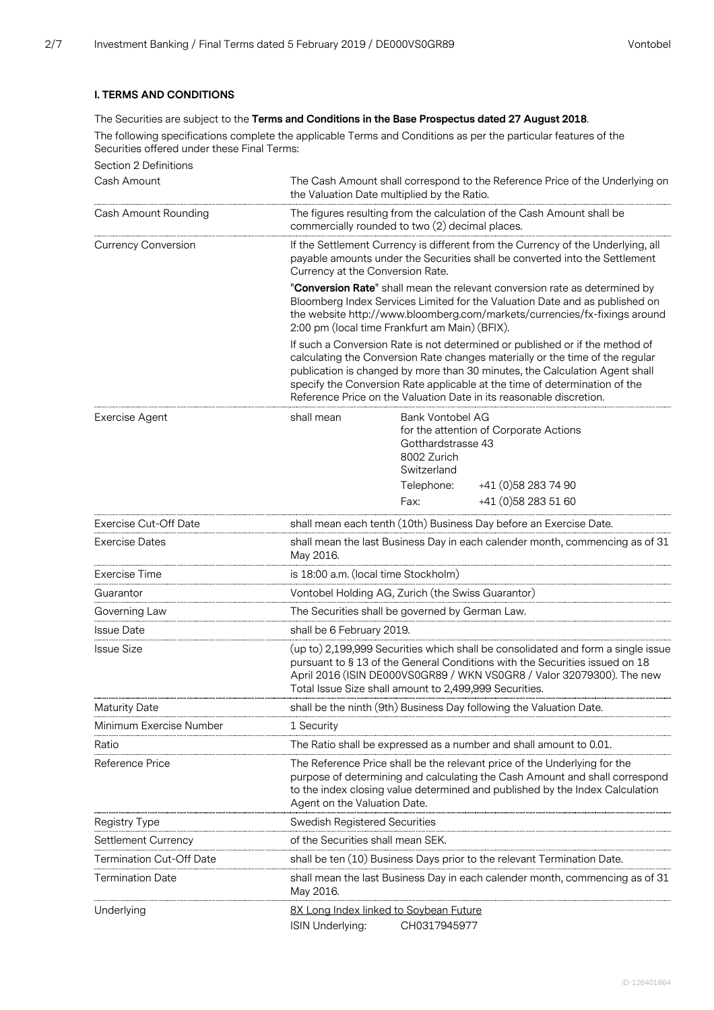## **I. TERMS AND CONDITIONS**

## The Securities are subject to the **Terms and Conditions in the Base Prospectus dated 27 August 2018**.

The following specifications complete the applicable Terms and Conditions as per the particular features of the Securities offered under these Final Terms:

| Section 2 Definitions           |                                                                                                                                                                                                                                                                                                    |                                                                                                                                                                                                                                                                                                                                                                                                                                                                                                                                                                                                                                                                                               |  |
|---------------------------------|----------------------------------------------------------------------------------------------------------------------------------------------------------------------------------------------------------------------------------------------------------------------------------------------------|-----------------------------------------------------------------------------------------------------------------------------------------------------------------------------------------------------------------------------------------------------------------------------------------------------------------------------------------------------------------------------------------------------------------------------------------------------------------------------------------------------------------------------------------------------------------------------------------------------------------------------------------------------------------------------------------------|--|
| Cash Amount                     | The Cash Amount shall correspond to the Reference Price of the Underlying on<br>the Valuation Date multiplied by the Ratio.                                                                                                                                                                        |                                                                                                                                                                                                                                                                                                                                                                                                                                                                                                                                                                                                                                                                                               |  |
| Cash Amount Rounding            | The figures resulting from the calculation of the Cash Amount shall be<br>commercially rounded to two (2) decimal places.                                                                                                                                                                          |                                                                                                                                                                                                                                                                                                                                                                                                                                                                                                                                                                                                                                                                                               |  |
| <b>Currency Conversion</b>      | If the Settlement Currency is different from the Currency of the Underlying, all<br>payable amounts under the Securities shall be converted into the Settlement<br>Currency at the Conversion Rate.                                                                                                |                                                                                                                                                                                                                                                                                                                                                                                                                                                                                                                                                                                                                                                                                               |  |
|                                 |                                                                                                                                                                                                                                                                                                    | "Conversion Rate" shall mean the relevant conversion rate as determined by<br>Bloomberg Index Services Limited for the Valuation Date and as published on<br>the website http://www.bloomberg.com/markets/currencies/fx-fixings around<br>2:00 pm (local time Frankfurt am Main) (BFIX).<br>If such a Conversion Rate is not determined or published or if the method of<br>calculating the Conversion Rate changes materially or the time of the regular<br>publication is changed by more than 30 minutes, the Calculation Agent shall<br>specify the Conversion Rate applicable at the time of determination of the<br>Reference Price on the Valuation Date in its reasonable discretion. |  |
|                                 |                                                                                                                                                                                                                                                                                                    |                                                                                                                                                                                                                                                                                                                                                                                                                                                                                                                                                                                                                                                                                               |  |
| <b>Exercise Agent</b>           | shall mean                                                                                                                                                                                                                                                                                         | Bank Vontobel AG<br>for the attention of Corporate Actions<br>Gotthardstrasse 43<br>8002 Zurich<br>Switzerland<br>Telephone:<br>+41 (0) 58 283 74 90<br>+41 (0) 58 283 51 60<br>Fax:                                                                                                                                                                                                                                                                                                                                                                                                                                                                                                          |  |
| <b>Exercise Cut-Off Date</b>    |                                                                                                                                                                                                                                                                                                    | shall mean each tenth (10th) Business Day before an Exercise Date.                                                                                                                                                                                                                                                                                                                                                                                                                                                                                                                                                                                                                            |  |
| <b>Exercise Dates</b>           | May 2016.                                                                                                                                                                                                                                                                                          | shall mean the last Business Day in each calender month, commencing as of 31                                                                                                                                                                                                                                                                                                                                                                                                                                                                                                                                                                                                                  |  |
| Exercise Time                   | is 18:00 a.m. (local time Stockholm)                                                                                                                                                                                                                                                               |                                                                                                                                                                                                                                                                                                                                                                                                                                                                                                                                                                                                                                                                                               |  |
| Guarantor                       |                                                                                                                                                                                                                                                                                                    | Vontobel Holding AG, Zurich (the Swiss Guarantor)                                                                                                                                                                                                                                                                                                                                                                                                                                                                                                                                                                                                                                             |  |
| Governing Law                   |                                                                                                                                                                                                                                                                                                    | The Securities shall be governed by German Law.                                                                                                                                                                                                                                                                                                                                                                                                                                                                                                                                                                                                                                               |  |
| <b>Issue Date</b>               | shall be 6 February 2019.                                                                                                                                                                                                                                                                          |                                                                                                                                                                                                                                                                                                                                                                                                                                                                                                                                                                                                                                                                                               |  |
| <b>Issue Size</b>               | (up to) 2,199,999 Securities which shall be consolidated and form a single issue<br>pursuant to § 13 of the General Conditions with the Securities issued on 18<br>April 2016 (ISIN DE000VS0GR89 / WKN VS0GR8 / Valor 32079300). The new<br>Total Issue Size shall amount to 2,499,999 Securities. |                                                                                                                                                                                                                                                                                                                                                                                                                                                                                                                                                                                                                                                                                               |  |
| <b>Maturity Date</b>            | shall be the ninth (9th) Business Day following the Valuation Date.                                                                                                                                                                                                                                |                                                                                                                                                                                                                                                                                                                                                                                                                                                                                                                                                                                                                                                                                               |  |
| Minimum Exercise Number         | 1 Security                                                                                                                                                                                                                                                                                         |                                                                                                                                                                                                                                                                                                                                                                                                                                                                                                                                                                                                                                                                                               |  |
| Ratio                           |                                                                                                                                                                                                                                                                                                    | The Ratio shall be expressed as a number and shall amount to 0.01.                                                                                                                                                                                                                                                                                                                                                                                                                                                                                                                                                                                                                            |  |
| Reference Price                 | The Reference Price shall be the relevant price of the Underlying for the<br>purpose of determining and calculating the Cash Amount and shall correspond<br>to the index closing value determined and published by the Index Calculation<br>Agent on the Valuation Date.                           |                                                                                                                                                                                                                                                                                                                                                                                                                                                                                                                                                                                                                                                                                               |  |
| Registry Type                   | <b>Swedish Registered Securities</b>                                                                                                                                                                                                                                                               |                                                                                                                                                                                                                                                                                                                                                                                                                                                                                                                                                                                                                                                                                               |  |
| Settlement Currency             | of the Securities shall mean SEK.                                                                                                                                                                                                                                                                  |                                                                                                                                                                                                                                                                                                                                                                                                                                                                                                                                                                                                                                                                                               |  |
| <b>Termination Cut-Off Date</b> |                                                                                                                                                                                                                                                                                                    | shall be ten (10) Business Days prior to the relevant Termination Date.                                                                                                                                                                                                                                                                                                                                                                                                                                                                                                                                                                                                                       |  |
| <b>Termination Date</b>         | May 2016.                                                                                                                                                                                                                                                                                          | shall mean the last Business Day in each calender month, commencing as of 31                                                                                                                                                                                                                                                                                                                                                                                                                                                                                                                                                                                                                  |  |
| Underlying                      | 8X Long Index linked to Soybean Future<br>CH0317945977<br>ISIN Underlying:                                                                                                                                                                                                                         |                                                                                                                                                                                                                                                                                                                                                                                                                                                                                                                                                                                                                                                                                               |  |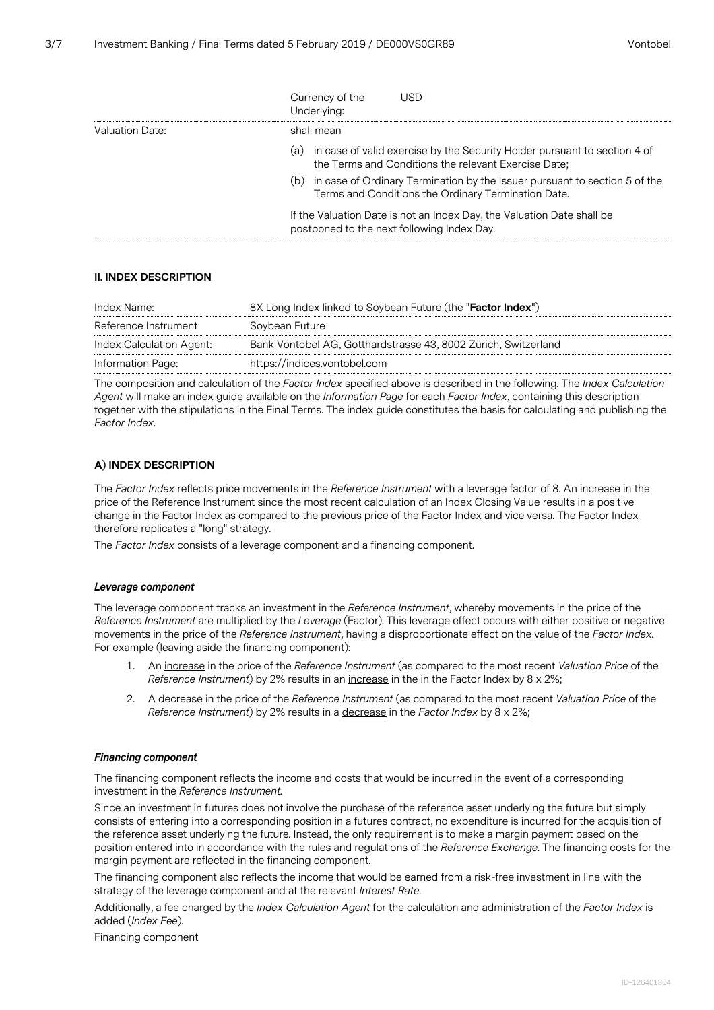|                 | Currency of the<br>USD<br>Underlying:                                                                                                 |
|-----------------|---------------------------------------------------------------------------------------------------------------------------------------|
| Valuation Date: | shall mean                                                                                                                            |
|                 | (a) in case of valid exercise by the Security Holder pursuant to section 4 of<br>the Terms and Conditions the relevant Exercise Date; |
|                 | (b) in case of Ordinary Termination by the Issuer pursuant to section 5 of the<br>Terms and Conditions the Ordinary Termination Date. |
|                 | If the Valuation Date is not an Index Day, the Valuation Date shall be<br>postponed to the next following Index Day.                  |

## **II. INDEX DESCRIPTION**

| Index Name:              | 8X Long Index linked to Soybean Future (the "Factor Index")    |
|--------------------------|----------------------------------------------------------------|
| Reference Instrument     | Soybean Future                                                 |
| Index Calculation Agent: | Bank Vontobel AG, Gotthardstrasse 43, 8002 Zürich, Switzerland |
| Information Page:        | https://indices.vontobel.com                                   |

The composition and calculation of the *Factor Index* specified above is described in the following. The *Index Calculation Agent* will make an index guide available on the *Information Page* for each *Factor Index*, containing this description together with the stipulations in the Final Terms. The index guide constitutes the basis for calculating and publishing the *Factor Index*.

## **A) INDEX DESCRIPTION**

The *Factor Index* reflects price movements in the *Reference Instrument* with a leverage factor of 8. An increase in the price of the Reference Instrument since the most recent calculation of an Index Closing Value results in a positive change in the Factor Index as compared to the previous price of the Factor Index and vice versa. The Factor Index therefore replicates a "long" strategy.

The *Factor Index* consists of a leverage component and a financing component.

#### *Leverage component*

The leverage component tracks an investment in the *Reference Instrument*, whereby movements in the price of the *Reference Instrument* are multiplied by the *Leverage* (Factor). This leverage effect occurs with either positive or negative movements in the price of the *Reference Instrument*, having a disproportionate effect on the value of the *Factor Index*. For example (leaving aside the financing component):

- 1. An increase in the price of the *Reference Instrument* (as compared to the most recent *Valuation Price* of the *Reference Instrument*) by 2% results in an increase in the in the Factor Index by 8 x 2%;
- 2. A decrease in the price of the *Reference Instrument* (as compared to the most recent *Valuation Price* of the *Reference Instrument*) by 2% results in a decrease in the *Factor Index* by 8 x 2%;

#### *Financing component*

The financing component reflects the income and costs that would be incurred in the event of a corresponding investment in the *Reference Instrument.*

Since an investment in futures does not involve the purchase of the reference asset underlying the future but simply consists of entering into a corresponding position in a futures contract, no expenditure is incurred for the acquisition of the reference asset underlying the future. Instead, the only requirement is to make a margin payment based on the position entered into in accordance with the rules and regulations of the *Reference Exchange*. The financing costs for the margin payment are reflected in the financing component.

The financing component also reflects the income that would be earned from a risk-free investment in line with the strategy of the leverage component and at the relevant *Interest Rate.*

Additionally, a fee charged by the *Index Calculation Agent* for the calculation and administration of the *Factor Index* is added (*Index Fee*).

Financing component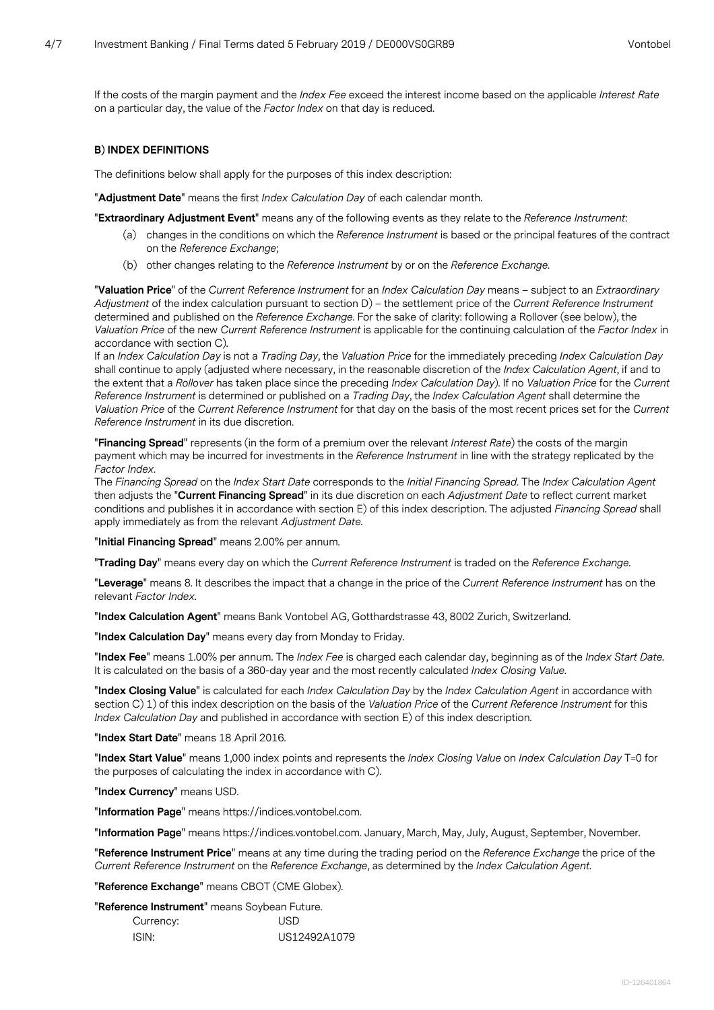If the costs of the margin payment and the *Index Fee* exceed the interest income based on the applicable *Interest Rate* on a particular day, the value of the *Factor Index* on that day is reduced.

#### **B) INDEX DEFINITIONS**

The definitions below shall apply for the purposes of this index description:

"**Adjustment Date**" means the first *Index Calculation Day* of each calendar month.

"**Extraordinary Adjustment Event**" means any of the following events as they relate to the *Reference Instrument*:

- (a) changes in the conditions on which the *Reference Instrument* is based or the principal features of the contract on the *Reference Exchange*;
- (b) other changes relating to the *Reference Instrument* by or on the *Reference Exchange*.

"**Valuation Price**" of the *Current Reference Instrument* for an *Index Calculation Day* means – subject to an *Extraordinary Adjustment* of the index calculation pursuant to section D) – the settlement price of the *Current Reference Instrument* determined and published on the *Reference Exchange*. For the sake of clarity: following a Rollover (see below), the *Valuation Price* of the new *Current Reference Instrument* is applicable for the continuing calculation of the *Factor Index* in accordance with section C).

If an *Index Calculation Day* is not a *Trading Day*, the *Valuation Price* for the immediately preceding *Index Calculation Day* shall continue to apply (adjusted where necessary, in the reasonable discretion of the *Index Calculation Agent*, if and to the extent that a *Rollover* has taken place since the preceding *Index Calculation Day*). If no *Valuation Price* for the *Current Reference Instrument* is determined or published on a *Trading Day*, the *Index Calculation Agent* shall determine the *Valuation Price* of the *Current Reference Instrument* for that day on the basis of the most recent prices set for the *Current Reference Instrument* in its due discretion.

"**Financing Spread**" represents (in the form of a premium over the relevant *Interest Rate*) the costs of the margin payment which may be incurred for investments in the *Reference Instrument* in line with the strategy replicated by the *Factor Index*.

The *Financing Spread* on the *Index Start Date* corresponds to the *Initial Financing Spread*. The *Index Calculation Agent* then adjusts the "**Current Financing Spread**" in its due discretion on each *Adjustment Date* to reflect current market conditions and publishes it in accordance with section E) of this index description. The adjusted *Financing Spread* shall apply immediately as from the relevant *Adjustment Date*.

"**Initial Financing Spread**" means 2.00% per annum.

"**Trading Day**" means every day on which the *Current Reference Instrument* is traded on the *Reference Exchange*.

"**Leverage**" means 8. It describes the impact that a change in the price of the *Current Reference Instrument* has on the relevant *Factor Index*.

"**Index Calculation Agent**" means Bank Vontobel AG, Gotthardstrasse 43, 8002 Zurich, Switzerland.

"**Index Calculation Day**" means every day from Monday to Friday.

"**Index Fee**" means 1.00% per annum. The *Index Fee* is charged each calendar day, beginning as of the *Index Start Date*. It is calculated on the basis of a 360-day year and the most recently calculated *Index Closing Value*.

"**Index Closing Value**" is calculated for each *Index Calculation Day* by the *Index Calculation Agent* in accordance with section C) 1) of this index description on the basis of the *Valuation Price* of the *Current Reference Instrument* for this *Index Calculation Day* and published in accordance with section E) of this index description.

"**Index Start Date**" means 18 April 2016.

"**Index Start Value**" means 1,000 index points and represents the *Index Closing Value* on *Index Calculation Day* T=0 for the purposes of calculating the index in accordance with C).

"**Index Currency**" means USD.

"**Information Page**" means https://indices.vontobel.com.

"**Information Page**" means https://indices.vontobel.com. January, March, May, July, August, September, November.

"**Reference Instrument Price**" means at any time during the trading period on the *Reference Exchange* the price of the *Current Reference Instrument* on the *Reference Exchange*, as determined by the *Index Calculation Agent*.

"**Reference Exchange**" means CBOT (CME Globex).

"**Reference Instrument**" means Soybean Future.

| Currency: | USD          |
|-----------|--------------|
| ISIN:     | US12492A1079 |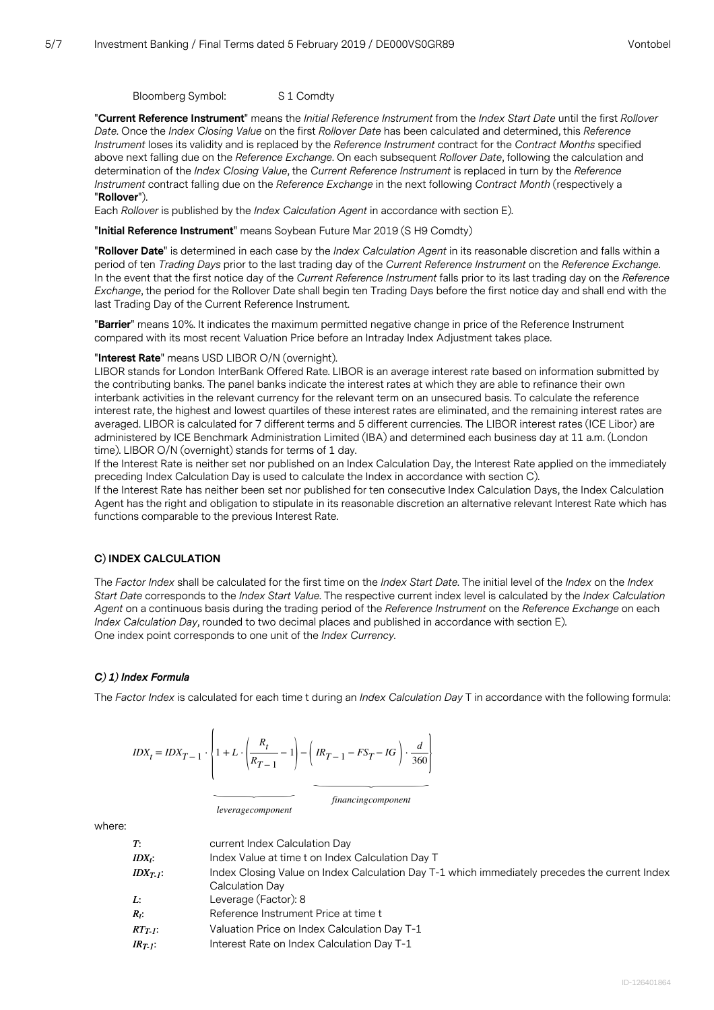Bloomberg Symbol: S 1 Comdty

"**Current Reference Instrument**" means the *Initial Reference Instrument* from the *Index Start Date* until the first *Rollover Date*. Once the *Index Closing Value* on the first *Rollover Date* has been calculated and determined, this *Reference Instrument* loses its validity and is replaced by the *Reference Instrument* contract for the *Contract Months* specified above next falling due on the *Reference Exchange*. On each subsequent *Rollover Date*, following the calculation and determination of the *Index Closing Value*, the *Current Reference Instrument* is replaced in turn by the *Reference Instrument* contract falling due on the *Reference Exchange* in the next following *Contract Month* (respectively a "**Rollover**").

Each *Rollover* is published by the *Index Calculation Agent* in accordance with section E).

"**Initial Reference Instrument**" means Soybean Future Mar 2019 (S H9 Comdty)

"**Rollover Date**" is determined in each case by the *Index Calculation Agent* in its reasonable discretion and falls within a period of ten *Trading Days* prior to the last trading day of the *Current Reference Instrument* on the *Reference Exchange*. In the event that the first notice day of the *Current Reference Instrument* falls prior to its last trading day on the *Reference Exchange*, the period for the Rollover Date shall begin ten Trading Days before the first notice day and shall end with the last Trading Day of the Current Reference Instrument.

"**Barrier**" means 10%. It indicates the maximum permitted negative change in price of the Reference Instrument compared with its most recent Valuation Price before an Intraday Index Adjustment takes place.

## "**Interest Rate**" means USD LIBOR O/N (overnight).

LIBOR stands for London InterBank Offered Rate. LIBOR is an average interest rate based on information submitted by the contributing banks. The panel banks indicate the interest rates at which they are able to refinance their own interbank activities in the relevant currency for the relevant term on an unsecured basis. To calculate the reference interest rate, the highest and lowest quartiles of these interest rates are eliminated, and the remaining interest rates are averaged. LIBOR is calculated for 7 different terms and 5 different currencies. The LIBOR interest rates (ICE Libor) are administered by ICE Benchmark Administration Limited (IBA) and determined each business day at 11 a.m. (London time). LIBOR O/N (overnight) stands for terms of 1 day.

If the Interest Rate is neither set nor published on an Index Calculation Day, the Interest Rate applied on the immediately preceding Index Calculation Day is used to calculate the Index in accordance with section C).

If the Interest Rate has neither been set nor published for ten consecutive Index Calculation Days, the Index Calculation Agent has the right and obligation to stipulate in its reasonable discretion an alternative relevant Interest Rate which has functions comparable to the previous Interest Rate.

## **C) INDEX CALCULATION**

The *Factor Index* shall be calculated for the first time on the *Index Start Date*. The initial level of the *Index* on the *Index Start Date* corresponds to the *Index Start Value*. The respective current index level is calculated by the *Index Calculation Agent* on a continuous basis during the trading period of the *Reference Instrument* on the *Reference Exchange* on each *Index Calculation Day*, rounded to two decimal places and published in accordance with section E). One index point corresponds to one unit of the *Index Currency*.

## *C) 1) Index Formula*

The *Factor Index* is calculated for each time t during an *Index Calculation Day* T in accordance with the following formula:

*IDX<sup>t</sup>* <sup>=</sup> *IDXT*− 1 <sup>⋅</sup>{1 + *<sup>L</sup>* <sup>⋅</sup>( *Rt <sup>R</sup>T*− 1 − 1) ︸ *leveragecomponent* <sup>−</sup> ( *IRT*− 1 <sup>−</sup> *FS<sup>T</sup>* <sup>−</sup> *IG* ) ⋅ *d* ︸ 360}

*financingcomponent*

where:

| T:<br>$IDX_i$ : | current Index Calculation Day<br>Index Value at time t on Index Calculation Day T             |
|-----------------|-----------------------------------------------------------------------------------------------|
| $IDX_{T_i}$ :   | Index Closing Value on Index Calculation Day T-1 which immediately precedes the current Index |
|                 | Calculation Day                                                                               |
| Ŀ.              | Leverage (Factor): 8                                                                          |
| $R_t$ :         | Reference Instrument Price at time t                                                          |
| $RTT$ :         | Valuation Price on Index Calculation Day T-1                                                  |
| $IR_{T}$ :      | Interest Rate on Index Calculation Day T-1                                                    |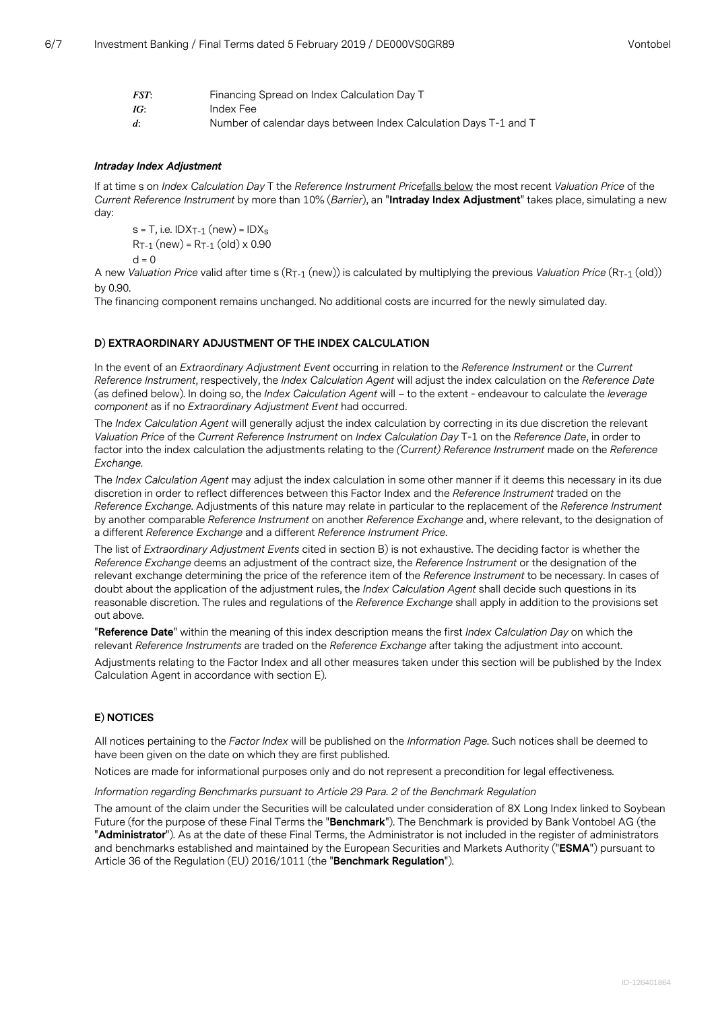| FST:               | Financing Spread on Index Calculation Day T                      |
|--------------------|------------------------------------------------------------------|
| IG:                | Index Fee                                                        |
| $\boldsymbol{d}$ : | Number of calendar days between Index Calculation Days T-1 and T |

## *Intraday Index Adjustment*

If at time s on *Index Calculation Day* T the *Reference Instrument Price*falls below the most recent *Valuation Price* of the *Current Reference Instrument* by more than 10% (*Barrier*), an "**Intraday Index Adjustment**" takes place, simulating a new day:

 $s = T$ , i.e. IDX<sub>T-1</sub> (new) = IDX<sub>s</sub>  $R_{T-1}$  (new) =  $R_{T-1}$  (old) x 0.90

 $d = 0$ 

A new *Valuation Price* valid after time s (RT-1 (new)) is calculated by multiplying the previous *Valuation Price* (RT-1 (old)) by 0.90.

The financing component remains unchanged. No additional costs are incurred for the newly simulated day.

## **D) EXTRAORDINARY ADJUSTMENT OF THE INDEX CALCULATION**

In the event of an *Extraordinary Adjustment Event* occurring in relation to the *Reference Instrument* or the *Current Reference Instrument*, respectively, the *Index Calculation Agent* will adjust the index calculation on the *Reference Date* (as defined below). In doing so, the *Index Calculation Agent* will – to the extent - endeavour to calculate the *leverage component* as if no *Extraordinary Adjustment Event* had occurred.

The *Index Calculation Agent* will generally adjust the index calculation by correcting in its due discretion the relevant *Valuation Price* of the *Current Reference Instrument* on *Index Calculation Day* T-1 on the *Reference Date*, in order to factor into the index calculation the adjustments relating to the *(Current) Reference Instrument* made on the *Reference Exchange*.

The *Index Calculation Agent* may adjust the index calculation in some other manner if it deems this necessary in its due discretion in order to reflect differences between this Factor Index and the *Reference Instrument* traded on the *Reference Exchange*. Adjustments of this nature may relate in particular to the replacement of the *Reference Instrument* by another comparable *Reference Instrument* on another *Reference Exchange* and, where relevant, to the designation of a different *Reference Exchange* and a different *Reference Instrument Price*.

The list of *Extraordinary Adjustment Events* cited in section B) is not exhaustive. The deciding factor is whether the *Reference Exchange* deems an adjustment of the contract size, the *Reference Instrument* or the designation of the relevant exchange determining the price of the reference item of the *Reference Instrument* to be necessary. In cases of doubt about the application of the adjustment rules, the *Index Calculation Agent* shall decide such questions in its reasonable discretion. The rules and regulations of the *Reference Exchange* shall apply in addition to the provisions set out above.

"**Reference Date**" within the meaning of this index description means the first *Index Calculation Day* on which the relevant *Reference Instruments* are traded on the *Reference Exchange* after taking the adjustment into account.

Adjustments relating to the Factor Index and all other measures taken under this section will be published by the Index Calculation Agent in accordance with section E).

## **E) NOTICES**

All notices pertaining to the *Factor Index* will be published on the *Information Page*. Such notices shall be deemed to have been given on the date on which they are first published.

Notices are made for informational purposes only and do not represent a precondition for legal effectiveness.

## *Information regarding Benchmarks pursuant to Article 29 Para. 2 of the Benchmark Regulation*

The amount of the claim under the Securities will be calculated under consideration of 8X Long Index linked to Soybean Future (for the purpose of these Final Terms the "**Benchmark**"). The Benchmark is provided by Bank Vontobel AG (the "**Administrator**"). As at the date of these Final Terms, the Administrator is not included in the register of administrators and benchmarks established and maintained by the European Securities and Markets Authority ("**ESMA**") pursuant to Article 36 of the Regulation (EU) 2016/1011 (the "**Benchmark Regulation**").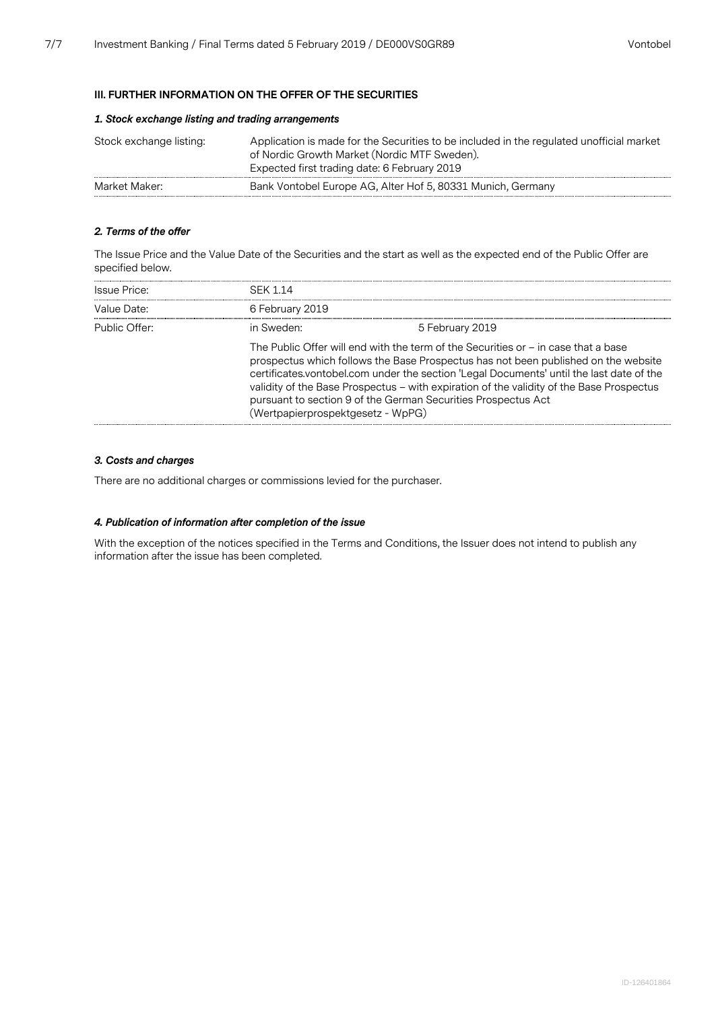#### **III. FURTHER INFORMATION ON THE OFFER OF THE SECURITIES**

## *1. Stock exchange listing and trading arrangements*

| Stock exchange listing: | Application is made for the Securities to be included in the regulated unofficial market<br>of Nordic Growth Market (Nordic MTF Sweden).<br>Expected first trading date: 6 February 2019 |
|-------------------------|------------------------------------------------------------------------------------------------------------------------------------------------------------------------------------------|
| Market Maker:           | Bank Vontobel Europe AG, Alter Hof 5, 80331 Munich, Germany                                                                                                                              |

## *2. Terms of the offer*

The Issue Price and the Value Date of the Securities and the start as well as the expected end of the Public Offer are specified below.

| Issue Price:  | <b>SFK 114</b>                    |                                                                                                                                                                                                                                                                                                                                                                                                                                     |
|---------------|-----------------------------------|-------------------------------------------------------------------------------------------------------------------------------------------------------------------------------------------------------------------------------------------------------------------------------------------------------------------------------------------------------------------------------------------------------------------------------------|
| Value Date:   | 6 February 2019                   |                                                                                                                                                                                                                                                                                                                                                                                                                                     |
| Public Offer: | in Sweden:                        | 5 February 2019                                                                                                                                                                                                                                                                                                                                                                                                                     |
|               | (Wertpapierprospektgesetz - WpPG) | The Public Offer will end with the term of the Securities or $-$ in case that a base<br>prospectus which follows the Base Prospectus has not been published on the website<br>certificates.vontobel.com under the section 'Legal Documents' until the last date of the<br>validity of the Base Prospectus - with expiration of the validity of the Base Prospectus<br>pursuant to section 9 of the German Securities Prospectus Act |

## *3. Costs and charges*

There are no additional charges or commissions levied for the purchaser.

## *4. Publication of information after completion of the issue*

With the exception of the notices specified in the Terms and Conditions, the Issuer does not intend to publish any information after the issue has been completed.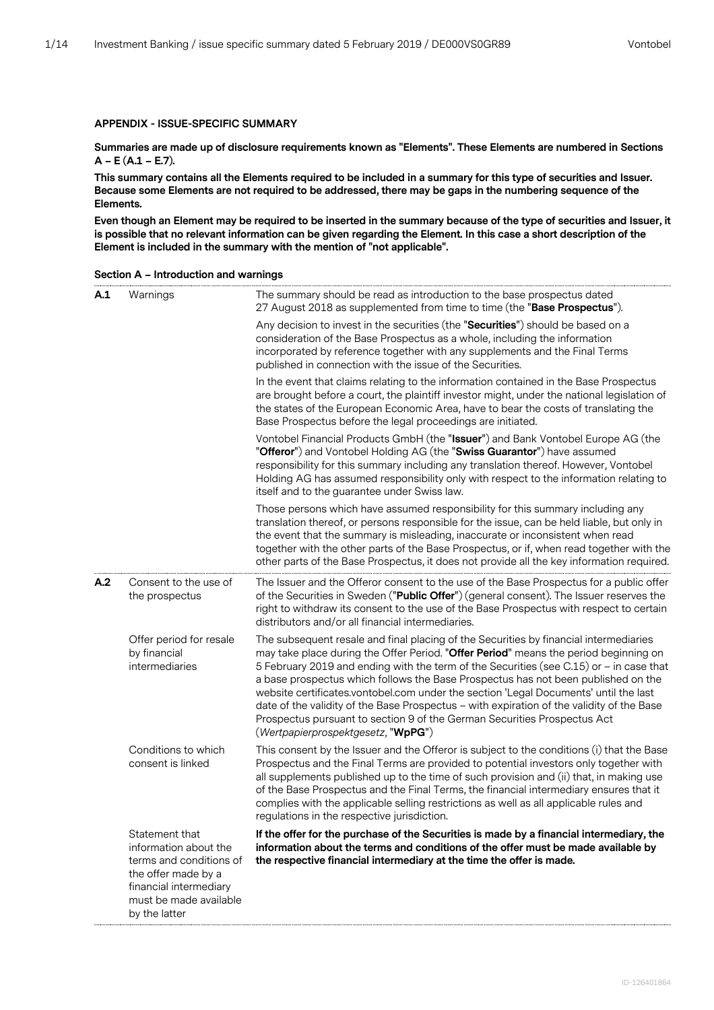## **APPENDIX - ISSUE-SPECIFIC SUMMARY**

**Summaries are made up of disclosure requirements known as "Elements". These Elements are numbered in Sections A – E (A.1 – E.7).**

**This summary contains all the Elements required to be included in a summary for this type of securities and Issuer. Because some Elements are not required to be addressed, there may be gaps in the numbering sequence of the Elements.**

**Even though an Element may be required to be inserted in the summary because of the type of securities and Issuer, it is possible that no relevant information can be given regarding the Element. In this case a short description of the Element is included in the summary with the mention of "not applicable".**

|  |  | Section A - Introduction and warnings |
|--|--|---------------------------------------|
|--|--|---------------------------------------|

| A.1 | Warnings                                                                                                                                                       | The summary should be read as introduction to the base prospectus dated<br>27 August 2018 as supplemented from time to time (the "Base Prospectus").                                                                                                                                                                                                                                                                                                                                                                                                                                                                                                                 |
|-----|----------------------------------------------------------------------------------------------------------------------------------------------------------------|----------------------------------------------------------------------------------------------------------------------------------------------------------------------------------------------------------------------------------------------------------------------------------------------------------------------------------------------------------------------------------------------------------------------------------------------------------------------------------------------------------------------------------------------------------------------------------------------------------------------------------------------------------------------|
|     |                                                                                                                                                                | Any decision to invest in the securities (the "Securities") should be based on a<br>consideration of the Base Prospectus as a whole, including the information<br>incorporated by reference together with any supplements and the Final Terms<br>published in connection with the issue of the Securities.                                                                                                                                                                                                                                                                                                                                                           |
|     |                                                                                                                                                                | In the event that claims relating to the information contained in the Base Prospectus<br>are brought before a court, the plaintiff investor might, under the national legislation of<br>the states of the European Economic Area, have to bear the costs of translating the<br>Base Prospectus before the legal proceedings are initiated.                                                                                                                                                                                                                                                                                                                           |
|     |                                                                                                                                                                | Vontobel Financial Products GmbH (the "Issuer") and Bank Vontobel Europe AG (the<br>"Offeror") and Vontobel Holding AG (the "Swiss Guarantor") have assumed<br>responsibility for this summary including any translation thereof. However, Vontobel<br>Holding AG has assumed responsibility only with respect to the information relating to<br>itself and to the guarantee under Swiss law.                                                                                                                                                                                                                                                                        |
|     |                                                                                                                                                                | Those persons which have assumed responsibility for this summary including any<br>translation thereof, or persons responsible for the issue, can be held liable, but only in<br>the event that the summary is misleading, inaccurate or inconsistent when read<br>together with the other parts of the Base Prospectus, or if, when read together with the<br>other parts of the Base Prospectus, it does not provide all the key information required.                                                                                                                                                                                                              |
| A.2 | Consent to the use of<br>the prospectus                                                                                                                        | The Issuer and the Offeror consent to the use of the Base Prospectus for a public offer<br>of the Securities in Sweden ("Public Offer") (general consent). The Issuer reserves the<br>right to withdraw its consent to the use of the Base Prospectus with respect to certain<br>distributors and/or all financial intermediaries.                                                                                                                                                                                                                                                                                                                                   |
|     | Offer period for resale<br>by financial<br>intermediaries                                                                                                      | The subsequent resale and final placing of the Securities by financial intermediaries<br>may take place during the Offer Period. "Offer Period" means the period beginning on<br>5 February 2019 and ending with the term of the Securities (see C.15) or - in case that<br>a base prospectus which follows the Base Prospectus has not been published on the<br>website certificates.vontobel.com under the section 'Legal Documents' until the last<br>date of the validity of the Base Prospectus - with expiration of the validity of the Base<br>Prospectus pursuant to section 9 of the German Securities Prospectus Act<br>(Wertpapierprospektgesetz, "WpPG") |
|     | Conditions to which<br>consent is linked                                                                                                                       | This consent by the Issuer and the Offeror is subject to the conditions (i) that the Base<br>Prospectus and the Final Terms are provided to potential investors only together with<br>all supplements published up to the time of such provision and (ii) that, in making use<br>of the Base Prospectus and the Final Terms, the financial intermediary ensures that it<br>complies with the applicable selling restrictions as well as all applicable rules and<br>regulations in the respective jurisdiction.                                                                                                                                                      |
|     | Statement that<br>information about the<br>terms and conditions of<br>the offer made by a<br>financial intermediary<br>must be made available<br>by the latter | If the offer for the purchase of the Securities is made by a financial intermediary, the<br>information about the terms and conditions of the offer must be made available by<br>the respective financial intermediary at the time the offer is made.                                                                                                                                                                                                                                                                                                                                                                                                                |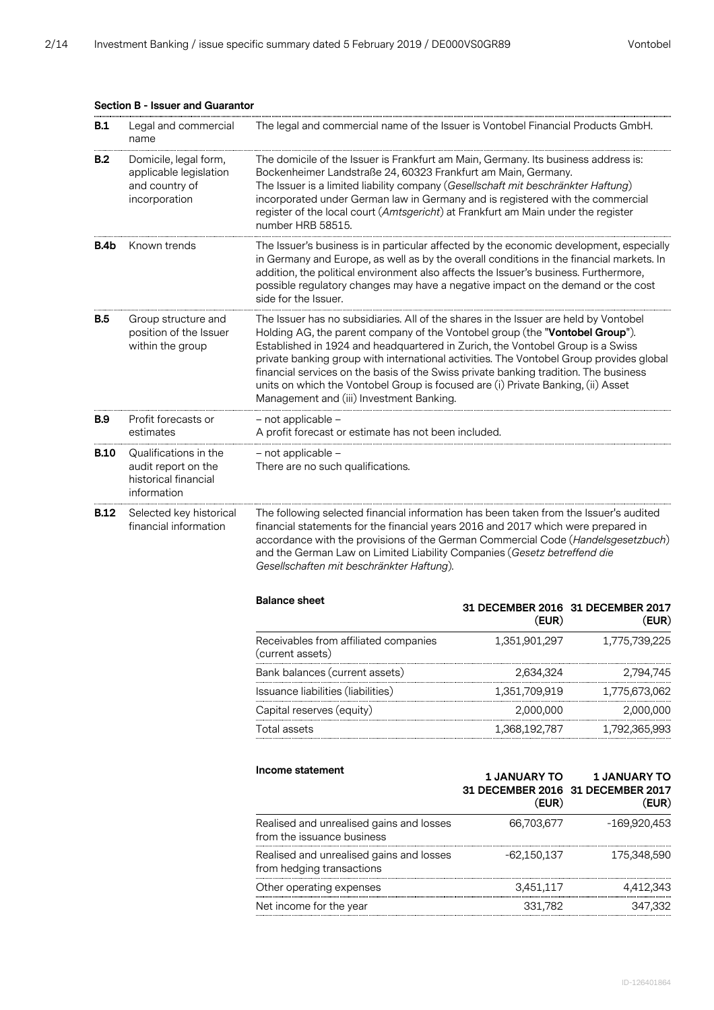| B.1         | Legal and commercial<br>name                                                        | The legal and commercial name of the Issuer is Vontobel Financial Products GmbH.                                                                                                                                                                                                                                                                                                                                                                                                                                                                                          |                     |                                                                   |
|-------------|-------------------------------------------------------------------------------------|---------------------------------------------------------------------------------------------------------------------------------------------------------------------------------------------------------------------------------------------------------------------------------------------------------------------------------------------------------------------------------------------------------------------------------------------------------------------------------------------------------------------------------------------------------------------------|---------------------|-------------------------------------------------------------------|
| B.2         | Domicile, legal form,<br>applicable legislation<br>and country of<br>incorporation  | The domicile of the Issuer is Frankfurt am Main, Germany. Its business address is:<br>Bockenheimer Landstraße 24, 60323 Frankfurt am Main, Germany.<br>The Issuer is a limited liability company (Gesellschaft mit beschränkter Haftung)<br>incorporated under German law in Germany and is registered with the commercial<br>register of the local court (Amtsgericht) at Frankfurt am Main under the register<br>number HRB 58515.                                                                                                                                      |                     |                                                                   |
| B.4b        | Known trends                                                                        | The Issuer's business is in particular affected by the economic development, especially<br>in Germany and Europe, as well as by the overall conditions in the financial markets. In<br>addition, the political environment also affects the Issuer's business. Furthermore,<br>possible regulatory changes may have a negative impact on the demand or the cost<br>side for the Issuer.                                                                                                                                                                                   |                     |                                                                   |
| B.5         | Group structure and<br>position of the Issuer<br>within the group                   | The Issuer has no subsidiaries. All of the shares in the Issuer are held by Vontobel<br>Holding AG, the parent company of the Vontobel group (the "Vontobel Group").<br>Established in 1924 and headquartered in Zurich, the Vontobel Group is a Swiss<br>private banking group with international activities. The Vontobel Group provides global<br>financial services on the basis of the Swiss private banking tradition. The business<br>units on which the Vontobel Group is focused are (i) Private Banking, (ii) Asset<br>Management and (iii) Investment Banking. |                     |                                                                   |
| <b>B.9</b>  | Profit forecasts or<br>estimates                                                    | - not applicable -<br>A profit forecast or estimate has not been included.                                                                                                                                                                                                                                                                                                                                                                                                                                                                                                |                     |                                                                   |
| <b>B.10</b> | Qualifications in the<br>audit report on the<br>historical financial<br>information | - not applicable -<br>There are no such qualifications.                                                                                                                                                                                                                                                                                                                                                                                                                                                                                                                   |                     |                                                                   |
| <b>B.12</b> | Selected key historical<br>financial information                                    | The following selected financial information has been taken from the Issuer's audited<br>financial statements for the financial years 2016 and 2017 which were prepared in<br>accordance with the provisions of the German Commercial Code (Handelsgesetzbuch)<br>and the German Law on Limited Liability Companies (Gesetz betreffend die<br>Gesellschaften mit beschränkter Haftung).                                                                                                                                                                                   |                     |                                                                   |
|             |                                                                                     | <b>Balance sheet</b>                                                                                                                                                                                                                                                                                                                                                                                                                                                                                                                                                      | (EUR)               | 31 DECEMBER 2016 31 DECEMBER 2017<br>(EUR)                        |
|             |                                                                                     | Receivables from affiliated companies<br>(current assets)                                                                                                                                                                                                                                                                                                                                                                                                                                                                                                                 | 1,351,901,297       | 1,775,739,225                                                     |
|             |                                                                                     | Bank balances (current assets)                                                                                                                                                                                                                                                                                                                                                                                                                                                                                                                                            | 2,634,324           | 2,794,745                                                         |
|             |                                                                                     | Issuance liabilities (liabilities)                                                                                                                                                                                                                                                                                                                                                                                                                                                                                                                                        | 1,351,709,919       | 1,775,673,062                                                     |
|             |                                                                                     | Capital reserves (equity)                                                                                                                                                                                                                                                                                                                                                                                                                                                                                                                                                 | 2,000,000           | 2,000,000                                                         |
|             |                                                                                     | Total assets                                                                                                                                                                                                                                                                                                                                                                                                                                                                                                                                                              | 1,368,192,787       | 1,792,365,993                                                     |
|             |                                                                                     | Income statement                                                                                                                                                                                                                                                                                                                                                                                                                                                                                                                                                          | <b>1 JANUARY TO</b> |                                                                   |
|             |                                                                                     |                                                                                                                                                                                                                                                                                                                                                                                                                                                                                                                                                                           | (EUR)               | <b>1 JANUARY TO</b><br>31 DECEMBER 2016 31 DECEMBER 2017<br>(EUR) |
|             |                                                                                     | Realised and unrealised gains and losses<br>from the issuance business                                                                                                                                                                                                                                                                                                                                                                                                                                                                                                    | 66,703,677          | -169,920,453                                                      |
|             |                                                                                     | Realised and unrealised gains and losses<br>from hedging transactions                                                                                                                                                                                                                                                                                                                                                                                                                                                                                                     | $-62,150,137$       | 175,348,590                                                       |
|             |                                                                                     | Other operating expenses                                                                                                                                                                                                                                                                                                                                                                                                                                                                                                                                                  | 3,451,117           | 4,412,343                                                         |

## **Section B - Issuer and Guarantor**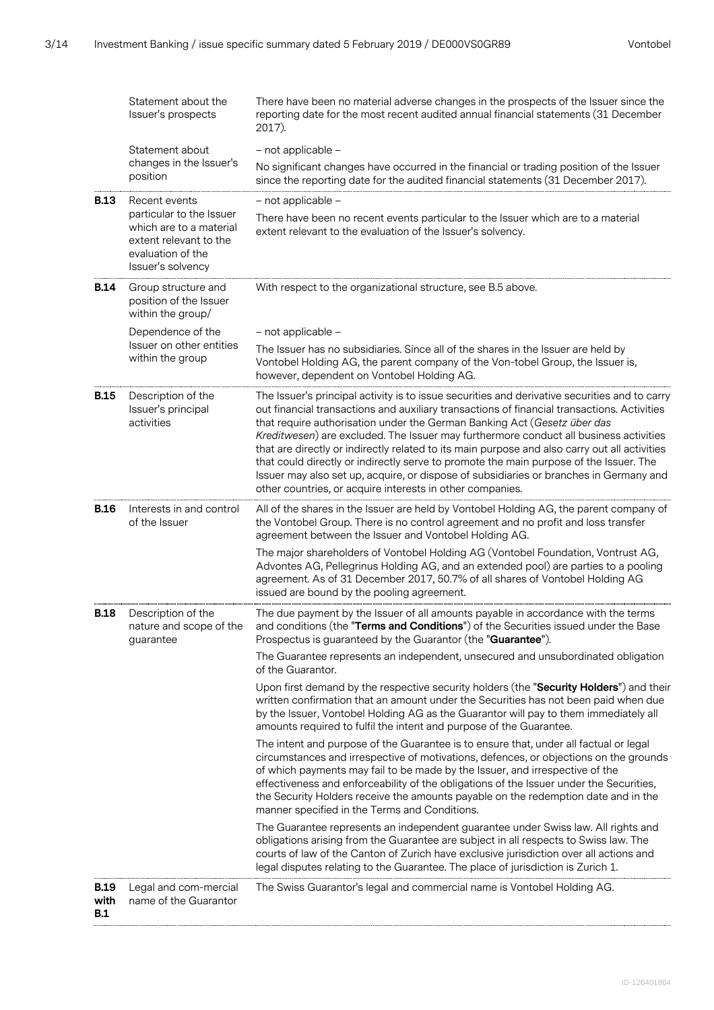| Statement about the<br>Issuer's prospects<br>2017). |                                                                                                                         | There have been no material adverse changes in the prospects of the Issuer since the<br>reporting date for the most recent audited annual financial statements (31 December                                                                                                                                                                                                                                                                                                                                                                                                                                                                                                                                         |
|-----------------------------------------------------|-------------------------------------------------------------------------------------------------------------------------|---------------------------------------------------------------------------------------------------------------------------------------------------------------------------------------------------------------------------------------------------------------------------------------------------------------------------------------------------------------------------------------------------------------------------------------------------------------------------------------------------------------------------------------------------------------------------------------------------------------------------------------------------------------------------------------------------------------------|
|                                                     | Statement about                                                                                                         | - not applicable -                                                                                                                                                                                                                                                                                                                                                                                                                                                                                                                                                                                                                                                                                                  |
|                                                     | changes in the Issuer's<br>position                                                                                     | No significant changes have occurred in the financial or trading position of the Issuer<br>since the reporting date for the audited financial statements (31 December 2017).                                                                                                                                                                                                                                                                                                                                                                                                                                                                                                                                        |
| <b>B.13</b>                                         | Recent events                                                                                                           | - not applicable -                                                                                                                                                                                                                                                                                                                                                                                                                                                                                                                                                                                                                                                                                                  |
|                                                     | particular to the Issuer<br>which are to a material<br>extent relevant to the<br>evaluation of the<br>Issuer's solvency | There have been no recent events particular to the Issuer which are to a material<br>extent relevant to the evaluation of the Issuer's solvency.                                                                                                                                                                                                                                                                                                                                                                                                                                                                                                                                                                    |
| <b>B.14</b>                                         | Group structure and<br>position of the Issuer<br>within the group/                                                      | With respect to the organizational structure, see B.5 above.                                                                                                                                                                                                                                                                                                                                                                                                                                                                                                                                                                                                                                                        |
|                                                     | Dependence of the                                                                                                       | - not applicable -                                                                                                                                                                                                                                                                                                                                                                                                                                                                                                                                                                                                                                                                                                  |
|                                                     | Issuer on other entities<br>within the group                                                                            | The Issuer has no subsidiaries. Since all of the shares in the Issuer are held by<br>Vontobel Holding AG, the parent company of the Von-tobel Group, the Issuer is,<br>however, dependent on Vontobel Holding AG.                                                                                                                                                                                                                                                                                                                                                                                                                                                                                                   |
| <b>B.15</b>                                         | Description of the<br>Issuer's principal<br>activities                                                                  | The Issuer's principal activity is to issue securities and derivative securities and to carry<br>out financial transactions and auxiliary transactions of financial transactions. Activities<br>that require authorisation under the German Banking Act (Gesetz über das<br>Kreditwesen) are excluded. The Issuer may furthermore conduct all business activities<br>that are directly or indirectly related to its main purpose and also carry out all activities<br>that could directly or indirectly serve to promote the main purpose of the Issuer. The<br>Issuer may also set up, acquire, or dispose of subsidiaries or branches in Germany and<br>other countries, or acquire interests in other companies. |
| <b>B.16</b>                                         | Interests in and control<br>of the Issuer                                                                               | All of the shares in the Issuer are held by Vontobel Holding AG, the parent company of<br>the Vontobel Group. There is no control agreement and no profit and loss transfer<br>agreement between the Issuer and Vontobel Holding AG.                                                                                                                                                                                                                                                                                                                                                                                                                                                                                |
|                                                     |                                                                                                                         | The major shareholders of Vontobel Holding AG (Vontobel Foundation, Vontrust AG,<br>Advontes AG, Pellegrinus Holding AG, and an extended pool) are parties to a pooling<br>agreement. As of 31 December 2017, 50.7% of all shares of Vontobel Holding AG<br>issued are bound by the pooling agreement.                                                                                                                                                                                                                                                                                                                                                                                                              |
| <b>B.18</b>                                         | Description of the<br>nature and scope of the<br>guarantee                                                              | The due payment by the Issuer of all amounts payable in accordance with the terms<br>and conditions (the "Terms and Conditions") of the Securities issued under the Base<br>Prospectus is guaranteed by the Guarantor (the "Guarantee").                                                                                                                                                                                                                                                                                                                                                                                                                                                                            |
|                                                     |                                                                                                                         | The Guarantee represents an independent, unsecured and unsubordinated obligation<br>of the Guarantor.                                                                                                                                                                                                                                                                                                                                                                                                                                                                                                                                                                                                               |
|                                                     |                                                                                                                         | Upon first demand by the respective security holders (the "Security Holders") and their<br>written confirmation that an amount under the Securities has not been paid when due<br>by the Issuer, Vontobel Holding AG as the Guarantor will pay to them immediately all<br>amounts required to fulfil the intent and purpose of the Guarantee.                                                                                                                                                                                                                                                                                                                                                                       |
|                                                     |                                                                                                                         | The intent and purpose of the Guarantee is to ensure that, under all factual or legal<br>circumstances and irrespective of motivations, defences, or objections on the grounds<br>of which payments may fail to be made by the Issuer, and irrespective of the<br>effectiveness and enforceability of the obligations of the Issuer under the Securities,<br>the Security Holders receive the amounts payable on the redemption date and in the<br>manner specified in the Terms and Conditions.                                                                                                                                                                                                                    |
|                                                     |                                                                                                                         | The Guarantee represents an independent guarantee under Swiss law. All rights and<br>obligations arising from the Guarantee are subject in all respects to Swiss law. The<br>courts of law of the Canton of Zurich have exclusive jurisdiction over all actions and<br>legal disputes relating to the Guarantee. The place of jurisdiction is Zurich 1.                                                                                                                                                                                                                                                                                                                                                             |
| <b>B.19</b><br>with<br>B.1                          | Legal and com-mercial<br>name of the Guarantor                                                                          | The Swiss Guarantor's legal and commercial name is Vontobel Holding AG.                                                                                                                                                                                                                                                                                                                                                                                                                                                                                                                                                                                                                                             |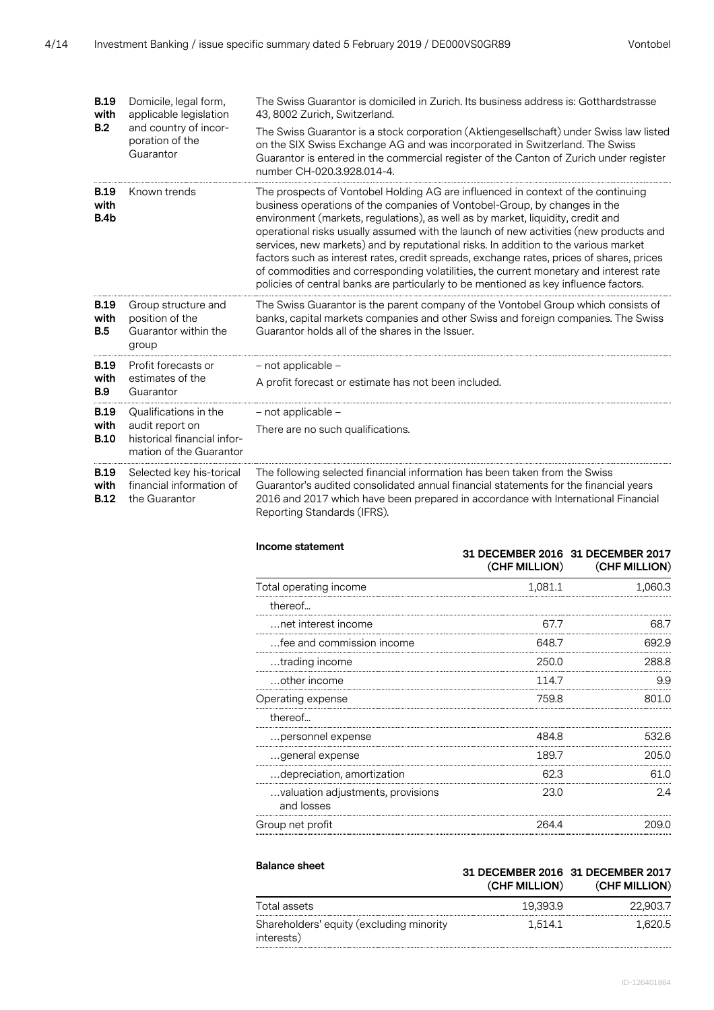| <b>B.19</b><br>with                | Domicile, legal form,<br>applicable legislation                           | The Swiss Guarantor is domiciled in Zurich. Its business address is: Gotthardstrasse<br>43, 8002 Zurich, Switzerland.                                                                                                                                                                                                                                                                                                                                                                                                                                                                                                                                                                                         |  |  |
|------------------------------------|---------------------------------------------------------------------------|---------------------------------------------------------------------------------------------------------------------------------------------------------------------------------------------------------------------------------------------------------------------------------------------------------------------------------------------------------------------------------------------------------------------------------------------------------------------------------------------------------------------------------------------------------------------------------------------------------------------------------------------------------------------------------------------------------------|--|--|
| B.2                                | and country of incor-<br>poration of the<br>Guarantor                     | The Swiss Guarantor is a stock corporation (Aktiengesellschaft) under Swiss law listed<br>on the SIX Swiss Exchange AG and was incorporated in Switzerland. The Swiss<br>Guarantor is entered in the commercial register of the Canton of Zurich under register<br>number CH-020.3.928.014-4.                                                                                                                                                                                                                                                                                                                                                                                                                 |  |  |
| <b>B.19</b><br>with<br>B.4b        | Known trends                                                              | The prospects of Vontobel Holding AG are influenced in context of the continuing<br>business operations of the companies of Vontobel-Group, by changes in the<br>environment (markets, regulations), as well as by market, liquidity, credit and<br>operational risks usually assumed with the launch of new activities (new products and<br>services, new markets) and by reputational risks. In addition to the various market<br>factors such as interest rates, credit spreads, exchange rates, prices of shares, prices<br>of commodities and corresponding volatilities, the current monetary and interest rate<br>policies of central banks are particularly to be mentioned as key influence factors. |  |  |
| <b>B.19</b><br>with<br><b>B.5</b>  | Group structure and<br>position of the<br>Guarantor within the<br>group   | The Swiss Guarantor is the parent company of the Vontobel Group which consists of<br>banks, capital markets companies and other Swiss and foreign companies. The Swiss<br>Guarantor holds all of the shares in the Issuer.                                                                                                                                                                                                                                                                                                                                                                                                                                                                                    |  |  |
| <b>B.19</b>                        | Profit forecasts or<br>estimates of the<br>Guarantor                      | - not applicable -                                                                                                                                                                                                                                                                                                                                                                                                                                                                                                                                                                                                                                                                                            |  |  |
| with<br><b>B.9</b>                 |                                                                           | A profit forecast or estimate has not been included.                                                                                                                                                                                                                                                                                                                                                                                                                                                                                                                                                                                                                                                          |  |  |
| <b>B.19</b>                        | Qualifications in the                                                     | - not applicable -                                                                                                                                                                                                                                                                                                                                                                                                                                                                                                                                                                                                                                                                                            |  |  |
| with<br><b>B.10</b>                | audit report on<br>historical financial infor-<br>mation of the Guarantor | There are no such qualifications.                                                                                                                                                                                                                                                                                                                                                                                                                                                                                                                                                                                                                                                                             |  |  |
| <b>B.19</b><br>with<br><b>B.12</b> | Selected key his-torical<br>financial information of<br>the Guarantor     | The following selected financial information has been taken from the Swiss<br>Guarantor's audited consolidated annual financial statements for the financial years<br>2016 and 2017 which have been prepared in accordance with International Financial<br>Reporting Standards (IFRS).                                                                                                                                                                                                                                                                                                                                                                                                                        |  |  |

| Income statement                                |         | 31 DECEMBER 2016 31 DECEMBER 2017<br>(CHF MILLION) (CHF MILLION) |  |
|-------------------------------------------------|---------|------------------------------------------------------------------|--|
| Total operating income                          | 1,081.1 | 1,060.3                                                          |  |
| thereof                                         |         |                                                                  |  |
| net interest income                             | 677     | 68.7                                                             |  |
| fee and commission income                       | 648.7   | 692.9                                                            |  |
| trading income                                  | 250.0   | 288.8                                                            |  |
| other income                                    | 114.7   | 9.9                                                              |  |
| Operating expense                               | 759.8   | 801 O                                                            |  |
| thereof                                         |         |                                                                  |  |
| personnel expense                               | 484.8   | 532.6                                                            |  |
| general expense                                 | 189.7   | 205.0                                                            |  |
| depreciation, amortization                      | 62.3    | 61.0                                                             |  |
| valuation adjustments, provisions<br>and losses | 23.0    | 2.4                                                              |  |
| Group net profit                                | 264.4   | 209.0                                                            |  |

| <b>Balance sheet</b>                                   | (CHF MILLION) | 31 DECEMBER 2016 31 DECEMBER 2017<br>(CHF MILLION) |
|--------------------------------------------------------|---------------|----------------------------------------------------|
| Total assets                                           | 19.393.9      | 22,903.7                                           |
| Shareholders' equity (excluding minority<br>interests) | 1.514.1       | 1.620.5                                            |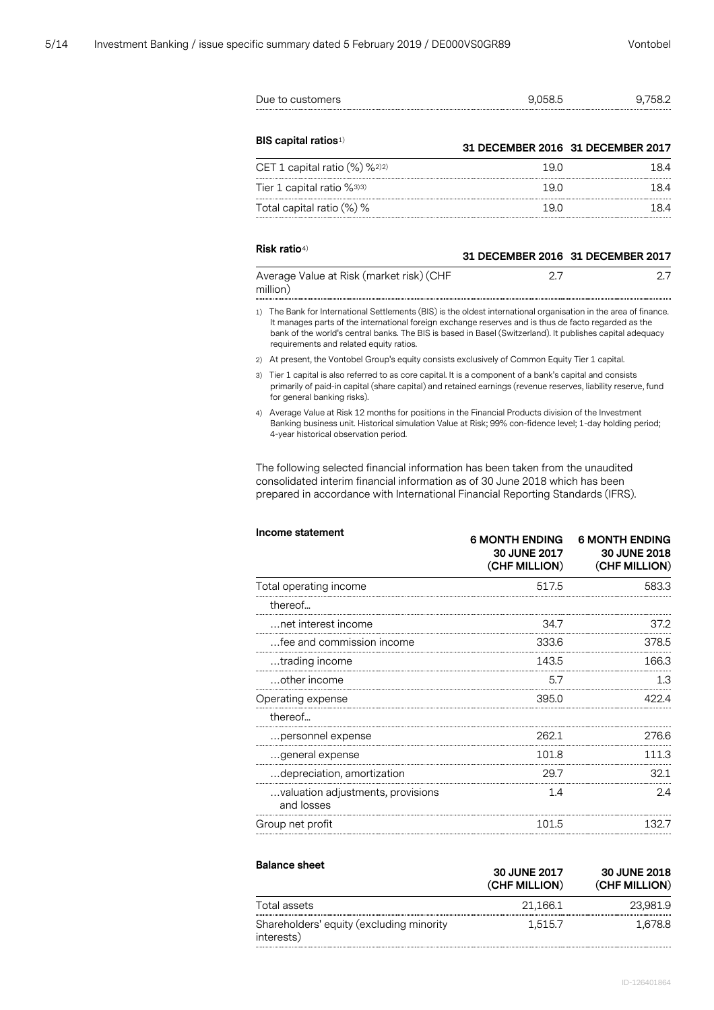|    | Due to customers                                                                                                                                                                                                                                                                                                                                                              | 9,058.5                                                | 9,758.2                                                |
|----|-------------------------------------------------------------------------------------------------------------------------------------------------------------------------------------------------------------------------------------------------------------------------------------------------------------------------------------------------------------------------------|--------------------------------------------------------|--------------------------------------------------------|
|    | <b>BIS capital ratios</b> <sup>1)</sup>                                                                                                                                                                                                                                                                                                                                       | 31 DECEMBER 2016 31 DECEMBER 2017                      |                                                        |
|    | CET 1 capital ratio (%) %2)2)                                                                                                                                                                                                                                                                                                                                                 | 19.0                                                   | 18.4                                                   |
|    | Tier 1 capital ratio %3)3)                                                                                                                                                                                                                                                                                                                                                    | 19.0                                                   | 18.4                                                   |
|    | Total capital ratio (%) %                                                                                                                                                                                                                                                                                                                                                     | 19.0                                                   | 18.4                                                   |
|    | Risk ratio <sup>4)</sup>                                                                                                                                                                                                                                                                                                                                                      |                                                        | 31 DECEMBER 2016 31 DECEMBER 2017                      |
|    | Average Value at Risk (market risk) (CHF<br>million)                                                                                                                                                                                                                                                                                                                          | 2.7                                                    | 2.7                                                    |
| 1) | The Bank for International Settlements (BIS) is the oldest international organisation in the area of finance.<br>It manages parts of the international foreign exchange reserves and is thus de facto regarded as the<br>bank of the world's central banks. The BIS is based in Basel (Switzerland). It publishes capital adequacy<br>requirements and related equity ratios. |                                                        |                                                        |
|    | 2) At present, the Vontobel Group's equity consists exclusively of Common Equity Tier 1 capital.                                                                                                                                                                                                                                                                              |                                                        |                                                        |
| 3) | Tier 1 capital is also referred to as core capital. It is a component of a bank's capital and consists<br>primarily of paid-in capital (share capital) and retained earnings (revenue reserves, liability reserve, fund<br>for general banking risks).                                                                                                                        |                                                        |                                                        |
|    | 4) Average Value at Risk 12 months for positions in the Financial Products division of the Investment<br>Banking business unit. Historical simulation Value at Risk; 99% con-fidence level; 1-day holding period;<br>4-year historical observation period.                                                                                                                    |                                                        |                                                        |
|    | The following selected financial information has been taken from the unaudited<br>consolidated interim financial information as of 30 June 2018 which has been<br>prepared in accordance with International Financial Reporting Standards (IFRS).                                                                                                                             |                                                        |                                                        |
|    | Income statement                                                                                                                                                                                                                                                                                                                                                              | <b>6 MONTH ENDING</b><br>30 JUNE 2017<br>(CHF MILLION) | <b>6 MONTH ENDING</b><br>30 JUNE 2018<br>(CHF MILLION) |
|    | Total operating income                                                                                                                                                                                                                                                                                                                                                        | 517.5                                                  | 583.3                                                  |
|    | thereof                                                                                                                                                                                                                                                                                                                                                                       |                                                        |                                                        |
|    | .net interest income                                                                                                                                                                                                                                                                                                                                                          | 34.7                                                   | 37.2                                                   |
|    | …fee and commission income                                                                                                                                                                                                                                                                                                                                                    | 333.6                                                  | 378.5                                                  |
|    | trading income                                                                                                                                                                                                                                                                                                                                                                | 143.5                                                  | 166.3                                                  |
|    | other income                                                                                                                                                                                                                                                                                                                                                                  | 5.7                                                    | 1.3                                                    |
|    | Operating expense                                                                                                                                                                                                                                                                                                                                                             | 395.0                                                  | 422.4                                                  |
|    | thereof                                                                                                                                                                                                                                                                                                                                                                       |                                                        |                                                        |
|    | nersonnel expense                                                                                                                                                                                                                                                                                                                                                             | 262 1                                                  | 276.6                                                  |

| thereof                                         |       |       |
|-------------------------------------------------|-------|-------|
| personnel expense                               | 262.1 | 276 R |
| general expense                                 | 101 R | 111 3 |
| depreciation, amortization                      |       |       |
| valuation adjustments, provisions<br>and losses |       |       |
| Group net profit                                | 101.5 |       |

| <b>Balance sheet</b>                                   | 30 JUNE 2017<br>(CHF MILLION) | <b>30 JUNE 2018</b><br>(CHF MILLION) |
|--------------------------------------------------------|-------------------------------|--------------------------------------|
| Total assets                                           | 21,166.1                      | 23.981.9                             |
| Shareholders' equity (excluding minority<br>interests) | 1.515.7                       | 1.678.8                              |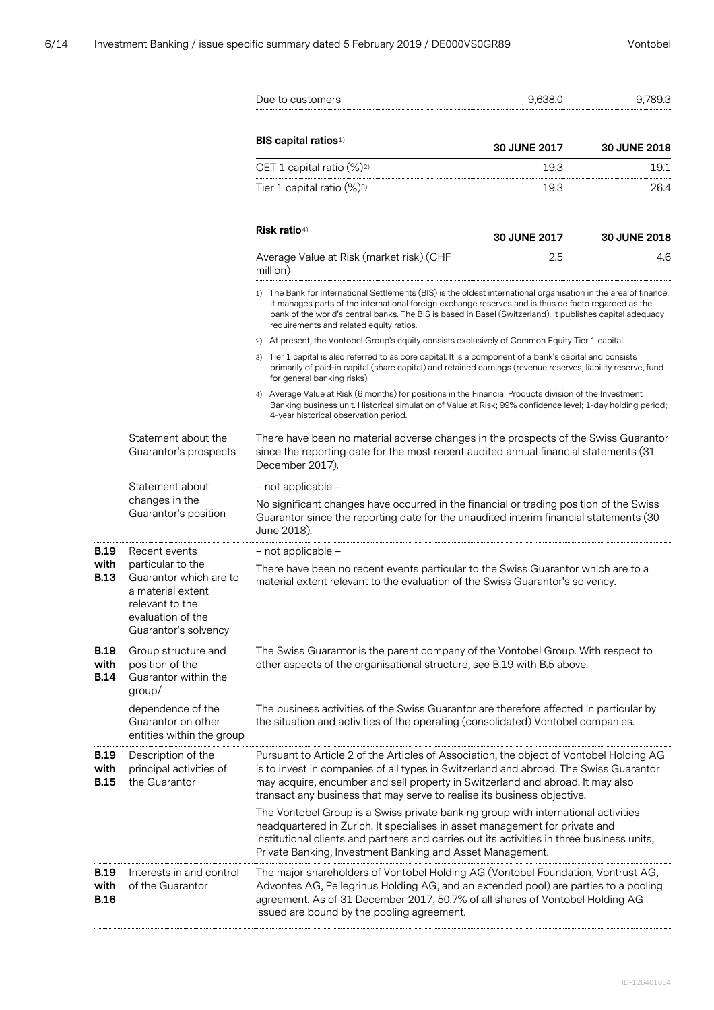**B.19 with B.13**

**B.19 with B.14**

**B.19 with B.15**

**B.19 with B.16**

|                                                                                                                                  | Due to customers                                                                                                                                                                                                                                                                                                                                                                 | 9,638.0             | 9,789.3             |  |  |
|----------------------------------------------------------------------------------------------------------------------------------|----------------------------------------------------------------------------------------------------------------------------------------------------------------------------------------------------------------------------------------------------------------------------------------------------------------------------------------------------------------------------------|---------------------|---------------------|--|--|
|                                                                                                                                  | <b>BIS capital ratios</b> <sup>1)</sup>                                                                                                                                                                                                                                                                                                                                          | 30 JUNE 2017        | <b>30 JUNE 2018</b> |  |  |
|                                                                                                                                  | CET 1 capital ratio (%) <sup>2)</sup>                                                                                                                                                                                                                                                                                                                                            | 19.3                | 19.1                |  |  |
|                                                                                                                                  | Tier 1 capital ratio (%)3)                                                                                                                                                                                                                                                                                                                                                       | 19.3                | 26.4                |  |  |
|                                                                                                                                  | Risk ratio <sup>4)</sup>                                                                                                                                                                                                                                                                                                                                                         | <b>30 JUNE 2017</b> | <b>30 JUNE 2018</b> |  |  |
|                                                                                                                                  | Average Value at Risk (market risk) (CHF<br>million)                                                                                                                                                                                                                                                                                                                             | 2.5                 | 4.6                 |  |  |
|                                                                                                                                  | 1) The Bank for International Settlements (BIS) is the oldest international organisation in the area of finance.<br>It manages parts of the international foreign exchange reserves and is thus de facto regarded as the<br>bank of the world's central banks. The BIS is based in Basel (Switzerland). It publishes capital adequacy<br>requirements and related equity ratios. |                     |                     |  |  |
|                                                                                                                                  | 2) At present, the Vontobel Group's equity consists exclusively of Common Equity Tier 1 capital.                                                                                                                                                                                                                                                                                 |                     |                     |  |  |
|                                                                                                                                  | 3) Tier 1 capital is also referred to as core capital. It is a component of a bank's capital and consists<br>primarily of paid-in capital (share capital) and retained earnings (revenue reserves, liability reserve, fund<br>for general banking risks).                                                                                                                        |                     |                     |  |  |
|                                                                                                                                  | 4) Average Value at Risk (6 months) for positions in the Financial Products division of the Investment<br>Banking business unit. Historical simulation of Value at Risk; 99% confidence level; 1-day holding period;<br>4-year historical observation period.                                                                                                                    |                     |                     |  |  |
| Statement about the<br>Guarantor's prospects                                                                                     | There have been no material adverse changes in the prospects of the Swiss Guarantor<br>since the reporting date for the most recent audited annual financial statements (31<br>December 2017).                                                                                                                                                                                   |                     |                     |  |  |
| Statement about                                                                                                                  | - not applicable -                                                                                                                                                                                                                                                                                                                                                               |                     |                     |  |  |
| changes in the<br>Guarantor's position                                                                                           | No significant changes have occurred in the financial or trading position of the Swiss<br>Guarantor since the reporting date for the unaudited interim financial statements (30<br>June 2018).                                                                                                                                                                                   |                     |                     |  |  |
| Recent events                                                                                                                    | - not applicable -                                                                                                                                                                                                                                                                                                                                                               |                     |                     |  |  |
| particular to the<br>Guarantor which are to<br>a material extent<br>relevant to the<br>evaluation of the<br>Guarantor's solvency | There have been no recent events particular to the Swiss Guarantor which are to a<br>material extent relevant to the evaluation of the Swiss Guarantor's solvency.                                                                                                                                                                                                               |                     |                     |  |  |
| Group structure and<br>position of the<br>Guarantor within the<br>group/                                                         | The Swiss Guarantor is the parent company of the Vontobel Group. With respect to<br>other aspects of the organisational structure, see B.19 with B.5 above.                                                                                                                                                                                                                      |                     |                     |  |  |
| dependence of the<br>Guarantor on other<br>entities within the group                                                             | The business activities of the Swiss Guarantor are therefore affected in particular by<br>the situation and activities of the operating (consolidated) Vontobel companies.                                                                                                                                                                                                       |                     |                     |  |  |
| Description of the<br>principal activities of<br>the Guarantor                                                                   | Pursuant to Article 2 of the Articles of Association, the object of Vontobel Holding AG<br>is to invest in companies of all types in Switzerland and abroad. The Swiss Guarantor<br>may acquire, encumber and sell property in Switzerland and abroad. It may also<br>transact any business that may serve to realise its business objective.                                    |                     |                     |  |  |
|                                                                                                                                  | The Vontobel Group is a Swiss private banking group with international activities<br>headquartered in Zurich. It specialises in asset management for private and<br>institutional clients and partners and carries out its activities in three business units,<br>Private Banking, Investment Banking and Asset Management.                                                      |                     |                     |  |  |
| Interests in and control<br>of the Guarantor                                                                                     | The major shareholders of Vontobel Holding AG (Vontobel Foundation, Vontrust AG,<br>Advontes AG, Pellegrinus Holding AG, and an extended pool) are parties to a pooling<br>agreement. As of 31 December 2017, 50.7% of all shares of Vontobel Holding AG<br>issued are bound by the pooling agreement.                                                                           |                     |                     |  |  |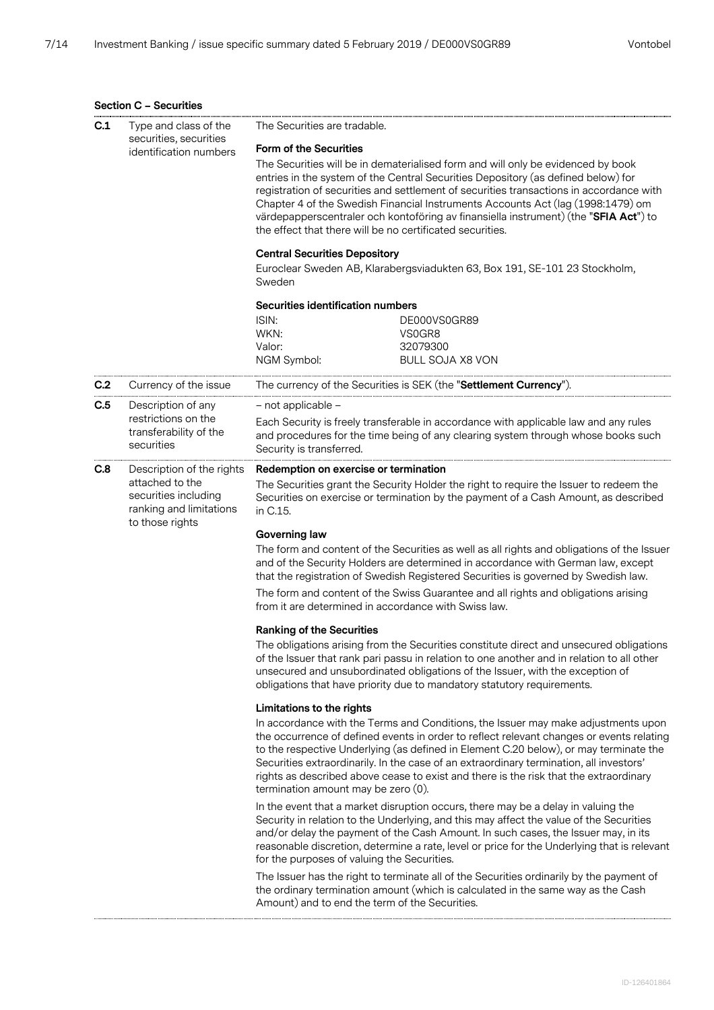## **Section C – Securities**

| C.1                                                                                                                                                                                                                            | Type and class of the<br>securities, securities                                       | The Securities are tradable.                                                                                                                                                                                                                                                                                                                                                                                                                                                                             |                                                                                                                                                                                                                                                                                                                                                                                                                                                            |  |
|--------------------------------------------------------------------------------------------------------------------------------------------------------------------------------------------------------------------------------|---------------------------------------------------------------------------------------|----------------------------------------------------------------------------------------------------------------------------------------------------------------------------------------------------------------------------------------------------------------------------------------------------------------------------------------------------------------------------------------------------------------------------------------------------------------------------------------------------------|------------------------------------------------------------------------------------------------------------------------------------------------------------------------------------------------------------------------------------------------------------------------------------------------------------------------------------------------------------------------------------------------------------------------------------------------------------|--|
| identification numbers                                                                                                                                                                                                         |                                                                                       | <b>Form of the Securities</b>                                                                                                                                                                                                                                                                                                                                                                                                                                                                            |                                                                                                                                                                                                                                                                                                                                                                                                                                                            |  |
|                                                                                                                                                                                                                                |                                                                                       | The Securities will be in dematerialised form and will only be evidenced by book<br>entries in the system of the Central Securities Depository (as defined below) for<br>registration of securities and settlement of securities transactions in accordance with<br>Chapter 4 of the Swedish Financial Instruments Accounts Act (lag (1998:1479) om<br>värdepapperscentraler och kontoföring av finansiella instrument) (the "SFIA Act") to<br>the effect that there will be no certificated securities. |                                                                                                                                                                                                                                                                                                                                                                                                                                                            |  |
|                                                                                                                                                                                                                                |                                                                                       | <b>Central Securities Depository</b>                                                                                                                                                                                                                                                                                                                                                                                                                                                                     |                                                                                                                                                                                                                                                                                                                                                                                                                                                            |  |
|                                                                                                                                                                                                                                |                                                                                       |                                                                                                                                                                                                                                                                                                                                                                                                                                                                                                          | Euroclear Sweden AB, Klarabergsviadukten 63, Box 191, SE-101 23 Stockholm,                                                                                                                                                                                                                                                                                                                                                                                 |  |
|                                                                                                                                                                                                                                |                                                                                       | Sweden                                                                                                                                                                                                                                                                                                                                                                                                                                                                                                   |                                                                                                                                                                                                                                                                                                                                                                                                                                                            |  |
|                                                                                                                                                                                                                                |                                                                                       | Securities identification numbers                                                                                                                                                                                                                                                                                                                                                                                                                                                                        |                                                                                                                                                                                                                                                                                                                                                                                                                                                            |  |
|                                                                                                                                                                                                                                |                                                                                       | ISIN:                                                                                                                                                                                                                                                                                                                                                                                                                                                                                                    | DE000VS0GR89                                                                                                                                                                                                                                                                                                                                                                                                                                               |  |
|                                                                                                                                                                                                                                |                                                                                       | WKN:                                                                                                                                                                                                                                                                                                                                                                                                                                                                                                     | VS0GR8                                                                                                                                                                                                                                                                                                                                                                                                                                                     |  |
|                                                                                                                                                                                                                                |                                                                                       | Valor:<br>NGM Symbol:                                                                                                                                                                                                                                                                                                                                                                                                                                                                                    | 32079300<br><b>BULL SOJA X8 VON</b>                                                                                                                                                                                                                                                                                                                                                                                                                        |  |
|                                                                                                                                                                                                                                |                                                                                       |                                                                                                                                                                                                                                                                                                                                                                                                                                                                                                          |                                                                                                                                                                                                                                                                                                                                                                                                                                                            |  |
| C.2                                                                                                                                                                                                                            | Currency of the issue                                                                 |                                                                                                                                                                                                                                                                                                                                                                                                                                                                                                          | The currency of the Securities is SEK (the "Settlement Currency").                                                                                                                                                                                                                                                                                                                                                                                         |  |
| C.5                                                                                                                                                                                                                            | Description of any                                                                    | - not applicable -                                                                                                                                                                                                                                                                                                                                                                                                                                                                                       |                                                                                                                                                                                                                                                                                                                                                                                                                                                            |  |
|                                                                                                                                                                                                                                | restrictions on the<br>transferability of the<br>securities                           | Security is transferred.                                                                                                                                                                                                                                                                                                                                                                                                                                                                                 | Each Security is freely transferable in accordance with applicable law and any rules<br>and procedures for the time being of any clearing system through whose books such                                                                                                                                                                                                                                                                                  |  |
| C.8                                                                                                                                                                                                                            | Description of the rights                                                             | Redemption on exercise or termination                                                                                                                                                                                                                                                                                                                                                                                                                                                                    |                                                                                                                                                                                                                                                                                                                                                                                                                                                            |  |
|                                                                                                                                                                                                                                | attached to the<br>securities including<br>ranking and limitations<br>to those rights | in C.15.                                                                                                                                                                                                                                                                                                                                                                                                                                                                                                 | The Securities grant the Security Holder the right to require the Issuer to redeem the<br>Securities on exercise or termination by the payment of a Cash Amount, as described                                                                                                                                                                                                                                                                              |  |
|                                                                                                                                                                                                                                |                                                                                       | <b>Governing law</b>                                                                                                                                                                                                                                                                                                                                                                                                                                                                                     |                                                                                                                                                                                                                                                                                                                                                                                                                                                            |  |
|                                                                                                                                                                                                                                |                                                                                       |                                                                                                                                                                                                                                                                                                                                                                                                                                                                                                          | The form and content of the Securities as well as all rights and obligations of the Issuer<br>and of the Security Holders are determined in accordance with German law, except<br>that the registration of Swedish Registered Securities is governed by Swedish law.                                                                                                                                                                                       |  |
|                                                                                                                                                                                                                                |                                                                                       | from it are determined in accordance with Swiss law.                                                                                                                                                                                                                                                                                                                                                                                                                                                     | The form and content of the Swiss Guarantee and all rights and obligations arising                                                                                                                                                                                                                                                                                                                                                                         |  |
|                                                                                                                                                                                                                                |                                                                                       | <b>Ranking of the Securities</b>                                                                                                                                                                                                                                                                                                                                                                                                                                                                         |                                                                                                                                                                                                                                                                                                                                                                                                                                                            |  |
|                                                                                                                                                                                                                                |                                                                                       |                                                                                                                                                                                                                                                                                                                                                                                                                                                                                                          | The obligations arising from the Securities constitute direct and unsecured obligations<br>of the Issuer that rank pari passu in relation to one another and in relation to all other<br>unsecured and unsubordinated obligations of the Issuer, with the exception of<br>obligations that have priority due to mandatory statutory requirements.                                                                                                          |  |
|                                                                                                                                                                                                                                |                                                                                       | Limitations to the rights                                                                                                                                                                                                                                                                                                                                                                                                                                                                                |                                                                                                                                                                                                                                                                                                                                                                                                                                                            |  |
|                                                                                                                                                                                                                                |                                                                                       | termination amount may be zero (0).                                                                                                                                                                                                                                                                                                                                                                                                                                                                      | In accordance with the Terms and Conditions, the Issuer may make adjustments upon<br>the occurrence of defined events in order to reflect relevant changes or events relating<br>to the respective Underlying (as defined in Element C.20 below), or may terminate the<br>Securities extraordinarily. In the case of an extraordinary termination, all investors'<br>rights as described above cease to exist and there is the risk that the extraordinary |  |
|                                                                                                                                                                                                                                |                                                                                       | for the purposes of valuing the Securities.                                                                                                                                                                                                                                                                                                                                                                                                                                                              | In the event that a market disruption occurs, there may be a delay in valuing the<br>Security in relation to the Underlying, and this may affect the value of the Securities<br>and/or delay the payment of the Cash Amount. In such cases, the Issuer may, in its<br>reasonable discretion, determine a rate, level or price for the Underlying that is relevant                                                                                          |  |
| The Issuer has the right to terminate all of the Securities ordinarily by the payment of<br>the ordinary termination amount (which is calculated in the same way as the Cash<br>Amount) and to end the term of the Securities. |                                                                                       |                                                                                                                                                                                                                                                                                                                                                                                                                                                                                                          |                                                                                                                                                                                                                                                                                                                                                                                                                                                            |  |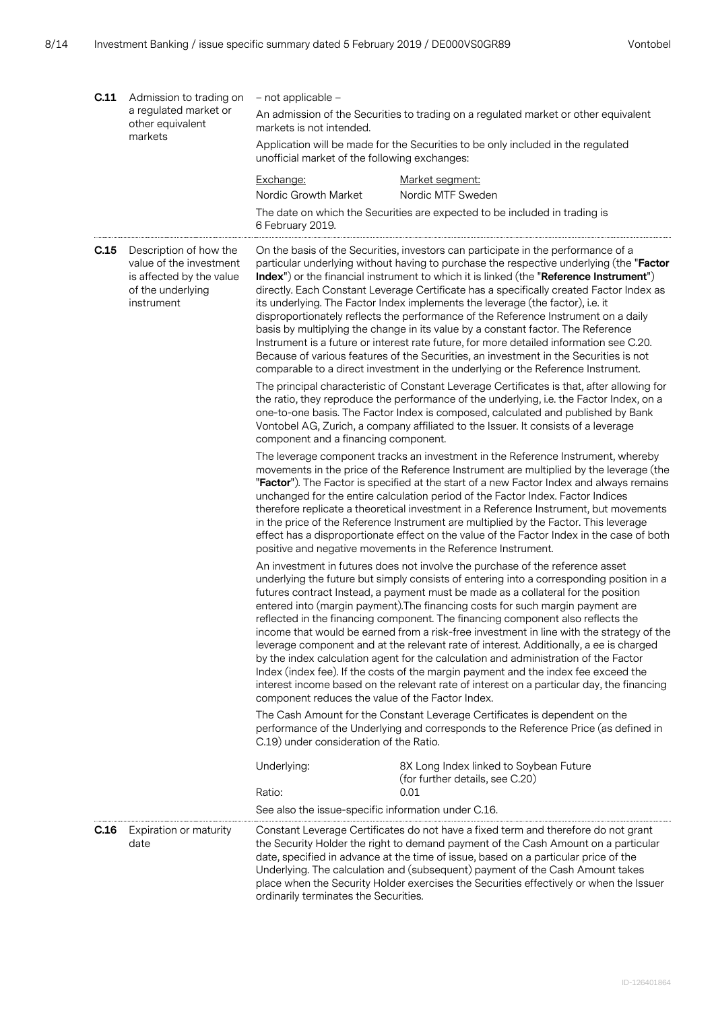| C.11 | Admission to trading on                                                                                          | - not applicable -                                  |                                                                                                                                                                                                                                                                                                                                                                                                                                                                                                                                                                                                                                                                                                                                                                                                                                                                                                       |  |
|------|------------------------------------------------------------------------------------------------------------------|-----------------------------------------------------|-------------------------------------------------------------------------------------------------------------------------------------------------------------------------------------------------------------------------------------------------------------------------------------------------------------------------------------------------------------------------------------------------------------------------------------------------------------------------------------------------------------------------------------------------------------------------------------------------------------------------------------------------------------------------------------------------------------------------------------------------------------------------------------------------------------------------------------------------------------------------------------------------------|--|
|      | a regulated market or<br>other equivalent<br>markets                                                             | markets is not intended.                            | An admission of the Securities to trading on a regulated market or other equivalent                                                                                                                                                                                                                                                                                                                                                                                                                                                                                                                                                                                                                                                                                                                                                                                                                   |  |
|      |                                                                                                                  | unofficial market of the following exchanges:       | Application will be made for the Securities to be only included in the regulated                                                                                                                                                                                                                                                                                                                                                                                                                                                                                                                                                                                                                                                                                                                                                                                                                      |  |
|      |                                                                                                                  | Exchange:                                           | Market segment:                                                                                                                                                                                                                                                                                                                                                                                                                                                                                                                                                                                                                                                                                                                                                                                                                                                                                       |  |
|      |                                                                                                                  | Nordic Growth Market                                | Nordic MTF Sweden                                                                                                                                                                                                                                                                                                                                                                                                                                                                                                                                                                                                                                                                                                                                                                                                                                                                                     |  |
|      |                                                                                                                  | 6 February 2019.                                    | The date on which the Securities are expected to be included in trading is                                                                                                                                                                                                                                                                                                                                                                                                                                                                                                                                                                                                                                                                                                                                                                                                                            |  |
| C.15 | Description of how the<br>value of the investment<br>is affected by the value<br>of the underlying<br>instrument |                                                     | On the basis of the Securities, investors can participate in the performance of a<br>particular underlying without having to purchase the respective underlying (the "Factor<br>Index") or the financial instrument to which it is linked (the "Reference Instrument")<br>directly. Each Constant Leverage Certificate has a specifically created Factor Index as<br>its underlying. The Factor Index implements the leverage (the factor), i.e. it<br>disproportionately reflects the performance of the Reference Instrument on a daily<br>basis by multiplying the change in its value by a constant factor. The Reference<br>Instrument is a future or interest rate future, for more detailed information see C.20.<br>Because of various features of the Securities, an investment in the Securities is not<br>comparable to a direct investment in the underlying or the Reference Instrument. |  |
|      |                                                                                                                  | component and a financing component.                | The principal characteristic of Constant Leverage Certificates is that, after allowing for<br>the ratio, they reproduce the performance of the underlying, i.e. the Factor Index, on a<br>one-to-one basis. The Factor Index is composed, calculated and published by Bank<br>Vontobel AG, Zurich, a company affiliated to the Issuer. It consists of a leverage                                                                                                                                                                                                                                                                                                                                                                                                                                                                                                                                      |  |
|      |                                                                                                                  |                                                     | The leverage component tracks an investment in the Reference Instrument, whereby<br>movements in the price of the Reference Instrument are multiplied by the leverage (the<br>"Factor"). The Factor is specified at the start of a new Factor Index and always remains<br>unchanged for the entire calculation period of the Factor Index. Factor Indices<br>therefore replicate a theoretical investment in a Reference Instrument, but movements<br>in the price of the Reference Instrument are multiplied by the Factor. This leverage<br>effect has a disproportionate effect on the value of the Factor Index in the case of both<br>positive and negative movements in the Reference Instrument.                                                                                                                                                                                               |  |
|      |                                                                                                                  | component reduces the value of the Factor Index.    | An investment in futures does not involve the purchase of the reference asset<br>underlying the future but simply consists of entering into a corresponding position in a<br>futures contract Instead, a payment must be made as a collateral for the position<br>entered into (margin payment). The financing costs for such margin payment are<br>reflected in the financing component. The financing component also reflects the<br>income that would be earned from a risk-free investment in line with the strategy of the<br>leverage component and at the relevant rate of interest. Additionally, a ee is charged<br>by the index calculation agent for the calculation and administration of the Factor<br>Index (index fee). If the costs of the margin payment and the index fee exceed the<br>interest income based on the relevant rate of interest on a particular day, the financing   |  |
|      |                                                                                                                  | C.19) under consideration of the Ratio.             | The Cash Amount for the Constant Leverage Certificates is dependent on the<br>performance of the Underlying and corresponds to the Reference Price (as defined in                                                                                                                                                                                                                                                                                                                                                                                                                                                                                                                                                                                                                                                                                                                                     |  |
|      |                                                                                                                  | Underlying:<br>Ratio:                               | 8X Long Index linked to Soybean Future<br>(for further details, see C.20)<br>0.01                                                                                                                                                                                                                                                                                                                                                                                                                                                                                                                                                                                                                                                                                                                                                                                                                     |  |
|      |                                                                                                                  | See also the issue-specific information under C.16. |                                                                                                                                                                                                                                                                                                                                                                                                                                                                                                                                                                                                                                                                                                                                                                                                                                                                                                       |  |
| C.16 | Expiration or maturity<br>date                                                                                   | ordinarily terminates the Securities.               | Constant Leverage Certificates do not have a fixed term and therefore do not grant<br>the Security Holder the right to demand payment of the Cash Amount on a particular<br>date, specified in advance at the time of issue, based on a particular price of the<br>Underlying. The calculation and (subsequent) payment of the Cash Amount takes<br>place when the Security Holder exercises the Securities effectively or when the Issuer                                                                                                                                                                                                                                                                                                                                                                                                                                                            |  |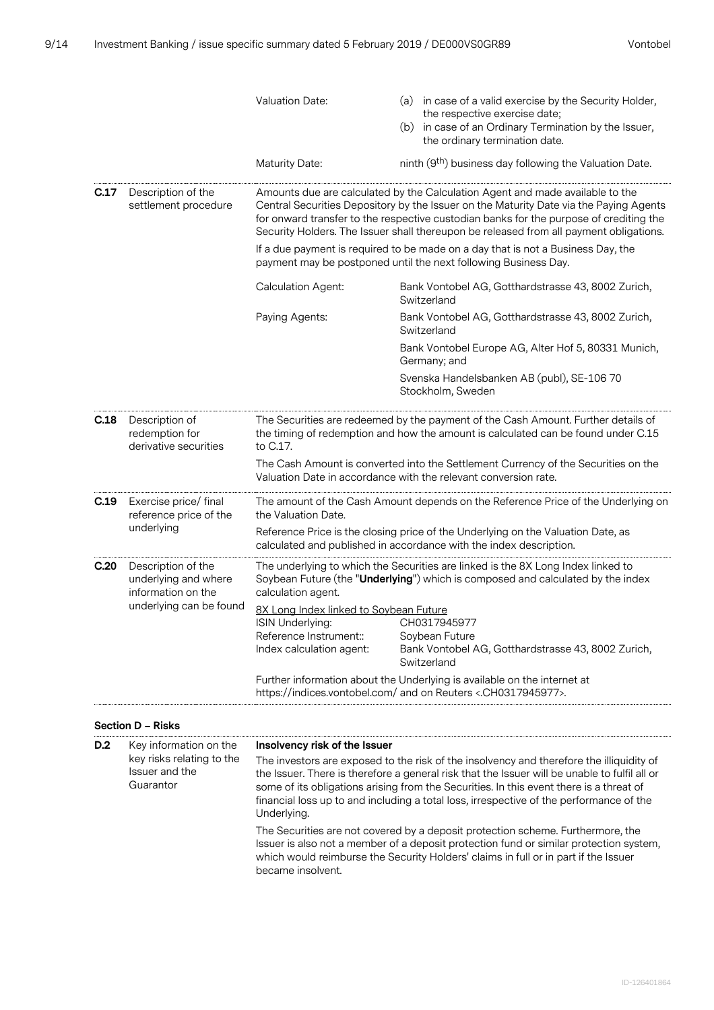|      |                                                                  | Valuation Date:                                                                                                                                     | (a) in case of a valid exercise by the Security Holder,<br>the respective exercise date;<br>(b) in case of an Ordinary Termination by the Issuer,<br>the ordinary termination date.                                                                                                                                                                         |  |  |
|------|------------------------------------------------------------------|-----------------------------------------------------------------------------------------------------------------------------------------------------|-------------------------------------------------------------------------------------------------------------------------------------------------------------------------------------------------------------------------------------------------------------------------------------------------------------------------------------------------------------|--|--|
|      |                                                                  | Maturity Date:                                                                                                                                      | ninth (9th) business day following the Valuation Date.                                                                                                                                                                                                                                                                                                      |  |  |
| C.17 | Description of the<br>settlement procedure                       |                                                                                                                                                     | Amounts due are calculated by the Calculation Agent and made available to the<br>Central Securities Depository by the Issuer on the Maturity Date via the Paying Agents<br>for onward transfer to the respective custodian banks for the purpose of crediting the<br>Security Holders. The Issuer shall thereupon be released from all payment obligations. |  |  |
|      |                                                                  | If a due payment is required to be made on a day that is not a Business Day, the<br>payment may be postponed until the next following Business Day. |                                                                                                                                                                                                                                                                                                                                                             |  |  |
|      |                                                                  | Calculation Agent:                                                                                                                                  | Bank Vontobel AG, Gotthardstrasse 43, 8002 Zurich,<br>Switzerland                                                                                                                                                                                                                                                                                           |  |  |
|      |                                                                  | Paying Agents:                                                                                                                                      | Bank Vontobel AG, Gotthardstrasse 43, 8002 Zurich,<br>Switzerland                                                                                                                                                                                                                                                                                           |  |  |
|      |                                                                  |                                                                                                                                                     | Bank Vontobel Europe AG, Alter Hof 5, 80331 Munich,<br>Germany; and                                                                                                                                                                                                                                                                                         |  |  |
|      |                                                                  |                                                                                                                                                     | Svenska Handelsbanken AB (publ), SE-106 70<br>Stockholm, Sweden                                                                                                                                                                                                                                                                                             |  |  |
| C.18 | Description of<br>redemption for<br>derivative securities        | to C.17.                                                                                                                                            | The Securities are redeemed by the payment of the Cash Amount. Further details of<br>the timing of redemption and how the amount is calculated can be found under C.15                                                                                                                                                                                      |  |  |
|      |                                                                  |                                                                                                                                                     | The Cash Amount is converted into the Settlement Currency of the Securities on the<br>Valuation Date in accordance with the relevant conversion rate.                                                                                                                                                                                                       |  |  |
| C.19 | Exercise price/ final<br>reference price of the                  | the Valuation Date.                                                                                                                                 | The amount of the Cash Amount depends on the Reference Price of the Underlying on                                                                                                                                                                                                                                                                           |  |  |
|      | underlying                                                       |                                                                                                                                                     | Reference Price is the closing price of the Underlying on the Valuation Date, as<br>calculated and published in accordance with the index description.                                                                                                                                                                                                      |  |  |
| C.20 | Description of the<br>underlying and where<br>information on the | calculation agent.                                                                                                                                  | The underlying to which the Securities are linked is the 8X Long Index linked to<br>Soybean Future (the "Underlying") which is composed and calculated by the index                                                                                                                                                                                         |  |  |
|      | underlying can be found                                          | 8X Long Index linked to Soybean Future<br>ISIN Underlying:<br>Reference Instrument::<br>Index calculation agent:                                    | CH0317945977<br>Soybean Future<br>Bank Vontobel AG, Gotthardstrasse 43, 8002 Zurich,<br>Switzerland                                                                                                                                                                                                                                                         |  |  |
|      |                                                                  | https://indices.vontobel.com/ and on Reuters <.CH0317945977>.                                                                                       | Further information about the Underlying is available on the internet at                                                                                                                                                                                                                                                                                    |  |  |

| Section D - Risks |  |  |
|-------------------|--|--|
|-------------------|--|--|

| D.2 | Key information on the<br>key risks relating to the<br>Issuer and the<br>Guarantor | Insolvency risk of the Issuer<br>The investors are exposed to the risk of the insolvency and therefore the illiquidity of<br>the Issuer. There is therefore a general risk that the Issuer will be unable to fulfil all or<br>some of its obligations arising from the Securities. In this event there is a threat of<br>financial loss up to and including a total loss, irrespective of the performance of the<br>Underlying. |
|-----|------------------------------------------------------------------------------------|---------------------------------------------------------------------------------------------------------------------------------------------------------------------------------------------------------------------------------------------------------------------------------------------------------------------------------------------------------------------------------------------------------------------------------|
|     |                                                                                    | The Securities are not covered by a deposit protection scheme. Furthermore, the<br>Issuer is also not a member of a deposit protection fund or similar protection system,<br>which would reimburse the Security Holders' claims in full or in part if the Issuer<br>became insolvent.                                                                                                                                           |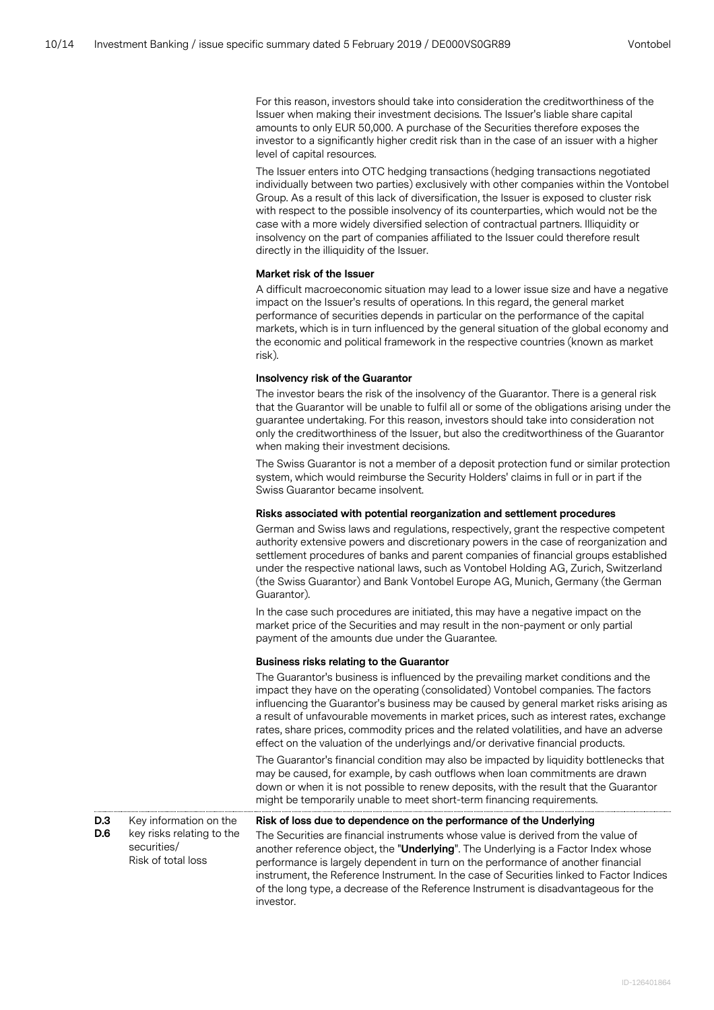For this reason, investors should take into consideration the creditworthiness of the Issuer when making their investment decisions. The Issuer's liable share capital amounts to only EUR 50,000. A purchase of the Securities therefore exposes the investor to a significantly higher credit risk than in the case of an issuer with a higher level of capital resources.

The Issuer enters into OTC hedging transactions (hedging transactions negotiated individually between two parties) exclusively with other companies within the Vontobel Group. As a result of this lack of diversification, the Issuer is exposed to cluster risk with respect to the possible insolvency of its counterparties, which would not be the case with a more widely diversified selection of contractual partners. Illiquidity or insolvency on the part of companies affiliated to the Issuer could therefore result directly in the illiquidity of the Issuer.

## **Market risk of the Issuer**

A difficult macroeconomic situation may lead to a lower issue size and have a negative impact on the Issuer's results of operations. In this regard, the general market performance of securities depends in particular on the performance of the capital markets, which is in turn influenced by the general situation of the global economy and the economic and political framework in the respective countries (known as market risk).

#### **Insolvency risk of the Guarantor**

The investor bears the risk of the insolvency of the Guarantor. There is a general risk that the Guarantor will be unable to fulfil all or some of the obligations arising under the guarantee undertaking. For this reason, investors should take into consideration not only the creditworthiness of the Issuer, but also the creditworthiness of the Guarantor when making their investment decisions.

The Swiss Guarantor is not a member of a deposit protection fund or similar protection system, which would reimburse the Security Holders' claims in full or in part if the Swiss Guarantor became insolvent.

#### **Risks associated with potential reorganization and settlement procedures**

German and Swiss laws and regulations, respectively, grant the respective competent authority extensive powers and discretionary powers in the case of reorganization and settlement procedures of banks and parent companies of financial groups established under the respective national laws, such as Vontobel Holding AG, Zurich, Switzerland (the Swiss Guarantor) and Bank Vontobel Europe AG, Munich, Germany (the German Guarantor).

In the case such procedures are initiated, this may have a negative impact on the market price of the Securities and may result in the non-payment or only partial payment of the amounts due under the Guarantee.

#### **Business risks relating to the Guarantor**

The Guarantor's business is influenced by the prevailing market conditions and the impact they have on the operating (consolidated) Vontobel companies. The factors influencing the Guarantor's business may be caused by general market risks arising as a result of unfavourable movements in market prices, such as interest rates, exchange rates, share prices, commodity prices and the related volatilities, and have an adverse effect on the valuation of the underlyings and/or derivative financial products.

The Guarantor's financial condition may also be impacted by liquidity bottlenecks that may be caused, for example, by cash outflows when loan commitments are drawn down or when it is not possible to renew deposits, with the result that the Guarantor might be temporarily unable to meet short-term financing requirements.

**D.3 D.6** Key information on the key risks relating to the securities/ Risk of total loss

## **Risk of loss due to dependence on the performance of the Underlying**

The Securities are financial instruments whose value is derived from the value of another reference object, the "**Underlying**". The Underlying is a Factor Index whose performance is largely dependent in turn on the performance of another financial instrument, the Reference Instrument. In the case of Securities linked to Factor Indices of the long type, a decrease of the Reference Instrument is disadvantageous for the investor.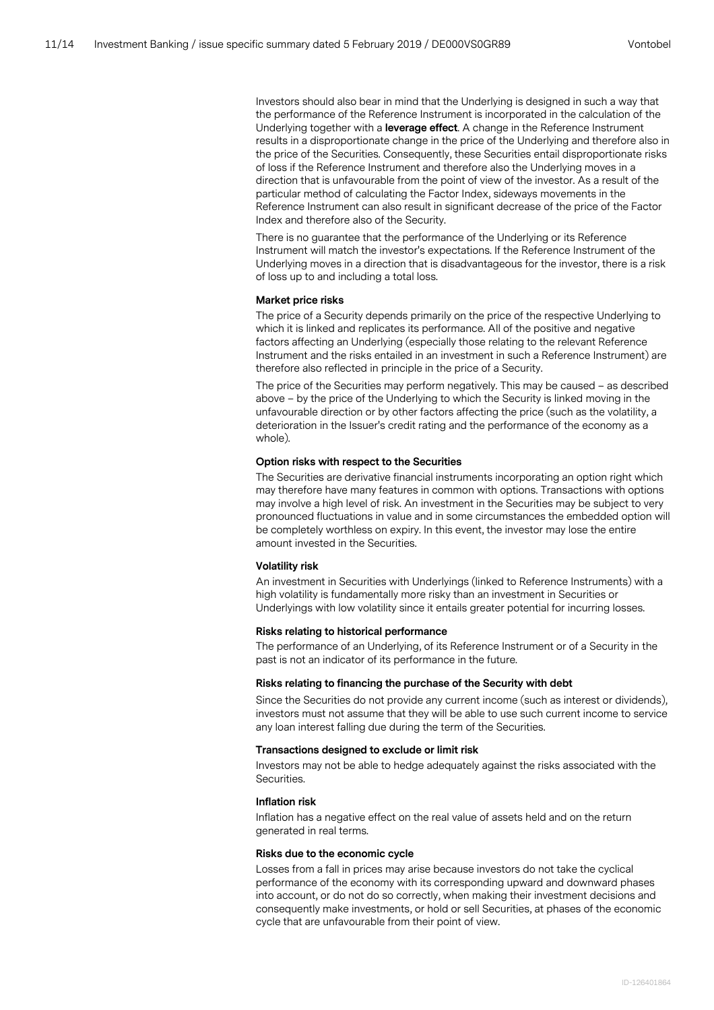Investors should also bear in mind that the Underlying is designed in such a way that the performance of the Reference Instrument is incorporated in the calculation of the Underlying together with a **leverage effect**. A change in the Reference Instrument results in a disproportionate change in the price of the Underlying and therefore also in the price of the Securities. Consequently, these Securities entail disproportionate risks of loss if the Reference Instrument and therefore also the Underlying moves in a direction that is unfavourable from the point of view of the investor. As a result of the particular method of calculating the Factor Index, sideways movements in the Reference Instrument can also result in significant decrease of the price of the Factor Index and therefore also of the Security.

There is no guarantee that the performance of the Underlying or its Reference Instrument will match the investor's expectations. If the Reference Instrument of the Underlying moves in a direction that is disadvantageous for the investor, there is a risk of loss up to and including a total loss.

#### **Market price risks**

The price of a Security depends primarily on the price of the respective Underlying to which it is linked and replicates its performance. All of the positive and negative factors affecting an Underlying (especially those relating to the relevant Reference Instrument and the risks entailed in an investment in such a Reference Instrument) are therefore also reflected in principle in the price of a Security.

The price of the Securities may perform negatively. This may be caused – as described above – by the price of the Underlying to which the Security is linked moving in the unfavourable direction or by other factors affecting the price (such as the volatility, a deterioration in the Issuer's credit rating and the performance of the economy as a whole).

#### **Option risks with respect to the Securities**

The Securities are derivative financial instruments incorporating an option right which may therefore have many features in common with options. Transactions with options may involve a high level of risk. An investment in the Securities may be subject to very pronounced fluctuations in value and in some circumstances the embedded option will be completely worthless on expiry. In this event, the investor may lose the entire amount invested in the Securities.

#### **Volatility risk**

An investment in Securities with Underlyings (linked to Reference Instruments) with a high volatility is fundamentally more risky than an investment in Securities or Underlyings with low volatility since it entails greater potential for incurring losses.

#### **Risks relating to historical performance**

The performance of an Underlying, of its Reference Instrument or of a Security in the past is not an indicator of its performance in the future.

#### **Risks relating to financing the purchase of the Security with debt**

Since the Securities do not provide any current income (such as interest or dividends), investors must not assume that they will be able to use such current income to service any loan interest falling due during the term of the Securities.

#### **Transactions designed to exclude or limit risk**

Investors may not be able to hedge adequately against the risks associated with the Securities.

#### **Inflation risk**

Inflation has a negative effect on the real value of assets held and on the return generated in real terms.

#### **Risks due to the economic cycle**

Losses from a fall in prices may arise because investors do not take the cyclical performance of the economy with its corresponding upward and downward phases into account, or do not do so correctly, when making their investment decisions and consequently make investments, or hold or sell Securities, at phases of the economic cycle that are unfavourable from their point of view.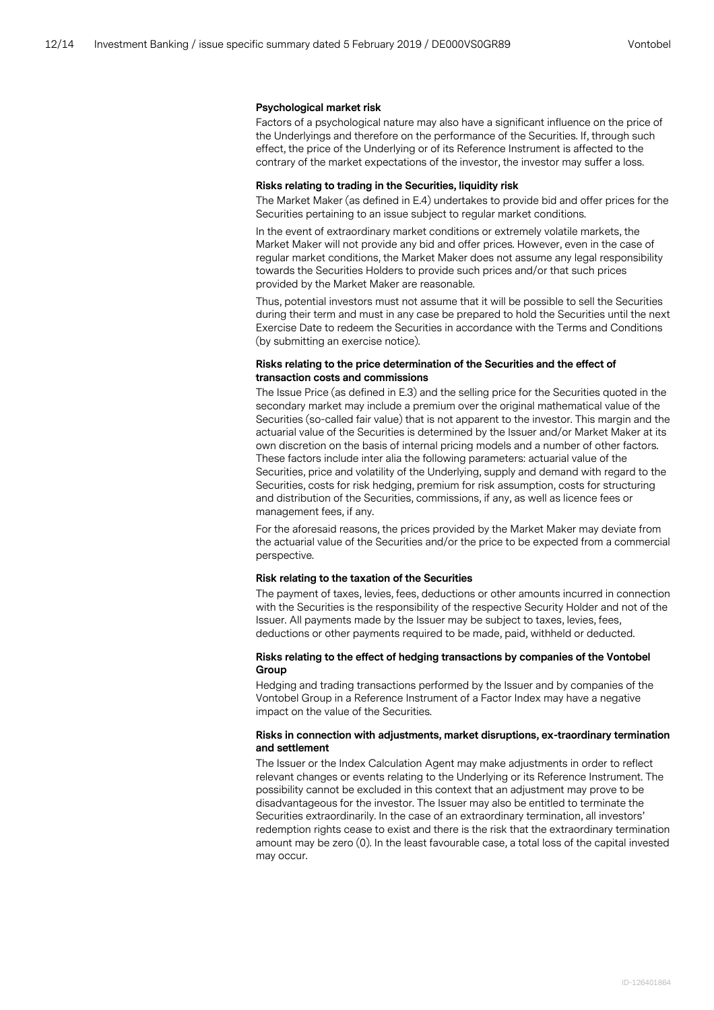#### **Psychological market risk**

Factors of a psychological nature may also have a significant influence on the price of the Underlyings and therefore on the performance of the Securities. If, through such effect, the price of the Underlying or of its Reference Instrument is affected to the contrary of the market expectations of the investor, the investor may suffer a loss.

#### **Risks relating to trading in the Securities, liquidity risk**

The Market Maker (as defined in E.4) undertakes to provide bid and offer prices for the Securities pertaining to an issue subject to regular market conditions.

In the event of extraordinary market conditions or extremely volatile markets, the Market Maker will not provide any bid and offer prices. However, even in the case of regular market conditions, the Market Maker does not assume any legal responsibility towards the Securities Holders to provide such prices and/or that such prices provided by the Market Maker are reasonable.

Thus, potential investors must not assume that it will be possible to sell the Securities during their term and must in any case be prepared to hold the Securities until the next Exercise Date to redeem the Securities in accordance with the Terms and Conditions (by submitting an exercise notice).

## **Risks relating to the price determination of the Securities and the effect of transaction costs and commissions**

The Issue Price (as defined in E.3) and the selling price for the Securities quoted in the secondary market may include a premium over the original mathematical value of the Securities (so-called fair value) that is not apparent to the investor. This margin and the actuarial value of the Securities is determined by the Issuer and/or Market Maker at its own discretion on the basis of internal pricing models and a number of other factors. These factors include inter alia the following parameters: actuarial value of the Securities, price and volatility of the Underlying, supply and demand with regard to the Securities, costs for risk hedging, premium for risk assumption, costs for structuring and distribution of the Securities, commissions, if any, as well as licence fees or management fees, if any.

For the aforesaid reasons, the prices provided by the Market Maker may deviate from the actuarial value of the Securities and/or the price to be expected from a commercial perspective.

#### **Risk relating to the taxation of the Securities**

The payment of taxes, levies, fees, deductions or other amounts incurred in connection with the Securities is the responsibility of the respective Security Holder and not of the Issuer. All payments made by the Issuer may be subject to taxes, levies, fees, deductions or other payments required to be made, paid, withheld or deducted.

## **Risks relating to the effect of hedging transactions by companies of the Vontobel Group**

Hedging and trading transactions performed by the Issuer and by companies of the Vontobel Group in a Reference Instrument of a Factor Index may have a negative impact on the value of the Securities.

#### **Risks in connection with adjustments, market disruptions, ex-traordinary termination and settlement**

The Issuer or the Index Calculation Agent may make adjustments in order to reflect relevant changes or events relating to the Underlying or its Reference Instrument. The possibility cannot be excluded in this context that an adjustment may prove to be disadvantageous for the investor. The Issuer may also be entitled to terminate the Securities extraordinarily. In the case of an extraordinary termination, all investors' redemption rights cease to exist and there is the risk that the extraordinary termination amount may be zero (0). In the least favourable case, a total loss of the capital invested may occur.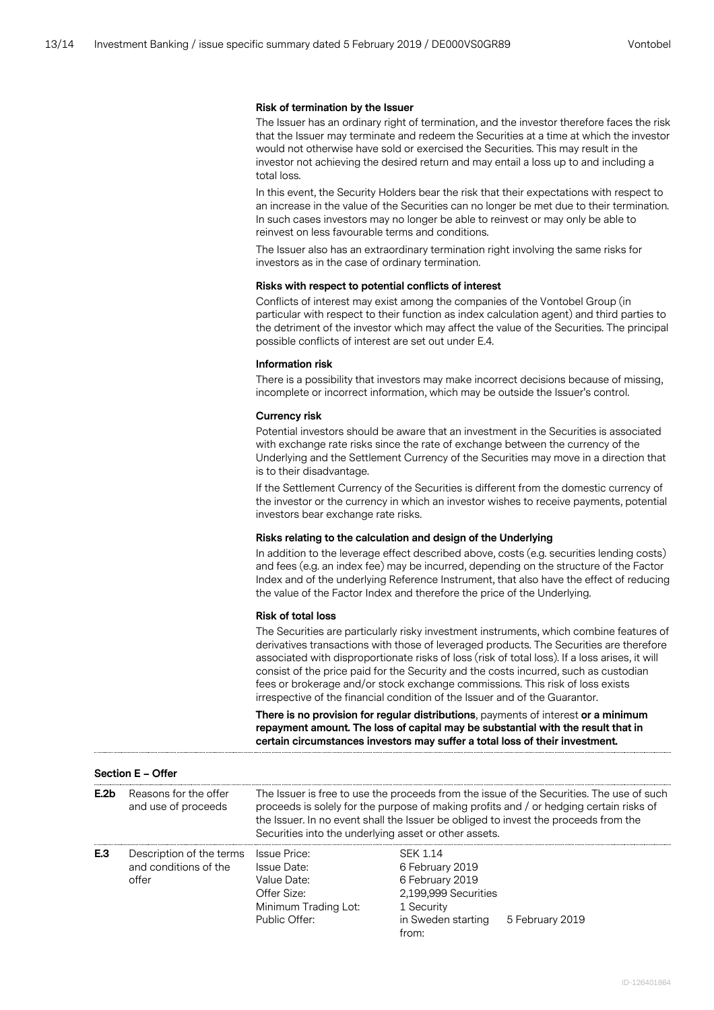## **Risk of termination by the Issuer**

The Issuer has an ordinary right of termination, and the investor therefore faces the risk that the Issuer may terminate and redeem the Securities at a time at which the investor would not otherwise have sold or exercised the Securities. This may result in the investor not achieving the desired return and may entail a loss up to and including a total loss.

In this event, the Security Holders bear the risk that their expectations with respect to an increase in the value of the Securities can no longer be met due to their termination. In such cases investors may no longer be able to reinvest or may only be able to reinvest on less favourable terms and conditions.

The Issuer also has an extraordinary termination right involving the same risks for investors as in the case of ordinary termination.

#### **Risks with respect to potential conflicts of interest**

Conflicts of interest may exist among the companies of the Vontobel Group (in particular with respect to their function as index calculation agent) and third parties to the detriment of the investor which may affect the value of the Securities. The principal possible conflicts of interest are set out under E.4.

#### **Information risk**

There is a possibility that investors may make incorrect decisions because of missing, incomplete or incorrect information, which may be outside the Issuer's control.

#### **Currency risk**

Potential investors should be aware that an investment in the Securities is associated with exchange rate risks since the rate of exchange between the currency of the Underlying and the Settlement Currency of the Securities may move in a direction that is to their disadvantage.

If the Settlement Currency of the Securities is different from the domestic currency of the investor or the currency in which an investor wishes to receive payments, potential investors bear exchange rate risks.

#### **Risks relating to the calculation and design of the Underlying**

In addition to the leverage effect described above, costs (e.g. securities lending costs) and fees (e.g. an index fee) may be incurred, depending on the structure of the Factor Index and of the underlying Reference Instrument, that also have the effect of reducing the value of the Factor Index and therefore the price of the Underlying.

#### **Risk of total loss**

**Section E – Offer**

The Securities are particularly risky investment instruments, which combine features of derivatives transactions with those of leveraged products. The Securities are therefore associated with disproportionate risks of loss (risk of total loss). If a loss arises, it will consist of the price paid for the Security and the costs incurred, such as custodian fees or brokerage and/or stock exchange commissions. This risk of loss exists irrespective of the financial condition of the Issuer and of the Guarantor.

**There is no provision for regular distributions**, payments of interest **or a minimum repayment amount. The loss of capital may be substantial with the result that in certain circumstances investors may suffer a total loss of their investment.**

|                  | <b>JCLUSTLE - OIICI</b>                                    |                                                                                                                                                                                                                                                                                                                                    |                                                                                                                            |                 |
|------------------|------------------------------------------------------------|------------------------------------------------------------------------------------------------------------------------------------------------------------------------------------------------------------------------------------------------------------------------------------------------------------------------------------|----------------------------------------------------------------------------------------------------------------------------|-----------------|
| E.2 <sub>b</sub> | Reasons for the offer<br>and use of proceeds               | The Issuer is free to use the proceeds from the issue of the Securities. The use of such<br>proceeds is solely for the purpose of making profits and / or hedging certain risks of<br>the Issuer. In no event shall the Issuer be obliged to invest the proceeds from the<br>Securities into the underlying asset or other assets. |                                                                                                                            |                 |
| E.3              | Description of the terms<br>and conditions of the<br>offer | <b>Issue Price:</b><br>Issue Date:<br>Value Date:<br>Offer Size:<br>Minimum Trading Lot:<br>Public Offer:                                                                                                                                                                                                                          | <b>SFK 1.14</b><br>6 February 2019<br>6 February 2019<br>2,199,999 Securities<br>1 Security<br>in Sweden starting<br>from: | 5 February 2019 |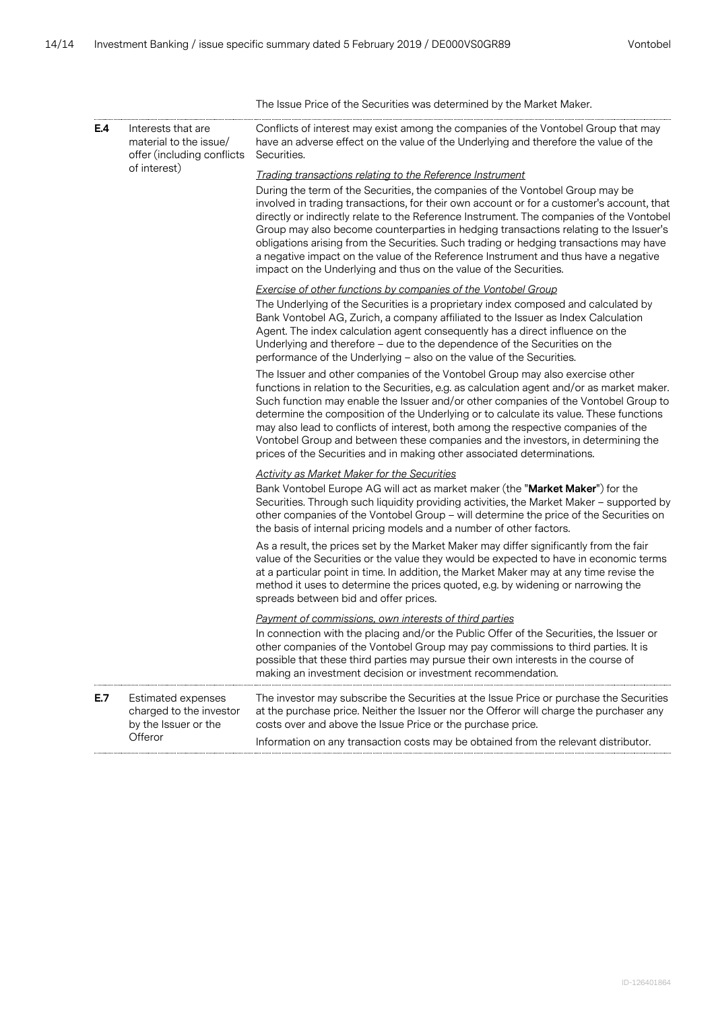|     |                                                                            | The Issue Price of the Securities was determined by the Market Maker.                                                                                                                                                                                                                                                                                                                                                                                                                                                                                                                                                 |
|-----|----------------------------------------------------------------------------|-----------------------------------------------------------------------------------------------------------------------------------------------------------------------------------------------------------------------------------------------------------------------------------------------------------------------------------------------------------------------------------------------------------------------------------------------------------------------------------------------------------------------------------------------------------------------------------------------------------------------|
| E.4 | Interests that are<br>material to the issue/<br>offer (including conflicts | Conflicts of interest may exist among the companies of the Vontobel Group that may<br>have an adverse effect on the value of the Underlying and therefore the value of the<br>Securities.                                                                                                                                                                                                                                                                                                                                                                                                                             |
|     | of interest)                                                               | Trading transactions relating to the Reference Instrument                                                                                                                                                                                                                                                                                                                                                                                                                                                                                                                                                             |
|     |                                                                            | During the term of the Securities, the companies of the Vontobel Group may be<br>involved in trading transactions, for their own account or for a customer's account, that<br>directly or indirectly relate to the Reference Instrument. The companies of the Vontobel<br>Group may also become counterparties in hedging transactions relating to the Issuer's<br>obligations arising from the Securities. Such trading or hedging transactions may have<br>a negative impact on the value of the Reference Instrument and thus have a negative<br>impact on the Underlying and thus on the value of the Securities. |
|     |                                                                            | <b>Exercise of other functions by companies of the Vontobel Group</b><br>The Underlying of the Securities is a proprietary index composed and calculated by<br>Bank Vontobel AG, Zurich, a company affiliated to the Issuer as Index Calculation<br>Agent. The index calculation agent consequently has a direct influence on the<br>Underlying and therefore - due to the dependence of the Securities on the<br>performance of the Underlying - also on the value of the Securities.                                                                                                                                |
|     |                                                                            | The Issuer and other companies of the Vontobel Group may also exercise other<br>functions in relation to the Securities, e.g. as calculation agent and/or as market maker.<br>Such function may enable the Issuer and/or other companies of the Vontobel Group to<br>determine the composition of the Underlying or to calculate its value. These functions<br>may also lead to conflicts of interest, both among the respective companies of the<br>Vontobel Group and between these companies and the investors, in determining the<br>prices of the Securities and in making other associated determinations.      |
|     |                                                                            | <b>Activity as Market Maker for the Securities</b><br>Bank Vontobel Europe AG will act as market maker (the "Market Maker") for the<br>Securities. Through such liquidity providing activities, the Market Maker - supported by<br>other companies of the Vontobel Group - will determine the price of the Securities on<br>the basis of internal pricing models and a number of other factors.                                                                                                                                                                                                                       |
|     |                                                                            | As a result, the prices set by the Market Maker may differ significantly from the fair<br>value of the Securities or the value they would be expected to have in economic terms<br>at a particular point in time. In addition, the Market Maker may at any time revise the<br>method it uses to determine the prices quoted, e.g. by widening or narrowing the<br>spreads between bid and offer prices.                                                                                                                                                                                                               |
|     |                                                                            | Payment of commissions, own interests of third parties<br>In connection with the placing and/or the Public Offer of the Securities, the Issuer or<br>other companies of the Vontobel Group may pay commissions to third parties. It is<br>possible that these third parties may pursue their own interests in the course of<br>making an investment decision or investment recommendation.                                                                                                                                                                                                                            |
| E.7 | Estimated expenses<br>charged to the investor<br>by the Issuer or the      | The investor may subscribe the Securities at the Issue Price or purchase the Securities<br>at the purchase price. Neither the Issuer nor the Offeror will charge the purchaser any<br>costs over and above the Issue Price or the purchase price.                                                                                                                                                                                                                                                                                                                                                                     |
|     | Offeror                                                                    | Information on any transaction costs may be obtained from the relevant distributor.                                                                                                                                                                                                                                                                                                                                                                                                                                                                                                                                   |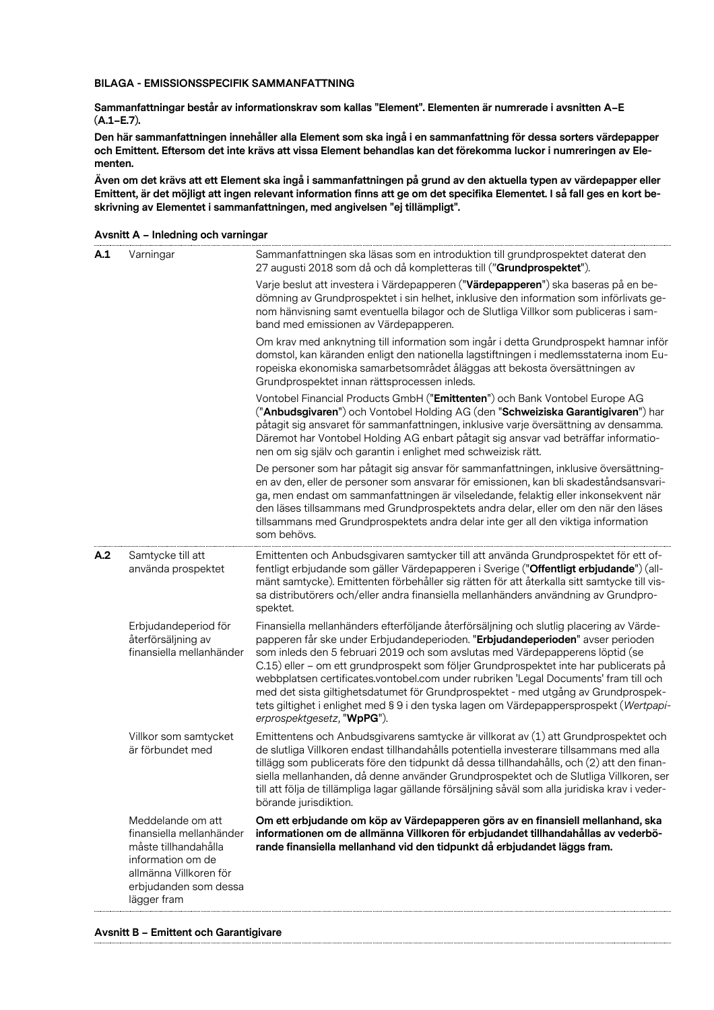## **BILAGA - EMISSIONSSPECIFIK SAMMANFATTNING**

**Sammanfattningar består av informationskrav som kallas "Element". Elementen är numrerade i avsnitten A–E (A.1–E.7).**

**Den här sammanfattningen innehåller alla Element som ska ingå i en sammanfattning för dessa sorters värdepapper och Emittent. Eftersom det inte krävs att vissa Element behandlas kan det förekomma luckor i numreringen av Elementen.**

**Även om det krävs att ett Element ska ingå i sammanfattningen på grund av den aktuella typen av värdepapper eller Emittent, är det möjligt att ingen relevant information finns att ge om det specifika Elementet. I så fall ges en kort beskrivning av Elementet i sammanfattningen, med angivelsen "ej tillämpligt".**

| A.1 | Varningar                                                                                                                                                    | Sammanfattningen ska läsas som en introduktion till grundprospektet daterat den<br>27 augusti 2018 som då och då kompletteras till ("Grundprospektet").                                                                                                                                                                                                                                                                                                                                                                                                                                                                                                  |
|-----|--------------------------------------------------------------------------------------------------------------------------------------------------------------|----------------------------------------------------------------------------------------------------------------------------------------------------------------------------------------------------------------------------------------------------------------------------------------------------------------------------------------------------------------------------------------------------------------------------------------------------------------------------------------------------------------------------------------------------------------------------------------------------------------------------------------------------------|
|     |                                                                                                                                                              | Varje beslut att investera i Värdepapperen ("Värdepapperen") ska baseras på en be-<br>dömning av Grundprospektet i sin helhet, inklusive den information som införlivats ge-<br>nom hänvisning samt eventuella bilagor och de Slutliga Villkor som publiceras i sam-<br>band med emissionen av Värdepapperen.                                                                                                                                                                                                                                                                                                                                            |
|     |                                                                                                                                                              | Om krav med anknytning till information som ingår i detta Grundprospekt hamnar inför<br>domstol, kan käranden enligt den nationella lagstiftningen i medlemsstaterna inom Eu-<br>ropeiska ekonomiska samarbetsområdet åläggas att bekosta översättningen av<br>Grundprospektet innan rättsprocessen inleds.                                                                                                                                                                                                                                                                                                                                              |
|     |                                                                                                                                                              | Vontobel Financial Products GmbH ("Emittenten") och Bank Vontobel Europe AG<br>("Anbudsgivaren") och Vontobel Holding AG (den "Schweiziska Garantigivaren") har<br>påtagit sig ansvaret för sammanfattningen, inklusive varje översättning av densamma.<br>Däremot har Vontobel Holding AG enbart påtagit sig ansvar vad beträffar informatio-<br>nen om sig själv och garantin i enlighet med schweizisk rätt.                                                                                                                                                                                                                                          |
|     |                                                                                                                                                              | De personer som har påtagit sig ansvar för sammanfattningen, inklusive översättning-<br>en av den, eller de personer som ansvarar för emissionen, kan bli skadeståndsansvari-<br>ga, men endast om sammanfattningen är vilseledande, felaktig eller inkonsekvent när<br>den läses tillsammans med Grundprospektets andra delar, eller om den när den läses<br>tillsammans med Grundprospektets andra delar inte ger all den viktiga information<br>som behövs.                                                                                                                                                                                           |
| A.2 | Samtycke till att<br>använda prospektet                                                                                                                      | Emittenten och Anbudsgivaren samtycker till att använda Grundprospektet för ett of-<br>fentligt erbjudande som gäller Värdepapperen i Sverige ("Offentligt erbjudande") (all-<br>mänt samtycke). Emittenten förbehåller sig rätten för att återkalla sitt samtycke till vis-<br>sa distributörers och/eller andra finansiella mellanhänders användning av Grundpro-<br>spektet.                                                                                                                                                                                                                                                                          |
|     | Erbjudandeperiod för<br>återförsäljning av<br>finansiella mellanhänder                                                                                       | Finansiella mellanhänders efterföljande återförsäljning och slutlig placering av Värde-<br>papperen får ske under Erbjudandeperioden. "Erbjudandeperioden" avser perioden<br>som inleds den 5 februari 2019 och som avslutas med Värdepapperens löptid (se<br>C.15) eller – om ett grundprospekt som följer Grundprospektet inte har publicerats på<br>webbplatsen certificates.vontobel.com under rubriken 'Legal Documents' fram till och<br>med det sista giltighetsdatumet för Grundprospektet - med utgång av Grundprospek-<br>tets giltighet i enlighet med § 9 i den tyska lagen om Värdepappersprospekt (Wertpapi-<br>erprospektgesetz, "WpPG"). |
|     | Villkor som samtycket<br>är förbundet med                                                                                                                    | Emittentens och Anbudsgivarens samtycke är villkorat av (1) att Grundprospektet och<br>de slutliga Villkoren endast tillhandahålls potentiella investerare tillsammans med alla<br>tillägg som publicerats före den tidpunkt då dessa tillhandahålls, och (2) att den finan-<br>siella mellanhanden, då denne använder Grundprospektet och de Slutliga Villkoren, ser<br>till att följa de tillämpliga lagar gällande försäljning såväl som alla juridiska krav i veder-<br>börande jurisdiktion.                                                                                                                                                        |
|     | Meddelande om att<br>finansiella mellanhänder<br>måste tillhandahålla<br>information om de<br>allmänna Villkoren för<br>erbjudanden som dessa<br>lägger fram | Om ett erbjudande om köp av Värdepapperen görs av en finansiell mellanhand, ska<br>informationen om de allmänna Villkoren för erbjudandet tillhandahållas av vederbö-<br>rande finansiella mellanhand vid den tidpunkt då erbjudandet läggs fram.                                                                                                                                                                                                                                                                                                                                                                                                        |

**Avsnitt A – Inledning och varningar**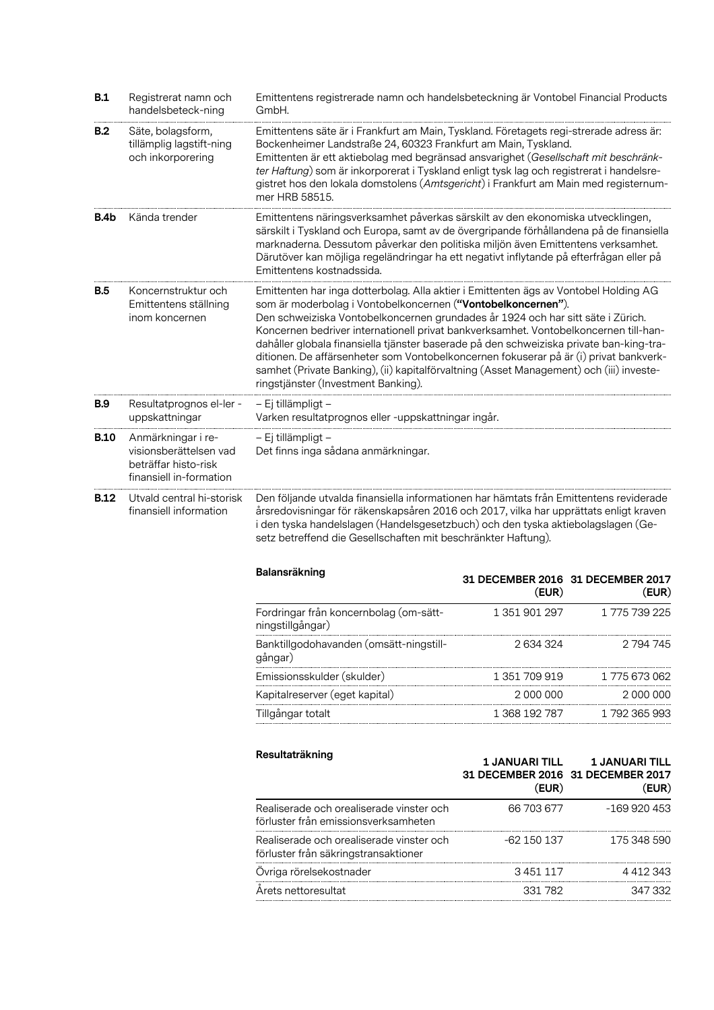| B.1         | Registrerat namn och<br>handelsbeteck-ning                                                      | Emittentens registrerade namn och handelsbeteckning är Vontobel Financial Products<br>GmbH.                                                                                                                                                                                                                                                                                                                                                                                                                                                                                                                                                           |                                    |                                                                     |  |
|-------------|-------------------------------------------------------------------------------------------------|-------------------------------------------------------------------------------------------------------------------------------------------------------------------------------------------------------------------------------------------------------------------------------------------------------------------------------------------------------------------------------------------------------------------------------------------------------------------------------------------------------------------------------------------------------------------------------------------------------------------------------------------------------|------------------------------------|---------------------------------------------------------------------|--|
| <b>B.2</b>  | Säte, bolagsform,<br>tillämplig lagstift-ning<br>och inkorporering                              | Emittentens säte är i Frankfurt am Main, Tyskland. Företagets regi-strerade adress är:<br>Bockenheimer Landstraße 24, 60323 Frankfurt am Main, Tyskland.<br>Emittenten är ett aktiebolag med begränsad ansvarighet (Gesellschaft mit beschränk-<br>ter Haftung) som är inkorporerat i Tyskland enligt tysk lag och registrerat i handelsre-<br>gistret hos den lokala domstolens (Amtsgericht) i Frankfurt am Main med registernum-<br>mer HRB 58515.                                                                                                                                                                                                 |                                    |                                                                     |  |
| B.4b        | Kända trender                                                                                   | Emittentens näringsverksamhet påverkas särskilt av den ekonomiska utvecklingen,<br>särskilt i Tyskland och Europa, samt av de övergripande förhållandena på de finansiella<br>marknaderna. Dessutom påverkar den politiska miljön även Emittentens verksamhet.<br>Därutöver kan möjliga regeländringar ha ett negativt inflytande på efterfrågan eller på<br>Emittentens kostnadssida.                                                                                                                                                                                                                                                                |                                    |                                                                     |  |
| <b>B.5</b>  | Koncernstruktur och<br>Emittentens ställning<br>inom koncernen                                  | Emittenten har inga dotterbolag. Alla aktier i Emittenten ägs av Vontobel Holding AG<br>som är moderbolag i Vontobelkoncernen ("Vontobelkoncernen").<br>Den schweiziska Vontobelkoncernen grundades år 1924 och har sitt säte i Zürich.<br>Koncernen bedriver internationell privat bankverksamhet. Vontobelkoncernen till-han-<br>dahåller globala finansiella tjänster baserade på den schweiziska private ban-king-tra-<br>ditionen. De affärsenheter som Vontobelkoncernen fokuserar på är (i) privat bankverk-<br>samhet (Private Banking), (ii) kapitalförvaltning (Asset Management) och (iii) investe-<br>ringstjänster (Investment Banking). |                                    |                                                                     |  |
| <b>B.9</b>  | Resultatprognos el-ler -<br>uppskattningar                                                      | – Ej tillämpligt –<br>Varken resultatprognos eller -uppskattningar ingår.                                                                                                                                                                                                                                                                                                                                                                                                                                                                                                                                                                             |                                    |                                                                     |  |
| <b>B.10</b> | Anmärkningar i re-<br>visionsberättelsen vad<br>beträffar histo-risk<br>finansiell in-formation | - Ej tillämpligt -<br>Det finns inga sådana anmärkningar.                                                                                                                                                                                                                                                                                                                                                                                                                                                                                                                                                                                             |                                    |                                                                     |  |
| <b>B.12</b> | Utvald central hi-storisk<br>finansiell information                                             | Den följande utvalda finansiella informationen har hämtats från Emittentens reviderade<br>årsredovisningar för räkenskapsåren 2016 och 2017, vilka har upprättats enligt kraven<br>i den tyska handelslagen (Handelsgesetzbuch) och den tyska aktiebolagslagen (Ge-<br>setz betreffend die Gesellschaften mit beschränkter Haftung).                                                                                                                                                                                                                                                                                                                  |                                    |                                                                     |  |
|             |                                                                                                 | Balansräkning                                                                                                                                                                                                                                                                                                                                                                                                                                                                                                                                                                                                                                         | (EUR)                              | 31 DECEMBER 2016 31 DECEMBER 2017<br>(EUR)                          |  |
|             |                                                                                                 | Fordringar från koncernbolag (om-sätt-<br>ningstillgångar)                                                                                                                                                                                                                                                                                                                                                                                                                                                                                                                                                                                            | 1 351 901 297                      | 1775 739 225                                                        |  |
|             |                                                                                                 | Banktillgodohavanden (omsätt-ningstill-<br>gångar)                                                                                                                                                                                                                                                                                                                                                                                                                                                                                                                                                                                                    | 2 634 324                          | 2 794 745                                                           |  |
|             |                                                                                                 | Emissionsskulder (skulder)                                                                                                                                                                                                                                                                                                                                                                                                                                                                                                                                                                                                                            | 1 351 709 919                      | 1 775 673 062                                                       |  |
|             |                                                                                                 | Kapitalreserver (eget kapital)                                                                                                                                                                                                                                                                                                                                                                                                                                                                                                                                                                                                                        | 2 000 000<br>ital) 20 <sup>1</sup> | 2 000 000                                                           |  |
|             |                                                                                                 | Tillgångar totalt                                                                                                                                                                                                                                                                                                                                                                                                                                                                                                                                                                                                                                     | 1 368 192 787                      | 1792365993                                                          |  |
|             |                                                                                                 | Resultaträkning                                                                                                                                                                                                                                                                                                                                                                                                                                                                                                                                                                                                                                       | <b>1 JANUARI TILL</b><br>(EUR)     | <b>1 JANUARI TILL</b><br>31 DECEMBER 2016 31 DECEMBER 2017<br>(EUR) |  |
|             |                                                                                                 | Realiserade och orealiserade vinster och<br>förluster från emissionsverksamheten                                                                                                                                                                                                                                                                                                                                                                                                                                                                                                                                                                      | 66 703 677                         | $-169920453$                                                        |  |
|             |                                                                                                 | Realiserade och orealiserade vinster och<br>förluster från säkringstransaktioner                                                                                                                                                                                                                                                                                                                                                                                                                                                                                                                                                                      | -62 150 137                        | 175 348 590                                                         |  |
|             |                                                                                                 | Övriga rörelsekostnader                                                                                                                                                                                                                                                                                                                                                                                                                                                                                                                                                                                                                               | 3 451 117                          | 4 4 1 2 3 4 3                                                       |  |
|             |                                                                                                 | Arets nettoresultat                                                                                                                                                                                                                                                                                                                                                                                                                                                                                                                                                                                                                                   | 331 782                            | 347 332                                                             |  |
|             |                                                                                                 |                                                                                                                                                                                                                                                                                                                                                                                                                                                                                                                                                                                                                                                       |                                    |                                                                     |  |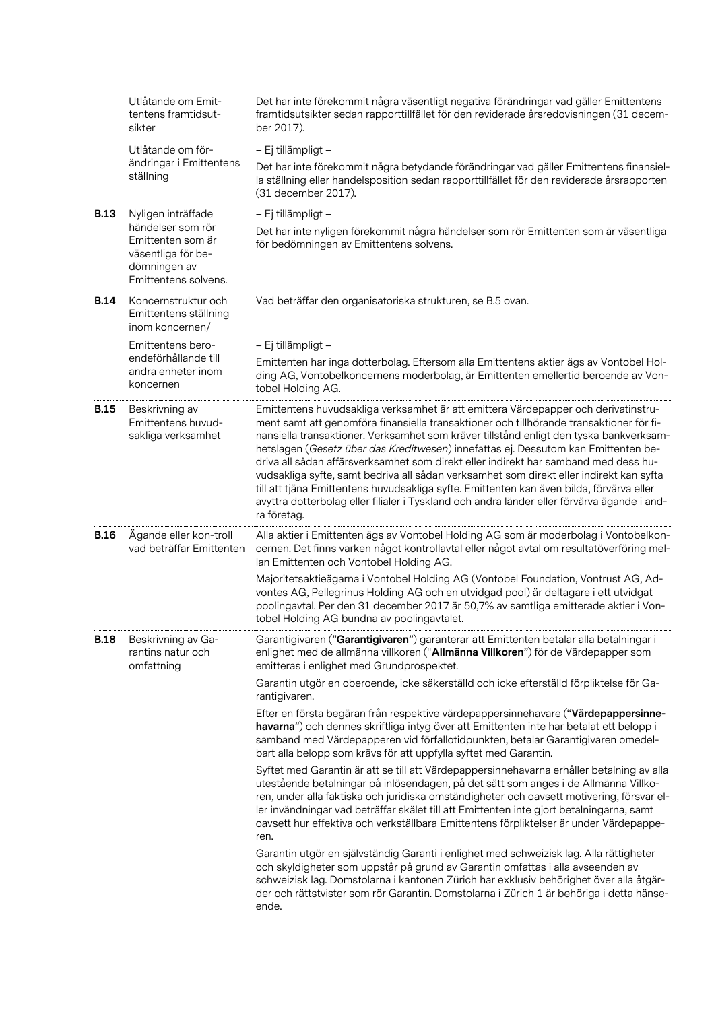|             | Utlåtande om Emit-<br>tentens framtidsut-<br>sikter                                                  | Det har inte förekommit några väsentligt negativa förändringar vad gäller Emittentens<br>framtidsutsikter sedan rapporttillfället för den reviderade årsredovisningen (31 decem-<br>ber 2017).                                                                                                                                                                                                                                                                                                                                                                                                                                                                                                                                                            |
|-------------|------------------------------------------------------------------------------------------------------|-----------------------------------------------------------------------------------------------------------------------------------------------------------------------------------------------------------------------------------------------------------------------------------------------------------------------------------------------------------------------------------------------------------------------------------------------------------------------------------------------------------------------------------------------------------------------------------------------------------------------------------------------------------------------------------------------------------------------------------------------------------|
|             | Utlåtande om för-<br>ändringar i Emittentens<br>ställning                                            | - Ej tillämpligt -<br>Det har inte förekommit några betydande förändringar vad gäller Emittentens finansiel-<br>la ställning eller handelsposition sedan rapporttillfället för den reviderade årsrapporten<br>(31 december 2017).                                                                                                                                                                                                                                                                                                                                                                                                                                                                                                                         |
| <b>B.13</b> | Nyligen inträffade                                                                                   | - Ej tillämpligt -                                                                                                                                                                                                                                                                                                                                                                                                                                                                                                                                                                                                                                                                                                                                        |
|             | händelser som rör<br>Emittenten som är<br>väsentliga för be-<br>dömningen av<br>Emittentens solvens. | Det har inte nyligen förekommit några händelser som rör Emittenten som är väsentliga<br>för bedömningen av Emittentens solvens.                                                                                                                                                                                                                                                                                                                                                                                                                                                                                                                                                                                                                           |
| B.14        | Koncernstruktur och<br>Emittentens ställning<br>inom koncernen/                                      | Vad beträffar den organisatoriska strukturen, se B.5 ovan.                                                                                                                                                                                                                                                                                                                                                                                                                                                                                                                                                                                                                                                                                                |
|             | Emittentens bero-                                                                                    | – Ej tillämpligt –                                                                                                                                                                                                                                                                                                                                                                                                                                                                                                                                                                                                                                                                                                                                        |
|             | endeförhållande till<br>andra enheter inom<br>koncernen                                              | Emittenten har inga dotterbolag. Eftersom alla Emittentens aktier ägs av Vontobel Hol-<br>ding AG, Vontobelkoncernens moderbolag, är Emittenten emellertid beroende av Von-<br>tobel Holding AG.                                                                                                                                                                                                                                                                                                                                                                                                                                                                                                                                                          |
| <b>B.15</b> | Beskrivning av<br>Emittentens huvud-<br>sakliga verksamhet                                           | Emittentens huvudsakliga verksamhet är att emittera Värdepapper och derivatinstru-<br>ment samt att genomföra finansiella transaktioner och tillhörande transaktioner för fi-<br>nansiella transaktioner. Verksamhet som kräver tillstånd enligt den tyska bankverksam-<br>hetslagen (Gesetz über das Kreditwesen) innefattas ej. Dessutom kan Emittenten be-<br>driva all sådan affärsverksamhet som direkt eller indirekt har samband med dess hu-<br>vudsakliga syfte, samt bedriva all sådan verksamhet som direkt eller indirekt kan syfta<br>till att tjäna Emittentens huvudsakliga syfte. Emittenten kan även bilda, förvärva eller<br>avyttra dotterbolag eller filialer i Tyskland och andra länder eller förvärva ägande i and-<br>ra företag. |
| <b>B.16</b> | Ägande eller kon-troll<br>vad beträffar Emittenten                                                   | Alla aktier i Emittenten ägs av Vontobel Holding AG som är moderbolag i Vontobelkon-<br>cernen. Det finns varken något kontrollavtal eller något avtal om resultatöverföring mel-<br>Ian Emittenten och Vontobel Holding AG.                                                                                                                                                                                                                                                                                                                                                                                                                                                                                                                              |
|             |                                                                                                      | Majoritetsaktieägarna i Vontobel Holding AG (Vontobel Foundation, Vontrust AG, Ad-<br>vontes AG, Pellegrinus Holding AG och en utvidgad pool) är deltagare i ett utvidgat<br>poolingavtal. Per den 31 december 2017 är 50,7% av samtliga emitterade aktier i Von-<br>tobel Holding AG bundna av poolingavtalet.                                                                                                                                                                                                                                                                                                                                                                                                                                           |
| <b>B.18</b> | Beskrivning av Ga-<br>rantins natur och<br>omfattning                                                | Garantigivaren ("Garantigivaren") garanterar att Emittenten betalar alla betalningar i<br>enlighet med de allmänna villkoren ("Allmänna Villkoren") för de Värdepapper som<br>emitteras i enlighet med Grundprospektet.                                                                                                                                                                                                                                                                                                                                                                                                                                                                                                                                   |
|             |                                                                                                      | Garantin utgör en oberoende, icke säkerställd och icke efterställd förpliktelse för Ga-<br>rantigivaren.                                                                                                                                                                                                                                                                                                                                                                                                                                                                                                                                                                                                                                                  |
|             |                                                                                                      | Efter en första begäran från respektive värdepappersinnehavare ("Värdepappersinne-<br>havarna") och dennes skriftliga intyg över att Emittenten inte har betalat ett belopp i<br>samband med Värdepapperen vid förfallotidpunkten, betalar Garantigivaren omedel-<br>bart alla belopp som krävs för att uppfylla syftet med Garantin.                                                                                                                                                                                                                                                                                                                                                                                                                     |
|             |                                                                                                      | Syftet med Garantin är att se till att Värdepappersinnehavarna erhåller betalning av alla<br>utestående betalningar på inlösendagen, på det sätt som anges i de Allmänna Villko-<br>ren, under alla faktiska och juridiska omständigheter och oavsett motivering, försvar el-<br>ler invändningar vad beträffar skälet till att Emittenten inte gjort betalningarna, samt<br>oavsett hur effektiva och verkställbara Emittentens förpliktelser är under Värdepappe-<br>ren.                                                                                                                                                                                                                                                                               |
|             |                                                                                                      | Garantin utgör en självständig Garanti i enlighet med schweizisk lag. Alla rättigheter<br>och skyldigheter som uppstår på grund av Garantin omfattas i alla avseenden av<br>schweizisk lag. Domstolarna i kantonen Zürich har exklusiv behörighet över alla åtgär-<br>der och rättstvister som rör Garantin. Domstolarna i Zürich 1 är behöriga i detta hänse-<br>ende.                                                                                                                                                                                                                                                                                                                                                                                   |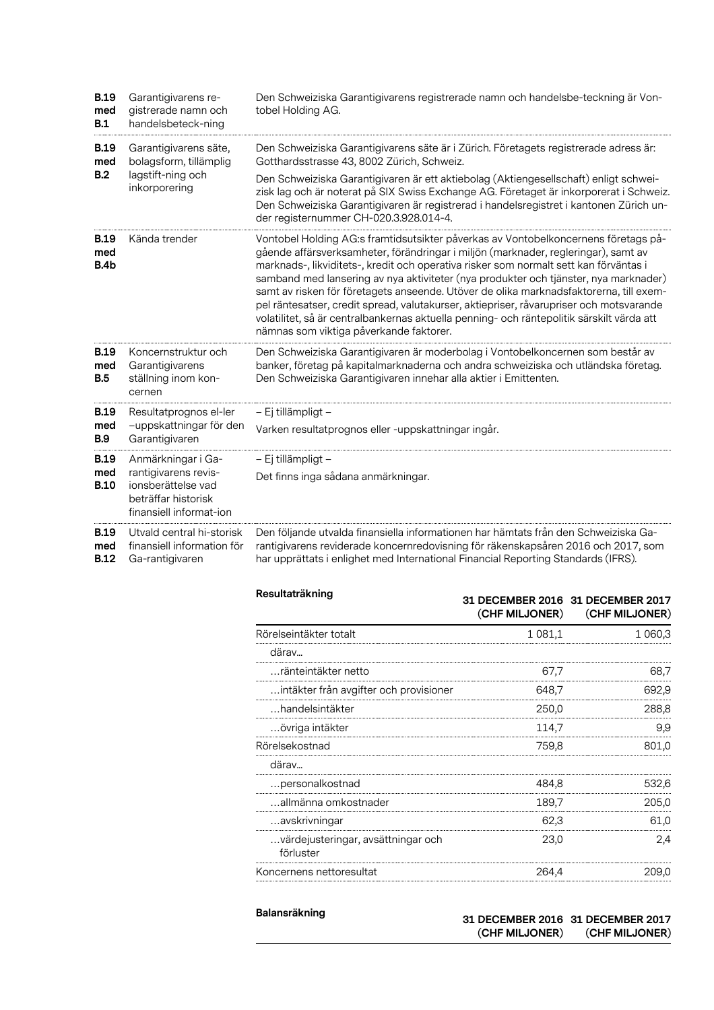| <b>B.19</b><br>med<br><b>B.1</b> | Garantigivarens re-<br>gistrerade namn och<br>handelsbeteck-ning                             | Den Schweiziska Garantigivarens registrerade namn och handelsbe-teckning är Von-<br>tobel Holding AG.                                                                                                                                                                                                                                                                                                                                                                                                                                                                                                                                                                                  |
|----------------------------------|----------------------------------------------------------------------------------------------|----------------------------------------------------------------------------------------------------------------------------------------------------------------------------------------------------------------------------------------------------------------------------------------------------------------------------------------------------------------------------------------------------------------------------------------------------------------------------------------------------------------------------------------------------------------------------------------------------------------------------------------------------------------------------------------|
| <b>B.19</b><br>med<br>B.2        | Garantigivarens säte,<br>bolagsform, tillämplig                                              | Den Schweiziska Garantigivarens säte är i Zürich. Företagets registrerade adress är:<br>Gotthardsstrasse 43, 8002 Zürich, Schweiz.                                                                                                                                                                                                                                                                                                                                                                                                                                                                                                                                                     |
|                                  | lagstift-ning och<br>inkorporering                                                           | Den Schweiziska Garantigivaren är ett aktiebolag (Aktiengesellschaft) enligt schwei-<br>zisk lag och är noterat på SIX Swiss Exchange AG. Företaget är inkorporerat i Schweiz.<br>Den Schweiziska Garantigivaren är registrerad i handelsregistret i kantonen Zürich un-<br>der registernummer CH-020.3.928.014-4.                                                                                                                                                                                                                                                                                                                                                                     |
| <b>B.19</b><br>med<br>B.4b       | Kända trender                                                                                | Vontobel Holding AG:s framtidsutsikter påverkas av Vontobelkoncernens företags på-<br>gående affärsverksamheter, förändringar i miljön (marknader, regleringar), samt av<br>marknads-, likviditets-, kredit och operativa risker som normalt sett kan förväntas i<br>samband med lansering av nya aktiviteter (nya produkter och tjänster, nya marknader)<br>samt av risken för företagets anseende. Utöver de olika marknadsfaktorerna, till exem-<br>pel räntesatser, credit spread, valutakurser, aktiepriser, råvarupriser och motsvarande<br>volatilitet, så är centralbankernas aktuella penning- och räntepolitik särskilt värda att<br>nämnas som viktiga påverkande faktorer. |
| <b>B.19</b><br>med<br><b>B.5</b> | Koncernstruktur och<br>Garantigivarens<br>ställning inom kon-<br>cernen                      | Den Schweiziska Garantigivaren är moderbolag i Vontobelkoncernen som består av<br>banker, företag på kapitalmarknaderna och andra schweiziska och utländska företag.<br>Den Schweiziska Garantigivaren innehar alla aktier i Emittenten.                                                                                                                                                                                                                                                                                                                                                                                                                                               |
| <b>B.19</b>                      | Resultatprognos el-ler                                                                       | – Ej tillämpligt –                                                                                                                                                                                                                                                                                                                                                                                                                                                                                                                                                                                                                                                                     |
| med<br><b>B.9</b>                | -uppskattningar för den<br>Garantigivaren                                                    | Varken resultatprognos eller -uppskattningar ingår.                                                                                                                                                                                                                                                                                                                                                                                                                                                                                                                                                                                                                                    |
| <b>B.19</b>                      | Anmärkningar i Ga-                                                                           | – Ej tillämpligt –                                                                                                                                                                                                                                                                                                                                                                                                                                                                                                                                                                                                                                                                     |
| med<br><b>B.10</b>               | rantigivarens revis-<br>ionsberättelse vad<br>beträffar historisk<br>finansiell informat-ion | Det finns inga sådana anmärkningar.                                                                                                                                                                                                                                                                                                                                                                                                                                                                                                                                                                                                                                                    |
| <b>B.19</b><br>med               | Utvald central hi-storisk<br>finansiell information för                                      | Den följande utvalda finansiella informationen har hämtats från den Schweiziska Ga-<br>rantigivarens reviderade koncernredovisning för räkenskapsåren 2016 och 2017, som                                                                                                                                                                                                                                                                                                                                                                                                                                                                                                               |

**B.12** Ga-rantigivaren rantigivarens reviderade koncernredovisning för räkenskapsåren 2016 och 2017, som har upprättats i enlighet med International Financial Reporting Standards (IFRS).

| Resultaträkning                                 |             | 31 DECEMBER 2016 31 DECEMBER 2017<br>(CHF MILJONER) (CHF MILJONER) |
|-------------------------------------------------|-------------|--------------------------------------------------------------------|
| Rörelseintäkter totalt                          | 1 0 8 1 , 1 | 1 060,3                                                            |
| därav                                           |             |                                                                    |
| ränteintäkter netto                             | 67.7        | 68,7                                                               |
| intäkter från avgifter och provisioner          | 648,7       | 692,9                                                              |
| handelsintäkter                                 | 250,0       | 288,8                                                              |
| …övriga intäkter                                | 114,7       | 9,9                                                                |
| Rörelsekostnad                                  | 759.8       | 801.0                                                              |
| därav                                           |             |                                                                    |
| personalkostnad                                 | 484.8       | 532,6                                                              |
| allmänna omkostnader                            | 189,7       | 205,0                                                              |
| avskrivningar                                   | 62,3        | 61,0                                                               |
| värdejusteringar, avsättningar och<br>förluster | 23.0        | 2,4                                                                |
| Koncernens nettoresultat                        | 264,4       | 209,0                                                              |

| Balansräkning | 31 DECEMBER 2016 31 DECEMBER 2017<br>(CHF MILJONER) | (CHF MILJONER) |
|---------------|-----------------------------------------------------|----------------|
|               |                                                     |                |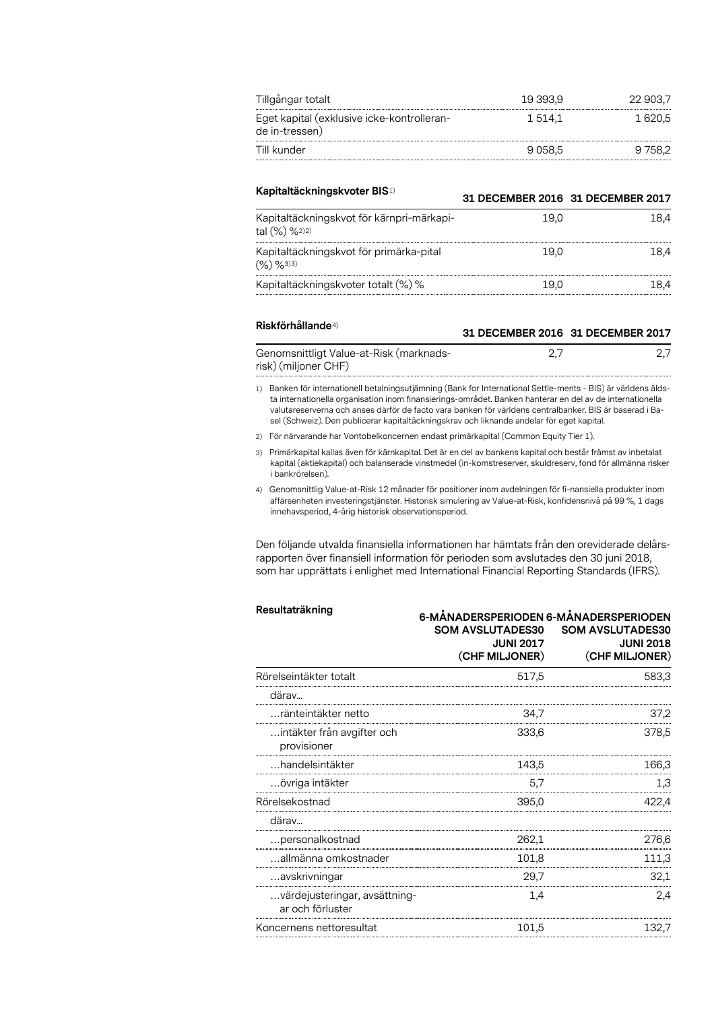| Tillgångar totalt                                            | 19 393.9 | 22 903.7 |
|--------------------------------------------------------------|----------|----------|
| Eget kapital (exklusive icke-kontrolleran-<br>de in-tressen) | 1.514.1  | 1 620.5  |
| Till kunder                                                  | 9058.5   |          |

| Kapitaltäckningskvoter BIS <sup>1)</sup>                      | 31 DECEMBER 2016 31 DECEMBER 2017 |      |
|---------------------------------------------------------------|-----------------------------------|------|
| Kapitaltäckningskvot för kärnpri-märkapi-<br>tal $(\%)$ %2)2) | 19.0                              | L8.4 |
| Kapitaltäckningskvot för primärka-pital<br>$(96)$ $963)3$     | 19.0                              | L8.4 |
| Kapitaltäckningskvoter totalt (%) %                           | 19.0                              |      |

#### **Riskförhållande**4)

| Genomsnittligt Value-at-Risk (marknads- |  |
|-----------------------------------------|--|
| risk) (miljoner CHF)                    |  |

**31 DECEMBER 2016 31 DECEMBER 2017**

1) Banken för internationell betalningsutjämning (Bank for International Settle-ments - BIS) är världens äldsta internationella organisation inom finansierings-området. Banken hanterar en del av de internationella valutareserverna och anses därför de facto vara banken för världens centralbanker. BIS är baserad i Basel (Schweiz). Den publicerar kapitaltäckningskrav och liknande andelar för eget kapital.

2) För närvarande har Vontobelkoncernen endast primärkapital (Common Equity Tier 1).

3) Primärkapital kallas även för kärnkapital. Det är en del av bankens kapital och består främst av inbetalat kapital (aktiekapital) och balanserade vinstmedel (in-komstreserver, skuldreserv, fond för allmänna risker i bankrörelsen).

4) Genomsnittlig Value-at-Risk 12 månader för positioner inom avdelningen för fi-nansiella produkter inom affärsenheten investeringstjänster. Historisk simulering av Value-at-Risk, konfidensnivå på 99 %, 1 dags innehavsperiod, 4-årig historisk observationsperiod.

Den följande utvalda finansiella informationen har hämtats från den oreviderade delårsrapporten över finansiell information för perioden som avslutades den 30 juni 2018, som har upprättats i enlighet med International Financial Reporting Standards (IFRS).

| Resultaträkning                                   | 6-MÅNADERSPERIODEN 6-MÅNADERSPERIODEN<br><b>SOM AVSLUTADES30</b><br><b>SOM AVSLUTADES30</b><br><b>JUNI 2017</b><br><b>JUNI 2018</b><br>(CHF MILJONER)<br>(CHF MILJONER) |       |
|---------------------------------------------------|-------------------------------------------------------------------------------------------------------------------------------------------------------------------------|-------|
| Rörelseintäkter totalt                            | 517,5                                                                                                                                                                   | 583,3 |
| därav                                             |                                                                                                                                                                         |       |
| …ränteintäkter netto                              | 34.7                                                                                                                                                                    | 37,2  |
| intäkter från avgifter och<br>provisioner         | 333,6                                                                                                                                                                   | 378.5 |
| …handelsintäkter                                  | 143.5                                                                                                                                                                   | 166,3 |
| …övriga intäkter                                  | 5,7                                                                                                                                                                     | 1,3   |
| Rörelsekostnad                                    | 395,0                                                                                                                                                                   | 422.4 |
| därav                                             |                                                                                                                                                                         |       |
| personalkostnad                                   | 262,1                                                                                                                                                                   | 276,6 |
| allmänna omkostnader                              | 101.8                                                                                                                                                                   | 111,3 |
| avskrivningar                                     | 29,7                                                                                                                                                                    | 32,1  |
| värdejusteringar, avsättning-<br>ar och förluster | 1.4                                                                                                                                                                     | 2,4   |
| Koncernens nettoresultat                          | 101.5                                                                                                                                                                   | 132.7 |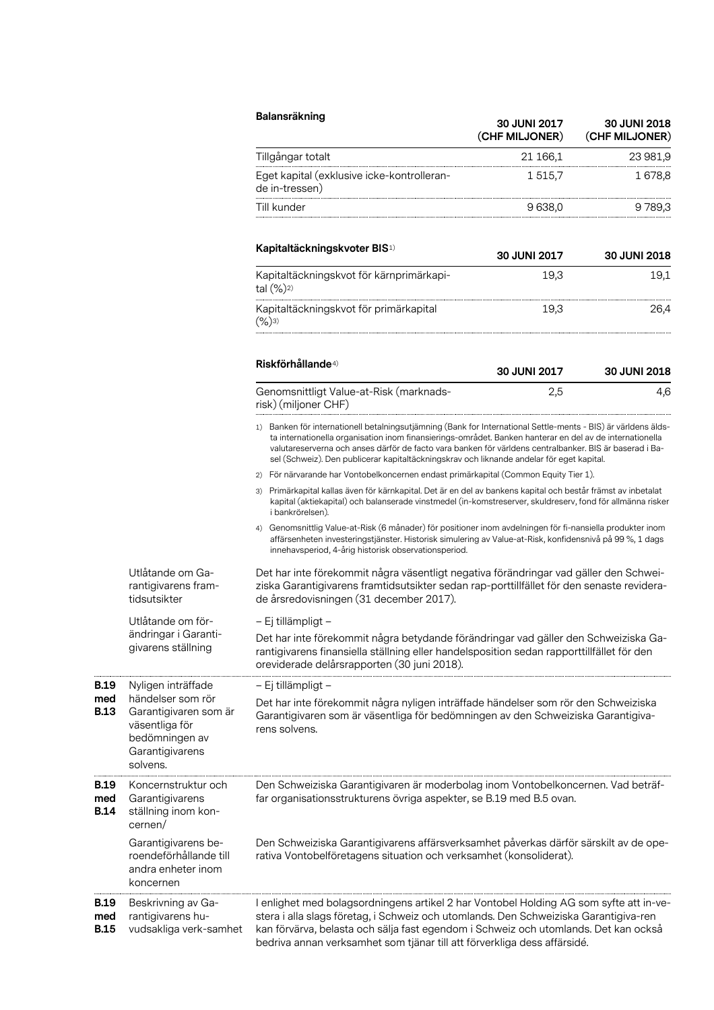|                                                                                                                                                                                                                                                                               | Balansräkning                                                                                                                                                                                                                                                                                                                                                                                                                      | 30 JUNI 2017<br>(CHF MILJONER) | 30 JUNI 2018<br>(CHF MILJONER) |
|-------------------------------------------------------------------------------------------------------------------------------------------------------------------------------------------------------------------------------------------------------------------------------|------------------------------------------------------------------------------------------------------------------------------------------------------------------------------------------------------------------------------------------------------------------------------------------------------------------------------------------------------------------------------------------------------------------------------------|--------------------------------|--------------------------------|
|                                                                                                                                                                                                                                                                               | Tillgångar totalt                                                                                                                                                                                                                                                                                                                                                                                                                  | 21 166,1                       | 23 981,9                       |
|                                                                                                                                                                                                                                                                               | Eget kapital (exklusive icke-kontrolleran-<br>de in-tressen)                                                                                                                                                                                                                                                                                                                                                                       | 1 515,7                        | 1678,8                         |
|                                                                                                                                                                                                                                                                               | Till kunder                                                                                                                                                                                                                                                                                                                                                                                                                        | 9 638,0                        | 9789,3                         |
|                                                                                                                                                                                                                                                                               | Kapitaltäckningskvoter BIS <sup>1)</sup>                                                                                                                                                                                                                                                                                                                                                                                           | <b>30 JUNI 2017</b>            | 30 JUNI 2018                   |
|                                                                                                                                                                                                                                                                               | Kapitaltäckningskvot för kärnprimärkapi-<br>tal (%) <sup>2)</sup>                                                                                                                                                                                                                                                                                                                                                                  | 19,3                           | 19,1                           |
|                                                                                                                                                                                                                                                                               | Kapitaltäckningskvot för primärkapital<br>$(\%)$ 3)                                                                                                                                                                                                                                                                                                                                                                                | 19,3                           | 26,4                           |
|                                                                                                                                                                                                                                                                               | Riskförhållande <sup>4)</sup>                                                                                                                                                                                                                                                                                                                                                                                                      | 30 JUNI 2017                   | 30 JUNI 2018                   |
|                                                                                                                                                                                                                                                                               | Genomsnittligt Value-at-Risk (marknads-<br>risk) (miljoner CHF)                                                                                                                                                                                                                                                                                                                                                                    | 2,5                            | 4,6                            |
|                                                                                                                                                                                                                                                                               | 1) Banken för internationell betalningsutjämning (Bank for International Settle-ments - BIS) är världens älds-<br>ta internationella organisation inom finansierings-området. Banken hanterar en del av de internationella<br>valutareserverna och anses därför de facto vara banken för världens centralbanker. BIS är baserad i Ba-<br>sel (Schweiz). Den publicerar kapitaltäckningskrav och liknande andelar för eget kapital. |                                |                                |
|                                                                                                                                                                                                                                                                               | För närvarande har Vontobelkoncernen endast primärkapital (Common Equity Tier 1).<br>2)                                                                                                                                                                                                                                                                                                                                            |                                |                                |
|                                                                                                                                                                                                                                                                               | Primärkapital kallas även för kärnkapital. Det är en del av bankens kapital och består främst av inbetalat<br>3)<br>kapital (aktiekapital) och balanserade vinstmedel (in-komstreserver, skuldreserv, fond för allmänna risker<br>i bankrörelsen).                                                                                                                                                                                 |                                |                                |
|                                                                                                                                                                                                                                                                               | Genomsnittlig Value-at-Risk (6 månader) för positioner inom avdelningen för fi-nansiella produkter inom<br>4)<br>affärsenheten investeringstjänster. Historisk simulering av Value-at-Risk, konfidensnivå på 99 %, 1 dags<br>innehavsperiod, 4-årig historisk observationsperiod.                                                                                                                                                  |                                |                                |
| Utlåtande om Ga-<br>rantigivarens fram-<br>tidsutsikter                                                                                                                                                                                                                       | Det har inte förekommit några väsentligt negativa förändringar vad gäller den Schwei-<br>ziska Garantigivarens framtidsutsikter sedan rap-porttillfället för den senaste revidera-<br>de årsredovisningen (31 december 2017).                                                                                                                                                                                                      |                                |                                |
| Utlåtande om för-                                                                                                                                                                                                                                                             | – Ej tillämpligt –                                                                                                                                                                                                                                                                                                                                                                                                                 |                                |                                |
| ändringar i Garanti-<br>Det har inte förekommit några betydande förändringar vad gäller den Schweiziska Ga-<br>givarens ställning<br>rantigivarens finansiella ställning eller handelsposition sedan rapporttillfället för den<br>oreviderade delårsrapporten (30 juni 2018). |                                                                                                                                                                                                                                                                                                                                                                                                                                    |                                |                                |
| Nyligen inträffade                                                                                                                                                                                                                                                            | – Ej tillämpligt –                                                                                                                                                                                                                                                                                                                                                                                                                 |                                |                                |
| händelser som rör<br>Garantigivaren som är<br>väsentliga för<br>bedömningen av<br>Garantigivarens<br>solvens.                                                                                                                                                                 | Det har inte förekommit några nyligen inträffade händelser som rör den Schweiziska<br>Garantigivaren som är väsentliga för bedömningen av den Schweiziska Garantigiva-<br>rens solvens.                                                                                                                                                                                                                                            |                                |                                |
| Koncernstruktur och<br>Garantigivarens<br>ställning inom kon-<br>cernen/                                                                                                                                                                                                      | Den Schweiziska Garantigivaren är moderbolag inom Vontobelkoncernen. Vad beträf-<br>far organisationsstrukturens övriga aspekter, se B.19 med B.5 ovan.                                                                                                                                                                                                                                                                            |                                |                                |
| Garantigivarens be-<br>roendeförhållande till<br>andra enheter inom<br>koncernen                                                                                                                                                                                              | Den Schweiziska Garantigivarens affärsverksamhet påverkas därför särskilt av de ope-<br>rativa Vontobelföretagens situation och verksamhet (konsoliderat).                                                                                                                                                                                                                                                                         |                                |                                |
| Beskrivning av Ga-<br>rantigivarens hu-<br>vudsakliga verk-samhet                                                                                                                                                                                                             | I enlighet med bolagsordningens artikel 2 har Vontobel Holding AG som syfte att in-ve-<br>stera i alla slags företag, i Schweiz och utomlands. Den Schweiziska Garantigiva-ren<br>kan förvärva, belasta och sälja fast egendom i Schweiz och utomlands. Det kan också<br>bedriva annan verksamhet som tjänar till att förverkliga dess affärsidé.                                                                                  |                                |                                |

**B.19 med B.13**

**B.19 med B.14**

**B.19 med B.15**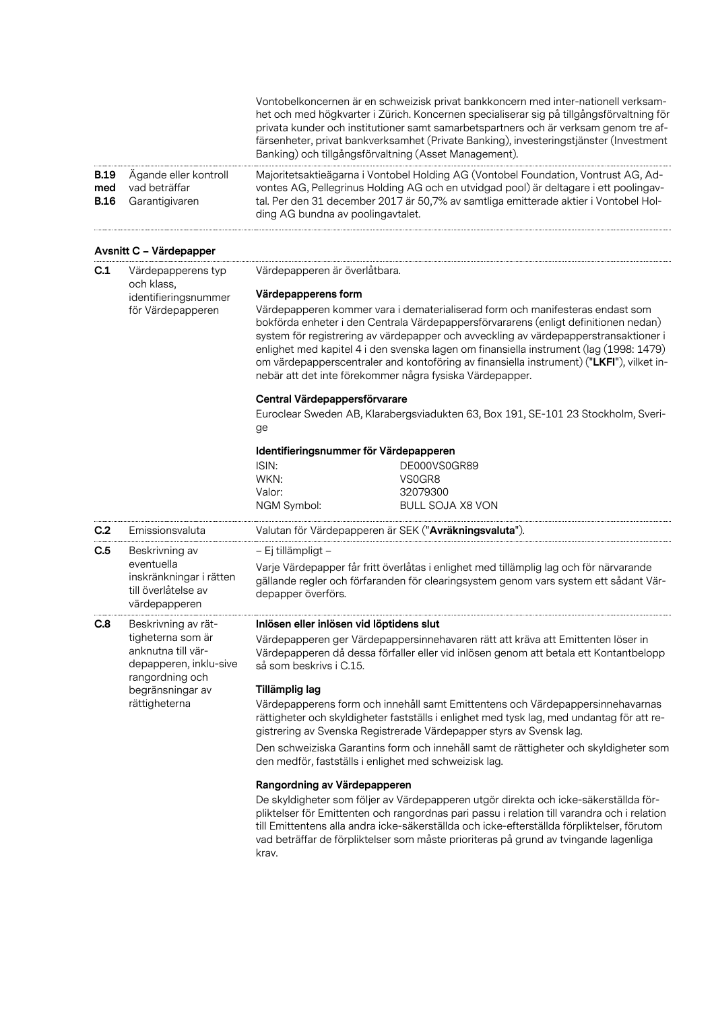|                                   |                                                                                      | Vontobelkoncernen är en schweizisk privat bankkoncern med inter-nationell verksam-<br>het och med högkvarter i Zürich. Koncernen specialiserar sig på tillgångsförvaltning för<br>privata kunder och institutioner samt samarbetspartners och är verksam genom tre af-<br>färsenheter, privat bankverksamhet (Private Banking), investeringstjänster (Investment<br>Banking) och tillgångsförvaltning (Asset Management).                                                                                      |  |  |
|-----------------------------------|--------------------------------------------------------------------------------------|----------------------------------------------------------------------------------------------------------------------------------------------------------------------------------------------------------------------------------------------------------------------------------------------------------------------------------------------------------------------------------------------------------------------------------------------------------------------------------------------------------------|--|--|
| <b>B.19</b><br>med<br><b>B.16</b> | Ägande eller kontroll<br>vad beträffar<br>Garantigivaren                             | Majoritetsaktieägarna i Vontobel Holding AG (Vontobel Foundation, Vontrust AG, Ad-<br>vontes AG, Pellegrinus Holding AG och en utvidgad pool) är deltagare i ett poolingav-<br>tal. Per den 31 december 2017 är 50,7% av samtliga emitterade aktier i Vontobel Hol-<br>ding AG bundna av poolingavtalet.                                                                                                                                                                                                       |  |  |
|                                   | Avsnitt C - Värdepapper                                                              |                                                                                                                                                                                                                                                                                                                                                                                                                                                                                                                |  |  |
| C.1                               | Värdepapperens typ<br>och klass,                                                     | Värdepapperen är överlåtbara.                                                                                                                                                                                                                                                                                                                                                                                                                                                                                  |  |  |
|                                   | identifieringsnummer                                                                 | Värdepapperens form                                                                                                                                                                                                                                                                                                                                                                                                                                                                                            |  |  |
|                                   | för Värdepapperen                                                                    | Värdepapperen kommer vara i dematerialiserad form och manifesteras endast som<br>bokförda enheter i den Centrala Värdepappersförvararens (enligt definitionen nedan)<br>system för registrering av värdepapper och avveckling av värdepapperstransaktioner i<br>enlighet med kapitel 4 i den svenska lagen om finansiella instrument (lag (1998: 1479)<br>om värdepapperscentraler and kontoföring av finansiella instrument) ("LKFI"), vilket in-<br>nebär att det inte förekommer några fysiska Värdepapper. |  |  |
|                                   |                                                                                      | Central Värdepappersförvarare                                                                                                                                                                                                                                                                                                                                                                                                                                                                                  |  |  |
|                                   |                                                                                      | Euroclear Sweden AB, Klarabergsviadukten 63, Box 191, SE-101 23 Stockholm, Sveri-<br>ge                                                                                                                                                                                                                                                                                                                                                                                                                        |  |  |
|                                   |                                                                                      | Identifieringsnummer för Värdepapperen                                                                                                                                                                                                                                                                                                                                                                                                                                                                         |  |  |
|                                   |                                                                                      | ISIN:<br>DE000VS0GR89                                                                                                                                                                                                                                                                                                                                                                                                                                                                                          |  |  |
|                                   |                                                                                      | WKN:<br>VS0GR8                                                                                                                                                                                                                                                                                                                                                                                                                                                                                                 |  |  |
|                                   |                                                                                      | Valor:<br>32079300<br>NGM Symbol:<br><b>BULL SOJA X8 VON</b>                                                                                                                                                                                                                                                                                                                                                                                                                                                   |  |  |
| C.2                               | Emissionsvaluta                                                                      | Valutan för Värdepapperen är SEK ("Avräkningsvaluta").                                                                                                                                                                                                                                                                                                                                                                                                                                                         |  |  |
| C.5                               | Beskrivning av                                                                       | – Ej tillämpligt –                                                                                                                                                                                                                                                                                                                                                                                                                                                                                             |  |  |
|                                   | eventuella<br>inskränkningar i rätten<br>till överlåtelse av<br>värdepapperen        | Varje Värdepapper får fritt överlåtas i enlighet med tillämplig lag och för närvarande<br>gällande regler och förfaranden för clearingsystem genom vars system ett sådant Vär-<br>depapper överförs.                                                                                                                                                                                                                                                                                                           |  |  |
| C.8                               | Beskrivning av rät-                                                                  | Inlösen eller inlösen vid löptidens slut                                                                                                                                                                                                                                                                                                                                                                                                                                                                       |  |  |
|                                   | tigheterna som är<br>anknutna till vär-<br>depapperen, inklu-sive<br>rangordning och | Värdepapperen ger Värdepappersinnehavaren rätt att kräva att Emittenten löser in<br>Värdepapperen då dessa förfaller eller vid inlösen genom att betala ett Kontantbelopp<br>så som beskrivs i C.15.                                                                                                                                                                                                                                                                                                           |  |  |
|                                   | begränsningar av                                                                     | Tillämplig lag                                                                                                                                                                                                                                                                                                                                                                                                                                                                                                 |  |  |
|                                   | rättigheterna                                                                        | Värdepapperens form och innehåll samt Emittentens och Värdepappersinnehavarnas<br>rättigheter och skyldigheter fastställs i enlighet med tysk lag, med undantag för att re-<br>gistrering av Svenska Registrerade Värdepapper styrs av Svensk lag.                                                                                                                                                                                                                                                             |  |  |
|                                   |                                                                                      | Den schweiziska Garantins form och innehåll samt de rättigheter och skyldigheter som<br>den medför, fastställs i enlighet med schweizisk lag.                                                                                                                                                                                                                                                                                                                                                                  |  |  |
|                                   |                                                                                      | Rangordning av Värdepapperen                                                                                                                                                                                                                                                                                                                                                                                                                                                                                   |  |  |
|                                   |                                                                                      | De skyldigheter som följer av Värdepapperen utgör direkta och icke-säkerställda för-<br>pliktelser för Emittenten och rangordnas pari passu i relation till varandra och i relation<br>till Emittentens alla andra icke-säkerställda och icke-efterställda förpliktelser, förutom<br>vad beträffar de förpliktelser som måste prioriteras på grund av tvingande lagenliga<br>krav.                                                                                                                             |  |  |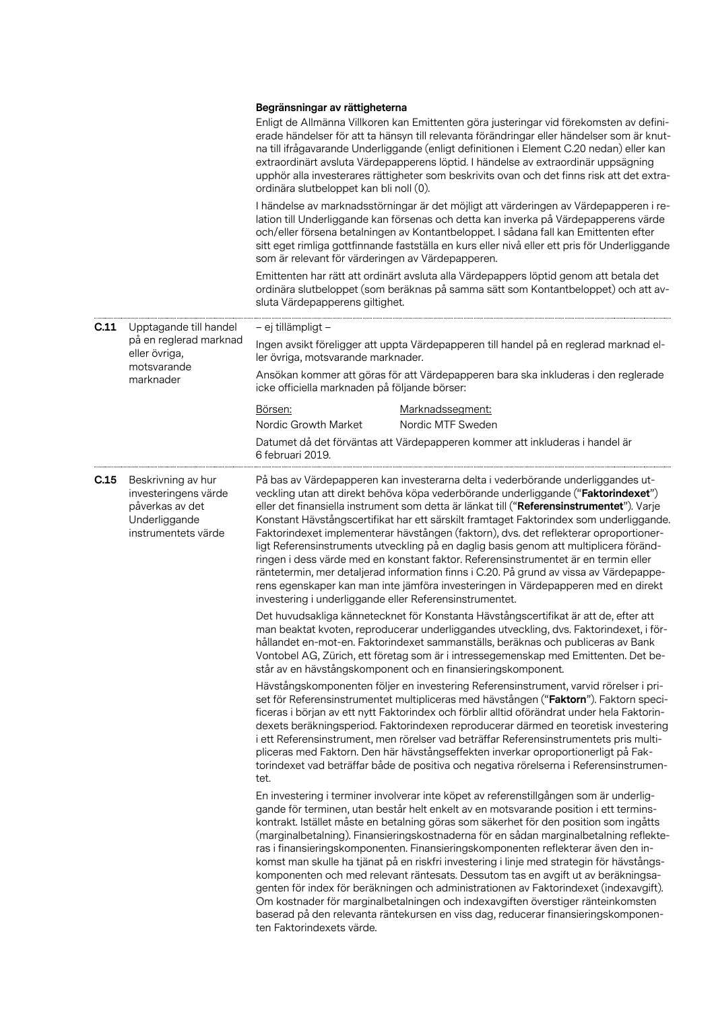|      |                                                                                                       | Begränsningar av rättigheterna<br>Enligt de Allmänna Villkoren kan Emittenten göra justeringar vid förekomsten av defini-<br>erade händelser för att ta hänsyn till relevanta förändringar eller händelser som är knut-<br>na till ifrågavarande Underliggande (enligt definitionen i Element C.20 nedan) eller kan<br>extraordinärt avsluta Värdepapperens löptid. I händelse av extraordinär uppsägning<br>upphör alla investerares rättigheter som beskrivits ovan och det finns risk att det extra-<br>ordinära slutbeloppet kan bli noll (0).<br>I händelse av marknadsstörningar är det möjligt att värderingen av Värdepapperen i re-<br>lation till Underliggande kan försenas och detta kan inverka på Värdepapperens värde<br>och/eller försena betalningen av Kontantbeloppet. I sådana fall kan Emittenten efter<br>sitt eget rimliga gottfinnande fastställa en kurs eller nivå eller ett pris för Underliggande<br>som är relevant för värderingen av Värdepapperen.<br>Emittenten har rätt att ordinärt avsluta alla Värdepappers löptid genom att betala det<br>ordinära slutbeloppet (som beräknas på samma sätt som Kontantbeloppet) och att av- |  |
|------|-------------------------------------------------------------------------------------------------------|--------------------------------------------------------------------------------------------------------------------------------------------------------------------------------------------------------------------------------------------------------------------------------------------------------------------------------------------------------------------------------------------------------------------------------------------------------------------------------------------------------------------------------------------------------------------------------------------------------------------------------------------------------------------------------------------------------------------------------------------------------------------------------------------------------------------------------------------------------------------------------------------------------------------------------------------------------------------------------------------------------------------------------------------------------------------------------------------------------------------------------------------------------------------|--|
|      |                                                                                                       | sluta Värdepapperens giltighet.                                                                                                                                                                                                                                                                                                                                                                                                                                                                                                                                                                                                                                                                                                                                                                                                                                                                                                                                                                                                                                                                                                                                    |  |
| C.11 | Upptagande till handel<br>på en reglerad marknad<br>eller övriga,                                     | – ej tillämpligt –<br>Ingen avsikt föreligger att uppta Värdepapperen till handel på en reglerad marknad el-<br>ler övriga, motsvarande marknader.                                                                                                                                                                                                                                                                                                                                                                                                                                                                                                                                                                                                                                                                                                                                                                                                                                                                                                                                                                                                                 |  |
|      | motsvarande<br>marknader                                                                              | Ansökan kommer att göras för att Värdepapperen bara ska inkluderas i den reglerade<br>icke officiella marknaden på följande börser:                                                                                                                                                                                                                                                                                                                                                                                                                                                                                                                                                                                                                                                                                                                                                                                                                                                                                                                                                                                                                                |  |
|      |                                                                                                       | Börsen:<br>Marknadssegment:<br>Nordic Growth Market<br>Nordic MTF Sweden                                                                                                                                                                                                                                                                                                                                                                                                                                                                                                                                                                                                                                                                                                                                                                                                                                                                                                                                                                                                                                                                                           |  |
|      |                                                                                                       | Datumet då det förväntas att Värdepapperen kommer att inkluderas i handel är<br>6 februari 2019.                                                                                                                                                                                                                                                                                                                                                                                                                                                                                                                                                                                                                                                                                                                                                                                                                                                                                                                                                                                                                                                                   |  |
| C.15 | Beskrivning av hur<br>investeringens värde<br>påverkas av det<br>Underliggande<br>instrumentets värde | På bas av Värdepapperen kan investerarna delta i vederbörande underliggandes ut-<br>veckling utan att direkt behöva köpa vederbörande underliggande ("Faktorindexet")<br>eller det finansiella instrument som detta är länkat till ("Referensinstrumentet"). Varje<br>Konstant Hävstångscertifikat har ett särskilt framtaget Faktorindex som underliggande.<br>Faktorindexet implementerar hävstången (faktorn), dvs. det reflekterar oproportioner-<br>ligt Referensinstruments utveckling på en daglig basis genom att multiplicera föränd-<br>ringen i dess värde med en konstant faktor. Referensinstrumentet är en termin eller<br>räntetermin, mer detaljerad information finns i C.20. På grund av vissa av Värdepappe-<br>rens egenskaper kan man inte jämföra investeringen in Värdepapperen med en direkt<br>investering i underliggande eller Referensinstrumentet.                                                                                                                                                                                                                                                                                    |  |
|      |                                                                                                       | Det huvudsakliga kännetecknet för Konstanta Hävstångscertifikat är att de, efter att<br>man beaktat kvoten, reproducerar underliggandes utveckling, dvs. Faktorindexet, i för-<br>hållandet en-mot-en. Faktorindexet sammanställs, beräknas och publiceras av Bank<br>Vontobel AG, Zürich, ett företag som är i intressegemenskap med Emittenten. Det be-<br>står av en hävstångskomponent och en finansieringskomponent.                                                                                                                                                                                                                                                                                                                                                                                                                                                                                                                                                                                                                                                                                                                                          |  |
|      |                                                                                                       | Hävstångskomponenten följer en investering Referensinstrument, varvid rörelser i pri-<br>set för Referensinstrumentet multipliceras med hävstången ("Faktorn"). Faktorn speci-<br>ficeras i början av ett nytt Faktorindex och förblir alltid oförändrat under hela Faktorin-<br>dexets beräkningsperiod. Faktorindexen reproducerar därmed en teoretisk investering<br>i ett Referensinstrument, men rörelser vad beträffar Referensinstrumentets pris multi-<br>pliceras med Faktorn. Den här hävstångseffekten inverkar oproportionerligt på Fak-<br>torindexet vad beträffar både de positiva och negativa rörelserna i Referensinstrumen-<br>tet.                                                                                                                                                                                                                                                                                                                                                                                                                                                                                                             |  |
|      |                                                                                                       | En investering i terminer involverar inte köpet av referenstillgången som är underlig-<br>gande för terminen, utan består helt enkelt av en motsvarande position i ett termins-<br>kontrakt. Istället måste en betalning göras som säkerhet för den position som ingåtts<br>(marginalbetalning). Finansieringskostnaderna för en sådan marginalbetalning reflekte-<br>ras i finansieringskomponenten. Finansieringskomponenten reflekterar även den in-<br>komst man skulle ha tjänat på en riskfri investering i linje med strategin för hävstångs-<br>komponenten och med relevant räntesats. Dessutom tas en avgift ut av beräkningsa-<br>genten för index för beräkningen och administrationen av Faktorindexet (indexavgift).<br>Om kostnader för marginalbetalningen och indexavgiften överstiger ränteinkomsten<br>baserad på den relevanta räntekursen en viss dag, reducerar finansieringskomponen-<br>ten Faktorindexets värde.                                                                                                                                                                                                                          |  |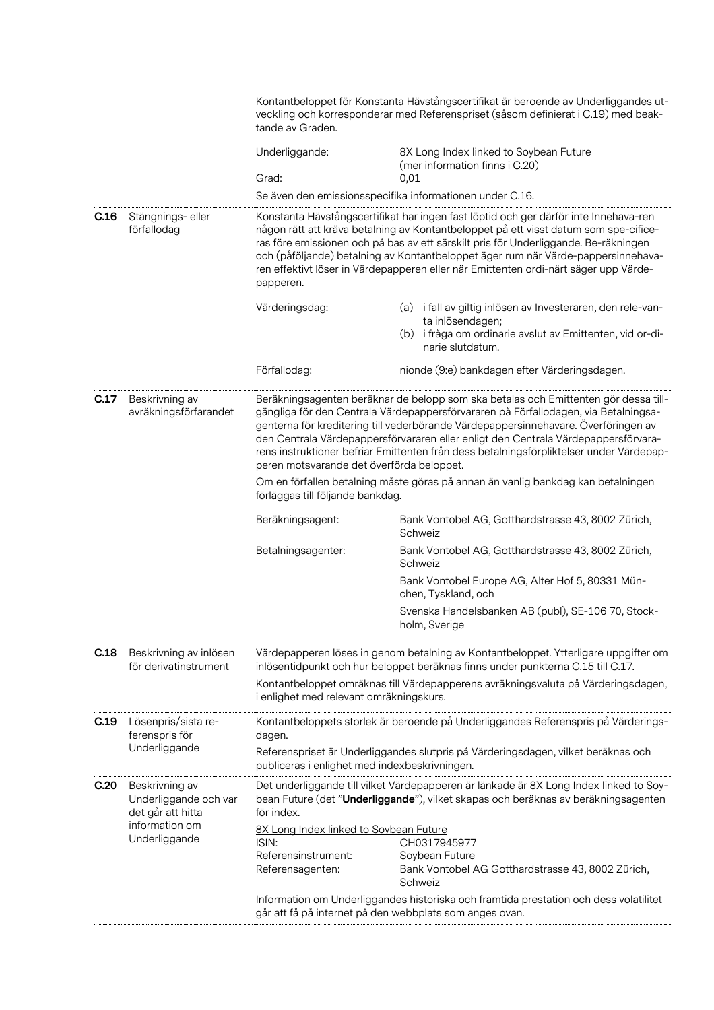|                                                                                              |                                                                                                 | Kontantbeloppet för Konstanta Hävstångscertifikat är beroende av Underliggandes ut-<br>veckling och korresponderar med Referenspriset (såsom definierat i C.19) med beak-<br>tande av Graden.                                                                                                                                                                                                                                                     |                                                                                                                                                                                                                                                                                                                                                                                                                                                  |  |
|----------------------------------------------------------------------------------------------|-------------------------------------------------------------------------------------------------|---------------------------------------------------------------------------------------------------------------------------------------------------------------------------------------------------------------------------------------------------------------------------------------------------------------------------------------------------------------------------------------------------------------------------------------------------|--------------------------------------------------------------------------------------------------------------------------------------------------------------------------------------------------------------------------------------------------------------------------------------------------------------------------------------------------------------------------------------------------------------------------------------------------|--|
|                                                                                              |                                                                                                 | Underliggande:                                                                                                                                                                                                                                                                                                                                                                                                                                    | 8X Long Index linked to Soybean Future<br>(mer information finns i C.20)                                                                                                                                                                                                                                                                                                                                                                         |  |
|                                                                                              |                                                                                                 | Grad:                                                                                                                                                                                                                                                                                                                                                                                                                                             | 0,01<br>Se även den emissionsspecifika informationen under C.16.                                                                                                                                                                                                                                                                                                                                                                                 |  |
|                                                                                              |                                                                                                 |                                                                                                                                                                                                                                                                                                                                                                                                                                                   |                                                                                                                                                                                                                                                                                                                                                                                                                                                  |  |
| C.16                                                                                         | Stängnings- eller<br>förfallodag                                                                | papperen.                                                                                                                                                                                                                                                                                                                                                                                                                                         | Konstanta Hävstångscertifikat har ingen fast löptid och ger därför inte Innehava-ren<br>någon rätt att kräva betalning av Kontantbeloppet på ett visst datum som spe-cifice-<br>ras före emissionen och på bas av ett särskilt pris för Underliggande. Be-räkningen<br>och (påföljande) betalning av Kontantbeloppet äger rum när Värde-pappersinnehava-<br>ren effektivt löser in Värdepapperen eller när Emittenten ordi-närt säger upp Värde- |  |
|                                                                                              |                                                                                                 | Värderingsdag:                                                                                                                                                                                                                                                                                                                                                                                                                                    | (a) i fall av giltig inlösen av Investeraren, den rele-van-<br>ta inlösendagen;<br>(b) i fråga om ordinarie avslut av Emittenten, vid or-di-<br>narie slutdatum.                                                                                                                                                                                                                                                                                 |  |
|                                                                                              |                                                                                                 | Förfallodag:                                                                                                                                                                                                                                                                                                                                                                                                                                      | nionde (9:e) bankdagen efter Värderingsdagen.                                                                                                                                                                                                                                                                                                                                                                                                    |  |
| C.17<br>Beskrivning av<br>avräkningsförfarandet<br>peren motsvarande det överförda beloppet. |                                                                                                 | Beräkningsagenten beräknar de belopp som ska betalas och Emittenten gör dessa till-<br>gängliga för den Centrala Värdepappersförvararen på Förfallodagen, via Betalningsa-<br>genterna för kreditering till vederbörande Värdepappersinnehavare. Överföringen av<br>den Centrala Värdepappersförvararen eller enligt den Centrala Värdepappersförvara-<br>rens instruktioner befriar Emittenten från dess betalningsförpliktelser under Värdepap- |                                                                                                                                                                                                                                                                                                                                                                                                                                                  |  |
|                                                                                              |                                                                                                 | Om en förfallen betalning måste göras på annan än vanlig bankdag kan betalningen<br>förläggas till följande bankdag.                                                                                                                                                                                                                                                                                                                              |                                                                                                                                                                                                                                                                                                                                                                                                                                                  |  |
|                                                                                              |                                                                                                 | Beräkningsagent:                                                                                                                                                                                                                                                                                                                                                                                                                                  | Bank Vontobel AG, Gotthardstrasse 43, 8002 Zürich,<br>Schweiz                                                                                                                                                                                                                                                                                                                                                                                    |  |
|                                                                                              |                                                                                                 | Betalningsagenter:                                                                                                                                                                                                                                                                                                                                                                                                                                | Bank Vontobel AG, Gotthardstrasse 43, 8002 Zürich,<br>Schweiz                                                                                                                                                                                                                                                                                                                                                                                    |  |
|                                                                                              |                                                                                                 |                                                                                                                                                                                                                                                                                                                                                                                                                                                   | Bank Vontobel Europe AG, Alter Hof 5, 80331 Mün-<br>chen, Tyskland, och                                                                                                                                                                                                                                                                                                                                                                          |  |
|                                                                                              |                                                                                                 |                                                                                                                                                                                                                                                                                                                                                                                                                                                   | Svenska Handelsbanken AB (publ), SE-106 70, Stock-<br>holm, Sverige                                                                                                                                                                                                                                                                                                                                                                              |  |
| C.18                                                                                         | Beskrivning av inlösen<br>för derivatinstrument                                                 | Värdepapperen löses in genom betalning av Kontantbeloppet. Ytterligare uppgifter om<br>inlösentidpunkt och hur beloppet beräknas finns under punkterna C.15 till C.17.                                                                                                                                                                                                                                                                            |                                                                                                                                                                                                                                                                                                                                                                                                                                                  |  |
|                                                                                              |                                                                                                 | i enlighet med relevant omräkningskurs.                                                                                                                                                                                                                                                                                                                                                                                                           | Kontantbeloppet omräknas till Värdepapperens avräkningsvaluta på Värderingsdagen,                                                                                                                                                                                                                                                                                                                                                                |  |
| C.19                                                                                         | Lösenpris/sista re-<br>ferenspris för<br>Underliggande                                          | dagen.                                                                                                                                                                                                                                                                                                                                                                                                                                            | Kontantbeloppets storlek är beroende på Underliggandes Referenspris på Värderings-                                                                                                                                                                                                                                                                                                                                                               |  |
|                                                                                              |                                                                                                 | Referenspriset är Underliggandes slutpris på Värderingsdagen, vilket beräknas och<br>publiceras i enlighet med indexbeskrivningen.                                                                                                                                                                                                                                                                                                                |                                                                                                                                                                                                                                                                                                                                                                                                                                                  |  |
| C.20                                                                                         | Beskrivning av<br>Underliggande och var<br>det går att hitta<br>information om<br>Underliggande | för index.                                                                                                                                                                                                                                                                                                                                                                                                                                        | Det underliggande till vilket Värdepapperen är länkade är 8X Long Index linked to Soy-<br>bean Future (det "Underliggande"), vilket skapas och beräknas av beräkningsagenten                                                                                                                                                                                                                                                                     |  |
|                                                                                              |                                                                                                 | 8X Long Index linked to Soybean Future                                                                                                                                                                                                                                                                                                                                                                                                            |                                                                                                                                                                                                                                                                                                                                                                                                                                                  |  |
|                                                                                              |                                                                                                 | ISIN:<br>Referensinstrument:                                                                                                                                                                                                                                                                                                                                                                                                                      | CH0317945977<br>Soybean Future                                                                                                                                                                                                                                                                                                                                                                                                                   |  |
|                                                                                              |                                                                                                 | Referensagenten:                                                                                                                                                                                                                                                                                                                                                                                                                                  | Bank Vontobel AG Gotthardstrasse 43, 8002 Zürich,<br>Schweiz                                                                                                                                                                                                                                                                                                                                                                                     |  |
|                                                                                              |                                                                                                 | går att få på internet på den webbplats som anges ovan.                                                                                                                                                                                                                                                                                                                                                                                           | Information om Underliggandes historiska och framtida prestation och dess volatilitet                                                                                                                                                                                                                                                                                                                                                            |  |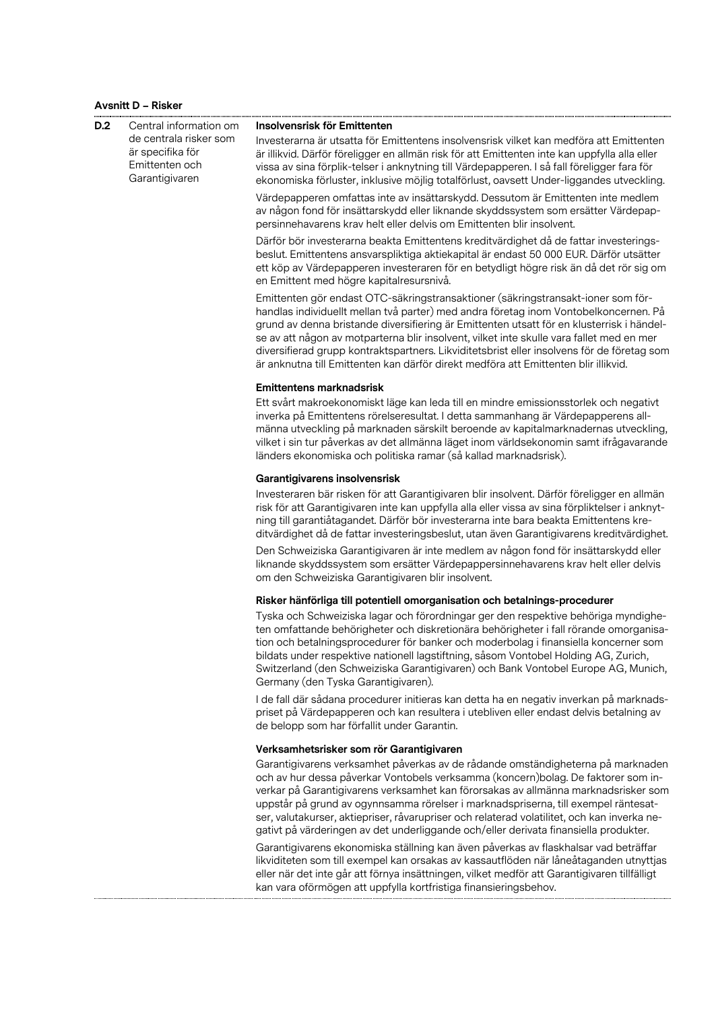## **Avsnitt D – Risker**

. . . . . . . . . . . . . . . .

| D.2<br>Central information om<br>de centrala risker som<br>är specifika för<br>Emittenten och<br>Garantigivaren | Insolvensrisk för Emittenten                                                                                                                                                                                                                                                                                                                                                        |                                                                                                                                                                                                                                                                                                                                                                                                                                                                                                                                                                                                                                |
|-----------------------------------------------------------------------------------------------------------------|-------------------------------------------------------------------------------------------------------------------------------------------------------------------------------------------------------------------------------------------------------------------------------------------------------------------------------------------------------------------------------------|--------------------------------------------------------------------------------------------------------------------------------------------------------------------------------------------------------------------------------------------------------------------------------------------------------------------------------------------------------------------------------------------------------------------------------------------------------------------------------------------------------------------------------------------------------------------------------------------------------------------------------|
|                                                                                                                 | Investerarna är utsatta för Emittentens insolvensrisk vilket kan medföra att Emittenten<br>är illikvid. Därför föreligger en allmän risk för att Emittenten inte kan uppfylla alla eller<br>vissa av sina förplik-telser i anknytning till Värdepapperen. I så fall föreligger fara för<br>ekonomiska förluster, inklusive möjlig totalförlust, oavsett Under-liggandes utveckling. |                                                                                                                                                                                                                                                                                                                                                                                                                                                                                                                                                                                                                                |
|                                                                                                                 | Värdepapperen omfattas inte av insättarskydd. Dessutom är Emittenten inte medlem<br>av någon fond för insättarskydd eller liknande skyddssystem som ersätter Värdepap-<br>persinnehavarens krav helt eller delvis om Emittenten blir insolvent.                                                                                                                                     |                                                                                                                                                                                                                                                                                                                                                                                                                                                                                                                                                                                                                                |
|                                                                                                                 |                                                                                                                                                                                                                                                                                                                                                                                     | Därför bör investerarna beakta Emittentens kreditvärdighet då de fattar investerings-<br>beslut. Emittentens ansvarspliktiga aktiekapital är endast 50 000 EUR. Därför utsätter<br>ett köp av Värdepapperen investeraren för en betydligt högre risk än då det rör sig om<br>en Emittent med högre kapitalresursnivå.                                                                                                                                                                                                                                                                                                          |
|                                                                                                                 |                                                                                                                                                                                                                                                                                                                                                                                     | Emittenten gör endast OTC-säkringstransaktioner (säkringstransakt-ioner som för-<br>handlas individuellt mellan två parter) med andra företag inom Vontobelkoncernen. På<br>grund av denna bristande diversifiering är Emittenten utsatt för en klusterrisk i händel-<br>se av att någon av motparterna blir insolvent, vilket inte skulle vara fallet med en mer<br>diversifierad grupp kontraktspartners. Likviditetsbrist eller insolvens för de företag som<br>är anknutna till Emittenten kan därför direkt medföra att Emittenten blir illikvid.                                                                         |
|                                                                                                                 |                                                                                                                                                                                                                                                                                                                                                                                     | <b>Emittentens marknadsrisk</b>                                                                                                                                                                                                                                                                                                                                                                                                                                                                                                                                                                                                |
|                                                                                                                 |                                                                                                                                                                                                                                                                                                                                                                                     | Ett svårt makroekonomiskt läge kan leda till en mindre emissionsstorlek och negativt<br>inverka på Emittentens rörelseresultat. I detta sammanhang är Värdepapperens all-<br>männa utveckling på marknaden särskilt beroende av kapitalmarknadernas utveckling,<br>vilket i sin tur påverkas av det allmänna läget inom världsekonomin samt ifrågavarande<br>länders ekonomiska och politiska ramar (så kallad marknadsrisk).                                                                                                                                                                                                  |
|                                                                                                                 |                                                                                                                                                                                                                                                                                                                                                                                     | Garantigivarens insolvensrisk                                                                                                                                                                                                                                                                                                                                                                                                                                                                                                                                                                                                  |
|                                                                                                                 |                                                                                                                                                                                                                                                                                                                                                                                     | Investeraren bär risken för att Garantigivaren blir insolvent. Därför föreligger en allmän<br>risk för att Garantigivaren inte kan uppfylla alla eller vissa av sina förpliktelser i anknyt-<br>ning till garantiåtagandet. Därför bör investerarna inte bara beakta Emittentens kre-<br>ditvärdighet då de fattar investeringsbeslut, utan även Garantigivarens kreditvärdighet.                                                                                                                                                                                                                                              |
|                                                                                                                 |                                                                                                                                                                                                                                                                                                                                                                                     | Den Schweiziska Garantigivaren är inte medlem av någon fond för insättarskydd eller<br>liknande skyddssystem som ersätter Värdepappersinnehavarens krav helt eller delvis<br>om den Schweiziska Garantigivaren blir insolvent.                                                                                                                                                                                                                                                                                                                                                                                                 |
|                                                                                                                 |                                                                                                                                                                                                                                                                                                                                                                                     | Risker hänförliga till potentiell omorganisation och betalnings-procedurer                                                                                                                                                                                                                                                                                                                                                                                                                                                                                                                                                     |
|                                                                                                                 |                                                                                                                                                                                                                                                                                                                                                                                     | Tyska och Schweiziska lagar och förordningar ger den respektive behöriga myndighe-<br>ten omfattande behörigheter och diskretionära behörigheter i fall rörande omorganisa-<br>tion och betalningsprocedurer för banker och moderbolag i finansiella koncerner som<br>bildats under respektive nationell lagstiftning, såsom Vontobel Holding AG, Zurich,<br>Switzerland (den Schweiziska Garantigivaren) och Bank Vontobel Europe AG, Munich,<br>Germany (den Tyska Garantigivaren).                                                                                                                                          |
|                                                                                                                 |                                                                                                                                                                                                                                                                                                                                                                                     | I de fall där sådana procedurer initieras kan detta ha en negativ inverkan på marknads-<br>priset på Värdepapperen och kan resultera i utebliven eller endast delvis betalning av<br>de belopp som har förfallit under Garantin.                                                                                                                                                                                                                                                                                                                                                                                               |
|                                                                                                                 |                                                                                                                                                                                                                                                                                                                                                                                     | Verksamhetsrisker som rör Garantigivaren                                                                                                                                                                                                                                                                                                                                                                                                                                                                                                                                                                                       |
|                                                                                                                 |                                                                                                                                                                                                                                                                                                                                                                                     | Garantigivarens verksamhet påverkas av de rådande omständigheterna på marknaden<br>och av hur dessa påverkar Vontobels verksamma (koncern)bolag. De faktorer som in-<br>verkar på Garantigivarens verksamhet kan förorsakas av allmänna marknadsrisker som<br>uppstår på grund av ogynnsamma rörelser i marknadspriserna, till exempel räntesat-<br>ser, valutakurser, aktiepriser, råvarupriser och relaterad volatilitet, och kan inverka ne-<br>gativt på värderingen av det underliggande och/eller derivata finansiella produkter.<br>Garantigivarens ekonomiska ställning kan även påverkas av flaskhalsar vad beträffar |
|                                                                                                                 |                                                                                                                                                                                                                                                                                                                                                                                     | likviditeten som till exempel kan orsakas av kassautflöden när låneåtaganden utnyttjas<br>eller när det inte går att förnya insättningen, vilket medför att Garantigivaren tillfälligt<br>kan vara oförmögen att uppfylla kortfristiga finansieringsbehov.                                                                                                                                                                                                                                                                                                                                                                     |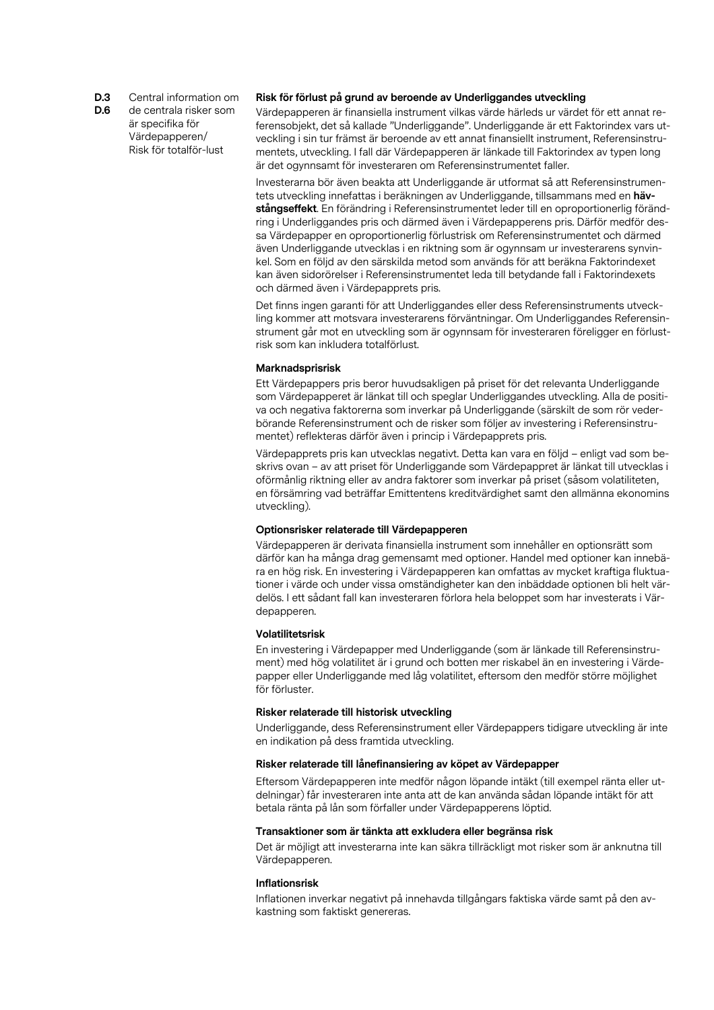**D.3** Central information om

**D.6** de centrala risker som är specifika för Värdepapperen/ Risk för totalför-lust

## **Risk för förlust på grund av beroende av Underliggandes utveckling**

Värdepapperen är finansiella instrument vilkas värde härleds ur värdet för ett annat referensobjekt, det så kallade "Underliggande". Underliggande är ett Faktorindex vars utveckling i sin tur främst är beroende av ett annat finansiellt instrument, Referensinstrumentets, utveckling. I fall där Värdepapperen är länkade till Faktorindex av typen long är det ogynnsamt för investeraren om Referensinstrumentet faller.

Investerarna bör även beakta att Underliggande är utformat så att Referensinstrumentets utveckling innefattas i beräkningen av Underliggande, tillsammans med en **hävstångseffekt**. En förändring i Referensinstrumentet leder till en oproportionerlig förändring i Underliggandes pris och därmed även i Värdepapperens pris. Därför medför dessa Värdepapper en oproportionerlig förlustrisk om Referensinstrumentet och därmed även Underliggande utvecklas i en riktning som är ogynnsam ur investerarens synvinkel. Som en följd av den särskilda metod som används för att beräkna Faktorindexet kan även sidorörelser i Referensinstrumentet leda till betydande fall i Faktorindexets och därmed även i Värdepapprets pris.

Det finns ingen garanti för att Underliggandes eller dess Referensinstruments utveckling kommer att motsvara investerarens förväntningar. Om Underliggandes Referensinstrument går mot en utveckling som är ogynnsam för investeraren föreligger en förlustrisk som kan inkludera totalförlust.

#### **Marknadsprisrisk**

Ett Värdepappers pris beror huvudsakligen på priset för det relevanta Underliggande som Värdepapperet är länkat till och speglar Underliggandes utveckling. Alla de positiva och negativa faktorerna som inverkar på Underliggande (särskilt de som rör vederbörande Referensinstrument och de risker som följer av investering i Referensinstrumentet) reflekteras därför även i princip i Värdepapprets pris.

Värdepapprets pris kan utvecklas negativt. Detta kan vara en följd – enligt vad som beskrivs ovan – av att priset för Underliggande som Värdepappret är länkat till utvecklas i oförmånlig riktning eller av andra faktorer som inverkar på priset (såsom volatiliteten, en försämring vad beträffar Emittentens kreditvärdighet samt den allmänna ekonomins utveckling).

#### **Optionsrisker relaterade till Värdepapperen**

Värdepapperen är derivata finansiella instrument som innehåller en optionsrätt som därför kan ha många drag gemensamt med optioner. Handel med optioner kan innebära en hög risk. En investering i Värdepapperen kan omfattas av mycket kraftiga fluktuationer i värde och under vissa omständigheter kan den inbäddade optionen bli helt värdelös. I ett sådant fall kan investeraren förlora hela beloppet som har investerats i Värdepapperen.

#### **Volatilitetsrisk**

En investering i Värdepapper med Underliggande (som är länkade till Referensinstrument) med hög volatilitet är i grund och botten mer riskabel än en investering i Värdepapper eller Underliggande med låg volatilitet, eftersom den medför större möjlighet för förluster.

#### **Risker relaterade till historisk utveckling**

Underliggande, dess Referensinstrument eller Värdepappers tidigare utveckling är inte en indikation på dess framtida utveckling.

#### **Risker relaterade till lånefinansiering av köpet av Värdepapper**

Eftersom Värdepapperen inte medför någon löpande intäkt (till exempel ränta eller utdelningar) får investeraren inte anta att de kan använda sådan löpande intäkt för att betala ränta på lån som förfaller under Värdepapperens löptid.

#### **Transaktioner som är tänkta att exkludera eller begränsa risk**

Det är möjligt att investerarna inte kan säkra tillräckligt mot risker som är anknutna till Värdepapperen.

#### **Inflationsrisk**

Inflationen inverkar negativt på innehavda tillgångars faktiska värde samt på den avkastning som faktiskt genereras.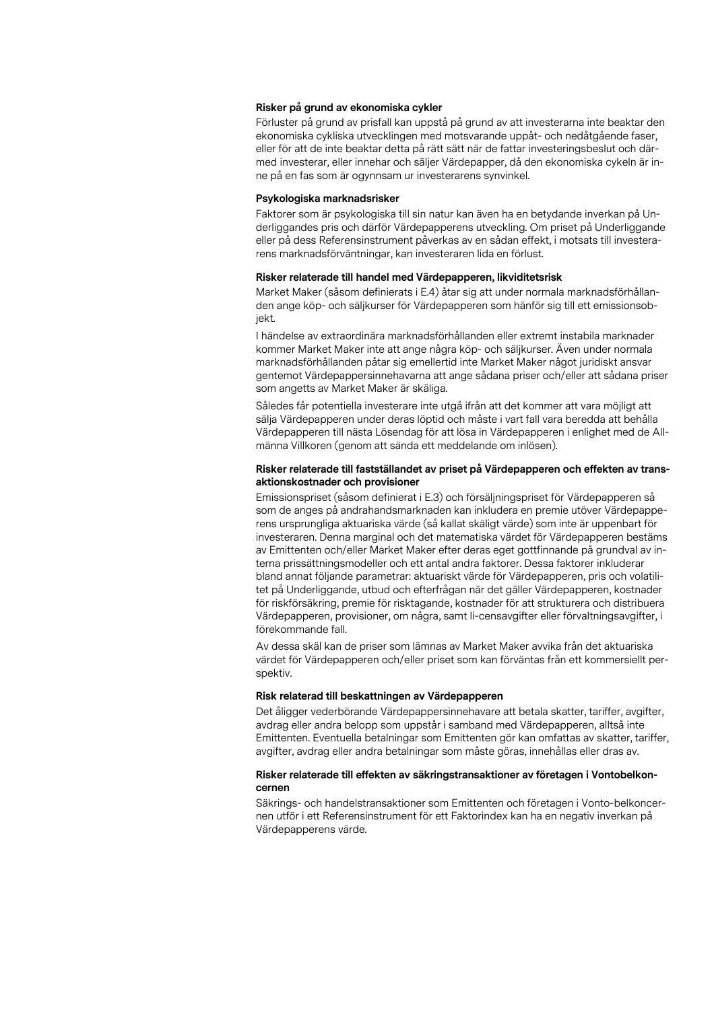#### **Risker på grund av ekonomiska cykler**

Förluster på grund av prisfall kan uppstå på grund av att investerarna inte beaktar den ekonomiska cykliska utvecklingen med motsvarande uppåt- och nedåtgående faser, eller för att de inte beaktar detta på rätt sätt när de fattar investeringsbeslut och därmed investerar, eller innehar och säljer Värdepapper, då den ekonomiska cykeln är inne på en fas som är ogynnsam ur investerarens synvinkel.

#### **Psykologiska marknadsrisker**

Faktorer som är psykologiska till sin natur kan även ha en betydande inverkan på Underliggandes pris och därför Värdepapperens utveckling. Om priset på Underliggande eller på dess Referensinstrument påverkas av en sådan effekt, i motsats till investerarens marknadsförväntningar, kan investeraren lida en förlust.

#### **Risker relaterade till handel med Värdepapperen, likviditetsrisk**

Market Maker (såsom definierats i E.4) åtar sig att under normala marknadsförhållanden ange köp- och säljkurser för Värdepapperen som hänför sig till ett emissionsobjekt.

I händelse av extraordinära marknadsförhållanden eller extremt instabila marknader kommer Market Maker inte att ange några köp- och säljkurser. Även under normala marknadsförhållanden påtar sig emellertid inte Market Maker något juridiskt ansvar gentemot Värdepappersinnehavarna att ange sådana priser och/eller att sådana priser som angetts av Market Maker är skäliga.

Således får potentiella investerare inte utgå ifrån att det kommer att vara möjligt att sälja Värdepapperen under deras löptid och måste i vart fall vara beredda att behålla Värdepapperen till nästa Lösendag för att lösa in Värdepapperen i enlighet med de Allmänna Villkoren (genom att sända ett meddelande om inlösen).

#### **Risker relaterade till fastställandet av priset på Värdepapperen och effekten av transaktionskostnader och provisioner**

Emissionspriset (såsom definierat i E.3) och försäljningspriset för Värdepapperen så som de anges på andrahandsmarknaden kan inkludera en premie utöver Värdepapperens ursprungliga aktuariska värde (så kallat skäligt värde) som inte är uppenbart för investeraren. Denna marginal och det matematiska värdet för Värdepapperen bestäms av Emittenten och/eller Market Maker efter deras eget gottfinnande på grundval av interna prissättningsmodeller och ett antal andra faktorer. Dessa faktorer inkluderar bland annat följande parametrar: aktuariskt värde för Värdepapperen, pris och volatilitet på Underliggande, utbud och efterfrågan när det gäller Värdepapperen, kostnader för riskförsäkring, premie för risktagande, kostnader för att strukturera och distribuera Värdepapperen, provisioner, om några, samt li-censavgifter eller förvaltningsavgifter, i förekommande fall.

Av dessa skäl kan de priser som lämnas av Market Maker avvika från det aktuariska värdet för Värdepapperen och/eller priset som kan förväntas från ett kommersiellt perspektiv.

#### **Risk relaterad till beskattningen av Värdepapperen**

Det åligger vederbörande Värdepappersinnehavare att betala skatter, tariffer, avgifter, avdrag eller andra belopp som uppstår i samband med Värdepapperen, alltså inte Emittenten. Eventuella betalningar som Emittenten gör kan omfattas av skatter, tariffer, avgifter, avdrag eller andra betalningar som måste göras, innehållas eller dras av.

## **Risker relaterade till effekten av säkringstransaktioner av företagen i Vontobelkoncernen**

Säkrings- och handelstransaktioner som Emittenten och företagen i Vonto-belkoncernen utför i ett Referensinstrument för ett Faktorindex kan ha en negativ inverkan på Värdepapperens värde.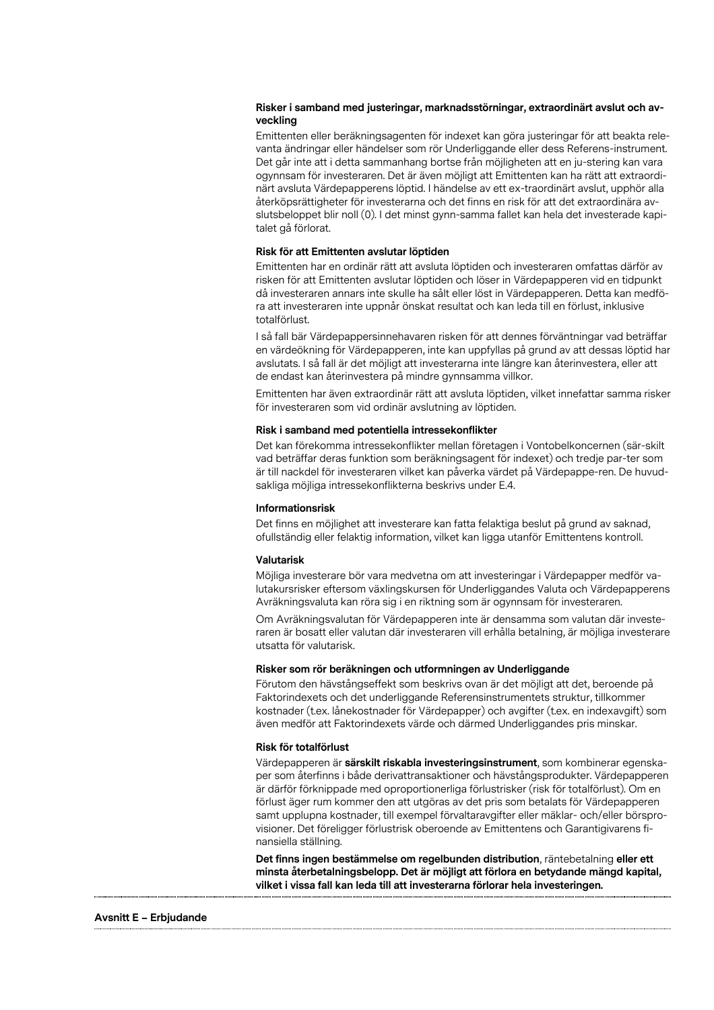## **Risker i samband med justeringar, marknadsstörningar, extraordinärt avslut och avveckling**

Emittenten eller beräkningsagenten för indexet kan göra justeringar för att beakta relevanta ändringar eller händelser som rör Underliggande eller dess Referens-instrument. Det går inte att i detta sammanhang bortse från möjligheten att en ju-stering kan vara ogynnsam för investeraren. Det är även möjligt att Emittenten kan ha rätt att extraordinärt avsluta Värdepapperens löptid. I händelse av ett ex-traordinärt avslut, upphör alla återköpsrättigheter för investerarna och det finns en risk för att det extraordinära avslutsbeloppet blir noll (0). I det minst gynn-samma fallet kan hela det investerade kapitalet gå förlorat.

#### **Risk för att Emittenten avslutar löptiden**

Emittenten har en ordinär rätt att avsluta löptiden och investeraren omfattas därför av risken för att Emittenten avslutar löptiden och löser in Värdepapperen vid en tidpunkt då investeraren annars inte skulle ha sålt eller löst in Värdepapperen. Detta kan medföra att investeraren inte uppnår önskat resultat och kan leda till en förlust, inklusive totalförlust.

I så fall bär Värdepappersinnehavaren risken för att dennes förväntningar vad beträffar en värdeökning för Värdepapperen, inte kan uppfyllas på grund av att dessas löptid har avslutats. I så fall är det möjligt att investerarna inte längre kan återinvestera, eller att de endast kan återinvestera på mindre gynnsamma villkor.

Emittenten har även extraordinär rätt att avsluta löptiden, vilket innefattar samma risker för investeraren som vid ordinär avslutning av löptiden.

#### **Risk i samband med potentiella intressekonflikter**

Det kan förekomma intressekonflikter mellan företagen i Vontobelkoncernen (sär-skilt vad beträffar deras funktion som beräkningsagent för indexet) och tredje par-ter som är till nackdel för investeraren vilket kan påverka värdet på Värdepappe-ren. De huvudsakliga möjliga intressekonflikterna beskrivs under E.4.

#### **Informationsrisk**

Det finns en möjlighet att investerare kan fatta felaktiga beslut på grund av saknad, ofullständig eller felaktig information, vilket kan ligga utanför Emittentens kontroll.

## **Valutarisk**

Möjliga investerare bör vara medvetna om att investeringar i Värdepapper medför valutakursrisker eftersom växlingskursen för Underliggandes Valuta och Värdepapperens Avräkningsvaluta kan röra sig i en riktning som är ogynnsam för investeraren.

Om Avräkningsvalutan för Värdepapperen inte är densamma som valutan där investeraren är bosatt eller valutan där investeraren vill erhålla betalning, är möjliga investerare utsatta för valutarisk.

#### **Risker som rör beräkningen och utformningen av Underliggande**

Förutom den hävstångseffekt som beskrivs ovan är det möjligt att det, beroende på Faktorindexets och det underliggande Referensinstrumentets struktur, tillkommer kostnader (t.ex. lånekostnader för Värdepapper) och avgifter (t.ex. en indexavgift) som även medför att Faktorindexets värde och därmed Underliggandes pris minskar.

#### **Risk för totalförlust**

Värdepapperen är **särskilt riskabla investeringsinstrument**, som kombinerar egenskaper som återfinns i både derivattransaktioner och hävstångsprodukter. Värdepapperen är därför förknippade med oproportionerliga förlustrisker (risk för totalförlust). Om en förlust äger rum kommer den att utgöras av det pris som betalats för Värdepapperen samt upplupna kostnader, till exempel förvaltaravgifter eller mäklar- och/eller börsprovisioner. Det föreligger förlustrisk oberoende av Emittentens och Garantigivarens finansiella ställning.

**Det finns ingen bestämmelse om regelbunden distribution**, räntebetalning **eller ett minsta återbetalningsbelopp. Det är möjligt att förlora en betydande mängd kapital, vilket i vissa fall kan leda till att investerarna förlorar hela investeringen.**